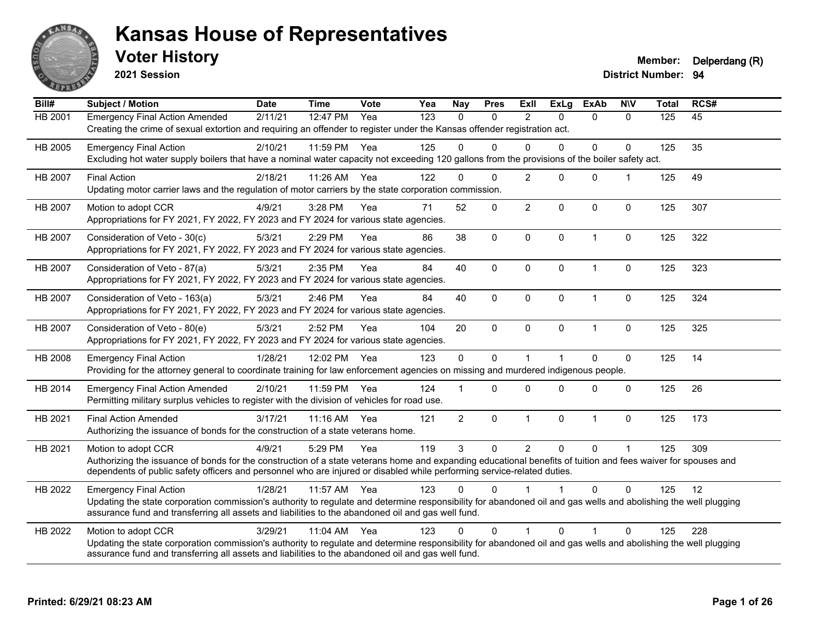

**2021 Session**

| Bill#          | Subject / Motion                                                                                                                                                                                                                                                                                                | <b>Date</b> | <b>Time</b> | Vote | Yea | <b>Nay</b>     | <b>Pres</b> | ExII           | <b>ExLg</b> | <b>ExAb</b>  | <b>NIV</b>   | <b>Total</b> | RCS# |
|----------------|-----------------------------------------------------------------------------------------------------------------------------------------------------------------------------------------------------------------------------------------------------------------------------------------------------------------|-------------|-------------|------|-----|----------------|-------------|----------------|-------------|--------------|--------------|--------------|------|
| HB 2001        | <b>Emergency Final Action Amended</b><br>Creating the crime of sexual extortion and requiring an offender to register under the Kansas offender registration act.                                                                                                                                               | 2/11/21     | 12:47 PM    | Yea  | 123 | $\Omega$       | 0           | $\overline{2}$ | $\Omega$    | $\Omega$     | $\mathbf{0}$ | 125          | 45   |
| HB 2005        | <b>Emergency Final Action</b><br>Excluding hot water supply boilers that have a nominal water capacity not exceeding 120 gallons from the provisions of the boiler safety act.                                                                                                                                  | 2/10/21     | 11:59 PM    | Yea  | 125 | $\Omega$       | $\Omega$    | $\Omega$       | $\Omega$    | $\Omega$     | $\Omega$     | 125          | 35   |
| <b>HB 2007</b> | <b>Final Action</b><br>Updating motor carrier laws and the regulation of motor carriers by the state corporation commission.                                                                                                                                                                                    | 2/18/21     | 11:26 AM    | Yea  | 122 | $\Omega$       | $\Omega$    | $\overline{2}$ | $\Omega$    | $\mathbf{0}$ | 1            | 125          | 49   |
| <b>HB 2007</b> | Motion to adopt CCR<br>Appropriations for FY 2021, FY 2022, FY 2023 and FY 2024 for various state agencies.                                                                                                                                                                                                     | 4/9/21      | 3:28 PM     | Yea  | 71  | 52             | 0           | $\overline{2}$ | $\Omega$    | $\mathbf{0}$ | $\Omega$     | 125          | 307  |
| HB 2007        | Consideration of Veto - 30(c)<br>Appropriations for FY 2021, FY 2022, FY 2023 and FY 2024 for various state agencies.                                                                                                                                                                                           | 5/3/21      | 2:29 PM     | Yea  | 86  | 38             | 0           | $\mathbf 0$    | $\mathbf 0$ | $\mathbf{1}$ | $\mathbf 0$  | 125          | 322  |
| <b>HB 2007</b> | Consideration of Veto - 87(a)<br>Appropriations for FY 2021, FY 2022, FY 2023 and FY 2024 for various state agencies.                                                                                                                                                                                           | 5/3/21      | 2:35 PM     | Yea  | 84  | 40             | $\Omega$    | $\mathbf{0}$   | $\Omega$    | $\mathbf{1}$ | $\mathbf 0$  | 125          | 323  |
| HB 2007        | Consideration of Veto - 163(a)<br>Appropriations for FY 2021, FY 2022, FY 2023 and FY 2024 for various state agencies.                                                                                                                                                                                          | 5/3/21      | 2:46 PM     | Yea  | 84  | 40             | 0           | $\mathbf 0$    | $\mathbf 0$ | $\mathbf{1}$ | $\pmb{0}$    | 125          | 324  |
| <b>HB 2007</b> | Consideration of Veto - 80(e)<br>Appropriations for FY 2021, FY 2022, FY 2023 and FY 2024 for various state agencies.                                                                                                                                                                                           | 5/3/21      | 2:52 PM     | Yea  | 104 | 20             | 0           | $\Omega$       | $\Omega$    | $\mathbf{1}$ | $\mathbf 0$  | 125          | 325  |
| HB 2008        | <b>Emergency Final Action</b><br>Providing for the attorney general to coordinate training for law enforcement agencies on missing and murdered indigenous people.                                                                                                                                              | 1/28/21     | 12:02 PM    | Yea  | 123 | $\mathbf 0$    | 0           | $\overline{1}$ |             | $\Omega$     | $\mathbf 0$  | 125          | 14   |
| HB 2014        | <b>Emergency Final Action Amended</b><br>Permitting military surplus vehicles to register with the division of vehicles for road use.                                                                                                                                                                           | 2/10/21     | 11:59 PM    | Yea  | 124 |                | $\Omega$    | $\Omega$       | $\Omega$    | $\Omega$     | $\mathbf{0}$ | 125          | 26   |
| HB 2021        | <b>Final Action Amended</b><br>Authorizing the issuance of bonds for the construction of a state veterans home.                                                                                                                                                                                                 | 3/17/21     | $11:16$ AM  | Yea  | 121 | $\overline{2}$ | 0           | $\mathbf{1}$   | $\Omega$    | $\mathbf{1}$ | $\mathbf 0$  | 125          | 173  |
| HB 2021        | Motion to adopt CCR<br>Authorizing the issuance of bonds for the construction of a state veterans home and expanding educational benefits of tuition and fees waiver for spouses and<br>dependents of public safety officers and personnel who are injured or disabled while performing service-related duties. | 4/9/21      | 5:29 PM     | Yea  | 119 | 3              | $\Omega$    | $\overline{2}$ | $\Omega$    | $\Omega$     | 1            | 125          | 309  |
| HB 2022        | <b>Emergency Final Action</b><br>Updating the state corporation commission's authority to regulate and determine responsibility for abandoned oil and gas wells and abolishing the well plugging<br>assurance fund and transferring all assets and liabilities to the abandoned oil and gas well fund.          | 1/28/21     | 11:57 AM    | Yea  | 123 | $\Omega$       | $\Omega$    |                |             | $\Omega$     | $\Omega$     | 125          | 12   |
| HB 2022        | Motion to adopt CCR<br>Updating the state corporation commission's authority to regulate and determine responsibility for abandoned oil and gas wells and abolishing the well plugging<br>assurance fund and transferring all assets and liabilities to the abandoned oil and gas well fund.                    | 3/29/21     | 11:04 AM    | Yea  | 123 | $\Omega$       | $\Omega$    |                | $\Omega$    | 1            | $\Omega$     | 125          | 228  |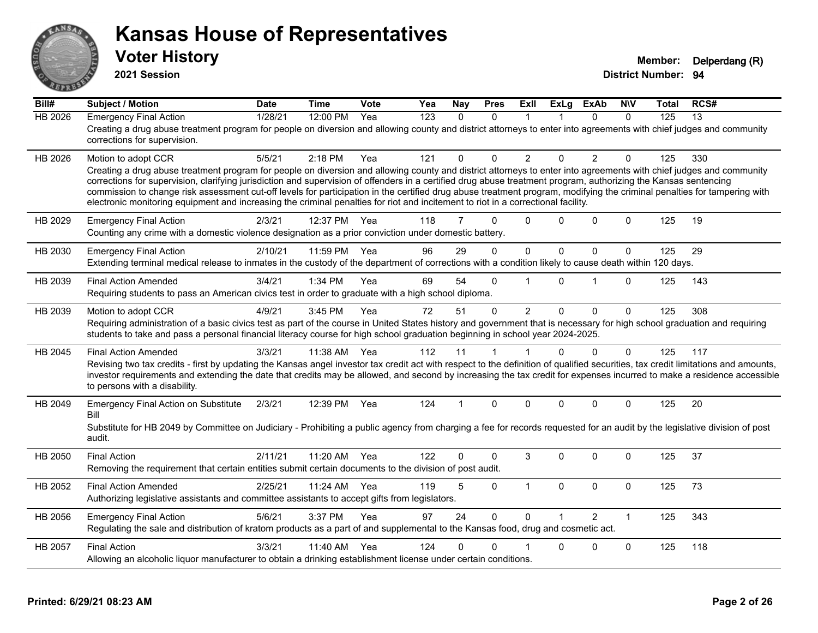

**2021 Session**

| Bill#          | <b>Subject / Motion</b>                                                                                                                                                                                                                                                                                                                                                                                                                                                                                                                                                                                                                                                         | <b>Date</b> | <b>Time</b> | Vote | Yea              | Nay          | <b>Pres</b>  | ExIl           | <b>ExLg</b>  | <b>ExAb</b>    | <b>NIV</b>   | Total | RCS#            |
|----------------|---------------------------------------------------------------------------------------------------------------------------------------------------------------------------------------------------------------------------------------------------------------------------------------------------------------------------------------------------------------------------------------------------------------------------------------------------------------------------------------------------------------------------------------------------------------------------------------------------------------------------------------------------------------------------------|-------------|-------------|------|------------------|--------------|--------------|----------------|--------------|----------------|--------------|-------|-----------------|
| <b>HB 2026</b> | <b>Emergency Final Action</b><br>Creating a drug abuse treatment program for people on diversion and allowing county and district attorneys to enter into agreements with chief judges and community<br>corrections for supervision.                                                                                                                                                                                                                                                                                                                                                                                                                                            | 1/28/21     | 12:00 PM    | Yea  | $\overline{123}$ | $\mathbf{0}$ | $\Omega$     | 1              |              | $\Omega$       | $\Omega$     | 125   | $\overline{13}$ |
| HB 2026        | Motion to adopt CCR<br>Creating a drug abuse treatment program for people on diversion and allowing county and district attorneys to enter into agreements with chief judges and community<br>corrections for supervision, clarifying jurisdiction and supervision of offenders in a certified drug abuse treatment program, authorizing the Kansas sentencing<br>commission to change risk assessment cut-off levels for participation in the certified drug abuse treatment program, modifying the criminal penalties for tampering with<br>electronic monitoring equipment and increasing the criminal penalties for riot and incitement to riot in a correctional facility. | 5/5/21      | $2:18$ PM   | Yea  | 121              | 0            | $\Omega$     | $\overline{2}$ | $\Omega$     | $\overline{2}$ | $\Omega$     | 125   | 330             |
| HB 2029        | <b>Emergency Final Action</b><br>Counting any crime with a domestic violence designation as a prior conviction under domestic battery.                                                                                                                                                                                                                                                                                                                                                                                                                                                                                                                                          | 2/3/21      | 12:37 PM    | Yea  | 118              | 7            | $\Omega$     | $\Omega$       | 0            | $\Omega$       | $\Omega$     | 125   | 19              |
| HB 2030        | <b>Emergency Final Action</b><br>Extending terminal medical release to inmates in the custody of the department of corrections with a condition likely to cause death within 120 days.                                                                                                                                                                                                                                                                                                                                                                                                                                                                                          | 2/10/21     | 11:59 PM    | Yea  | 96               | 29           | $\Omega$     | $\mathbf{0}$   | $\mathbf{0}$ | $\Omega$       | $\mathbf 0$  | 125   | 29              |
| HB 2039        | <b>Final Action Amended</b><br>Requiring students to pass an American civics test in order to graduate with a high school diploma.                                                                                                                                                                                                                                                                                                                                                                                                                                                                                                                                              | 3/4/21      | 1:34 PM     | Yea  | 69               | 54           | $\Omega$     | $\overline{1}$ | $\Omega$     | 1              | $\Omega$     | 125   | 143             |
| HB 2039        | Motion to adopt CCR<br>Requiring administration of a basic civics test as part of the course in United States history and government that is necessary for high school graduation and requiring<br>students to take and pass a personal financial literacy course for high school graduation beginning in school year 2024-2025.                                                                                                                                                                                                                                                                                                                                                | 4/9/21      | 3:45 PM     | Yea  | 72               | 51           | $\mathbf{0}$ | $\overline{2}$ | $\Omega$     | $\Omega$       | $\mathbf{0}$ | 125   | 308             |
| HB 2045        | <b>Final Action Amended</b><br>Revising two tax credits - first by updating the Kansas angel investor tax credit act with respect to the definition of qualified securities, tax credit limitations and amounts,<br>investor requirements and extending the date that credits may be allowed, and second by increasing the tax credit for expenses incurred to make a residence accessible<br>to persons with a disability.                                                                                                                                                                                                                                                     | 3/3/21      | 11:38 AM    | Yea  | 112              | 11           | 1            | $\mathbf{1}$   | $\Omega$     | $\Omega$       | $\mathbf{0}$ | 125   | 117             |
| HB 2049        | <b>Emergency Final Action on Substitute</b><br>Bill<br>Substitute for HB 2049 by Committee on Judiciary - Prohibiting a public agency from charging a fee for records requested for an audit by the legislative division of post<br>audit.                                                                                                                                                                                                                                                                                                                                                                                                                                      | 2/3/21      | 12:39 PM    | Yea  | 124              | 1            | $\mathbf{0}$ | $\Omega$       | $\Omega$     | $\Omega$       | $\mathbf{0}$ | 125   | 20              |
| HB 2050        | <b>Final Action</b><br>Removing the requirement that certain entities submit certain documents to the division of post audit.                                                                                                                                                                                                                                                                                                                                                                                                                                                                                                                                                   | 2/11/21     | 11:20 AM    | Yea  | 122              | 0            | $\Omega$     | 3              | $\Omega$     | $\Omega$       | $\Omega$     | 125   | 37              |
| HB 2052        | <b>Final Action Amended</b><br>Authorizing legislative assistants and committee assistants to accept gifts from legislators.                                                                                                                                                                                                                                                                                                                                                                                                                                                                                                                                                    | 2/25/21     | 11:24 AM    | Yea  | 119              | 5            | $\Omega$     | $\mathbf{1}$   | $\mathbf{0}$ | $\Omega$       | $\mathbf 0$  | 125   | 73              |
| HB 2056        | <b>Emergency Final Action</b><br>Regulating the sale and distribution of kratom products as a part of and supplemental to the Kansas food, drug and cosmetic act.                                                                                                                                                                                                                                                                                                                                                                                                                                                                                                               | 5/6/21      | 3:37 PM     | Yea  | 97               | 24           | $\Omega$     | $\Omega$       |              | $\mathcal{P}$  | $\mathbf{1}$ | 125   | 343             |
| HB 2057        | <b>Final Action</b><br>Allowing an alcoholic liquor manufacturer to obtain a drinking establishment license under certain conditions.                                                                                                                                                                                                                                                                                                                                                                                                                                                                                                                                           | 3/3/21      | 11:40 AM    | Yea  | 124              | 0            | 0            |                | 0            | 0              | $\mathbf 0$  | 125   | 118             |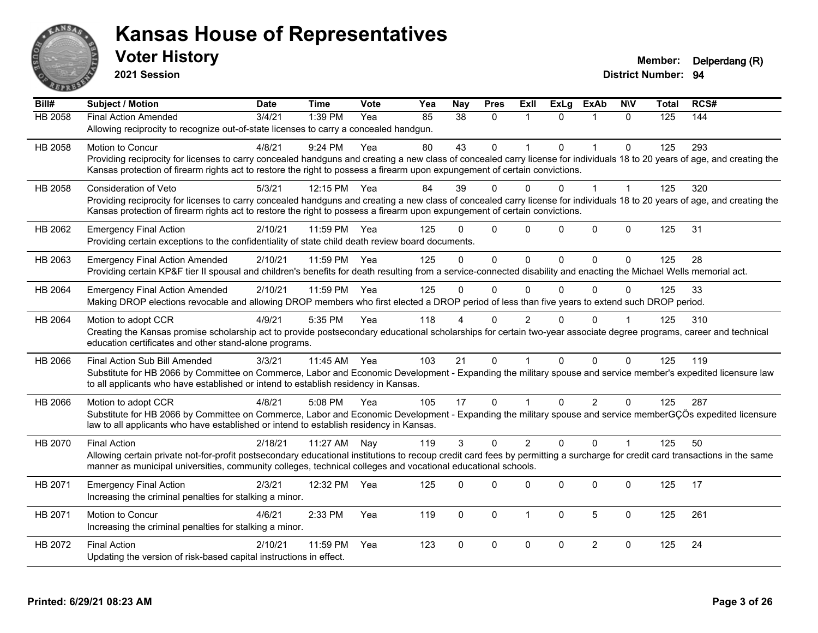

**2021 Session**

| Bill#          | Subject / Motion                                                                                                                                                             | <b>Date</b> | <b>Time</b>  | <b>Vote</b> | Yea | <b>Nay</b>  | <b>Pres</b>  | ExII           | <b>ExLg</b> | <b>ExAb</b>    | <b>NIV</b>   | <b>Total</b> | RCS# |
|----------------|------------------------------------------------------------------------------------------------------------------------------------------------------------------------------|-------------|--------------|-------------|-----|-------------|--------------|----------------|-------------|----------------|--------------|--------------|------|
| <b>HB 2058</b> | <b>Final Action Amended</b>                                                                                                                                                  | 3/4/21      | $1:39$ PM    | Yea         | 85  | 38          | $\mathbf{0}$ | $\overline{1}$ | $\Omega$    |                | $\Omega$     | 125          | 144  |
|                | Allowing reciprocity to recognize out-of-state licenses to carry a concealed handgun.                                                                                        |             |              |             |     |             |              |                |             |                |              |              |      |
| HB 2058        | <b>Motion to Concur</b>                                                                                                                                                      | 4/8/21      | $9:24$ PM    | Yea         | 80  | 43          | $\Omega$     |                | $\Omega$    | $\mathbf{1}$   | $\Omega$     | 125          | 293  |
|                | Providing reciprocity for licenses to carry concealed handguns and creating a new class of concealed carry license for individuals 18 to 20 years of age, and creating the   |             |              |             |     |             |              |                |             |                |              |              |      |
|                | Kansas protection of firearm rights act to restore the right to possess a firearm upon expungement of certain convictions.                                                   |             |              |             |     |             |              |                |             |                |              |              |      |
| HB 2058        | <b>Consideration of Veto</b>                                                                                                                                                 | 5/3/21      | 12:15 PM     | Yea         | 84  | 39          | 0            | 0              |             |                |              | 125          | 320  |
|                | Providing reciprocity for licenses to carry concealed handguns and creating a new class of concealed carry license for individuals 18 to 20 years of age, and creating the   |             |              |             |     |             |              |                |             |                |              |              |      |
|                | Kansas protection of firearm rights act to restore the right to possess a firearm upon expungement of certain convictions.                                                   |             |              |             |     |             |              |                |             |                |              |              |      |
| HB 2062        | <b>Emergency Final Action</b>                                                                                                                                                | 2/10/21     | 11:59 PM     | Yea         | 125 |             | $\Omega$     | $\Omega$       | $\Omega$    | $\Omega$       | $\mathbf{0}$ | 125          | 31   |
|                | Providing certain exceptions to the confidentiality of state child death review board documents.                                                                             |             |              |             |     |             |              |                |             |                |              |              |      |
| HB 2063        | <b>Emergency Final Action Amended</b>                                                                                                                                        | 2/10/21     | 11:59 PM     | Yea         | 125 | $\Omega$    | $\Omega$     | $\mathbf{0}$   | $\Omega$    | $\Omega$       | $\Omega$     | 125          | 28   |
|                | Providing certain KP&F tier II spousal and children's benefits for death resulting from a service-connected disability and enacting the Michael Wells memorial act.          |             |              |             |     |             |              |                |             |                |              |              |      |
| HB 2064        | <b>Emergency Final Action Amended</b>                                                                                                                                        | 2/10/21     | 11:59 PM     | Yea         | 125 | $\Omega$    | $\mathbf{0}$ | $\Omega$       | $\Omega$    | $\Omega$       | $\Omega$     | 125          | 33   |
|                | Making DROP elections revocable and allowing DROP members who first elected a DROP period of less than five years to extend such DROP period.                                |             |              |             |     |             |              |                |             |                |              |              |      |
| HB 2064        | Motion to adopt CCR                                                                                                                                                          | 4/9/21      | 5:35 PM      | Yea         | 118 |             | $\Omega$     | 2              | $\Omega$    | $\Omega$       |              | 125          | 310  |
|                | Creating the Kansas promise scholarship act to provide postsecondary educational scholarships for certain two-year associate degree programs, career and technical           |             |              |             |     |             |              |                |             |                |              |              |      |
|                | education certificates and other stand-alone programs.                                                                                                                       |             |              |             |     |             |              |                |             |                |              |              |      |
| HB 2066        | Final Action Sub Bill Amended                                                                                                                                                | 3/3/21      | 11:45 AM Yea |             | 103 | 21          | $\mathbf{0}$ | $\mathbf{1}$   | $\Omega$    | $\Omega$       | $\Omega$     | 125          | 119  |
|                | Substitute for HB 2066 by Committee on Commerce, Labor and Economic Development - Expanding the military spouse and service member's expedited licensure law                 |             |              |             |     |             |              |                |             |                |              |              |      |
|                | to all applicants who have established or intend to establish residency in Kansas.                                                                                           |             |              |             |     |             |              |                |             |                |              |              |      |
| HB 2066        | Motion to adopt CCR                                                                                                                                                          | 4/8/21      | 5:08 PM      | Yea         | 105 | 17          | $\mathbf 0$  |                | $\Omega$    | $\overline{2}$ | $\mathbf 0$  | 125          | 287  |
|                | Substitute for HB 2066 by Committee on Commerce, Labor and Economic Development - Expanding the military spouse and service memberGÇÖs expedited licensure                   |             |              |             |     |             |              |                |             |                |              |              |      |
|                | law to all applicants who have established or intend to establish residency in Kansas.                                                                                       |             |              |             |     |             |              |                |             |                |              |              |      |
| HB 2070        | <b>Final Action</b>                                                                                                                                                          | 2/18/21     | 11:27 AM     | Nay         | 119 | 3           | $\Omega$     | $\overline{2}$ | $\Omega$    | $\Omega$       | $\mathbf{1}$ | 125          | 50   |
|                | Allowing certain private not-for-profit postsecondary educational institutions to recoup credit card fees by permitting a surcharge for credit card transactions in the same |             |              |             |     |             |              |                |             |                |              |              |      |
|                | manner as municipal universities, community colleges, technical colleges and vocational educational schools.                                                                 |             |              |             |     |             |              |                |             |                |              |              |      |
| HB 2071        | <b>Emergency Final Action</b>                                                                                                                                                | 2/3/21      | 12:32 PM     | Yea         | 125 | $\Omega$    | $\Omega$     | 0              | $\Omega$    | 0              | $\mathbf 0$  | 125          | 17   |
|                | Increasing the criminal penalties for stalking a minor.                                                                                                                      |             |              |             |     |             |              |                |             |                |              |              |      |
| HB 2071        | Motion to Concur                                                                                                                                                             | 4/6/21      | 2:33 PM      | Yea         | 119 | $\mathbf 0$ | $\mathbf 0$  | $\mathbf{1}$   | $\mathbf 0$ | 5              | $\mathbf 0$  | 125          | 261  |
|                | Increasing the criminal penalties for stalking a minor.                                                                                                                      |             |              |             |     |             |              |                |             |                |              |              |      |
| HB 2072        | <b>Final Action</b>                                                                                                                                                          | 2/10/21     | 11:59 PM     | Yea         | 123 | $\Omega$    | $\mathbf 0$  | $\mathbf 0$    | $\mathbf 0$ | $\overline{2}$ | $\mathbf{0}$ | 125          | 24   |
|                | Updating the version of risk-based capital instructions in effect.                                                                                                           |             |              |             |     |             |              |                |             |                |              |              |      |
|                |                                                                                                                                                                              |             |              |             |     |             |              |                |             |                |              |              |      |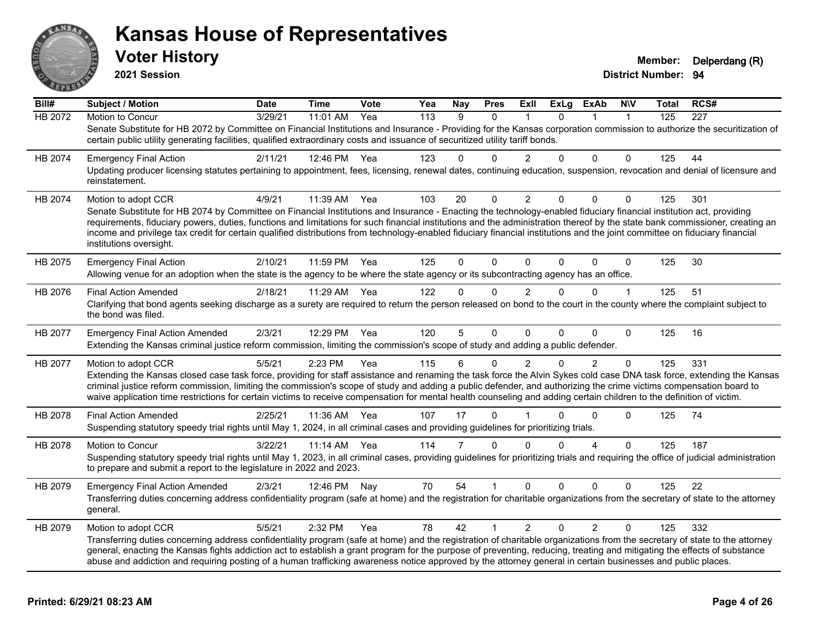

**2021 Session**

| Bill#   | <b>Subject / Motion</b>                                                                                                                                                                                                                                                                                                                                                                                                                                                                                                                                       | <b>Date</b> | Time         | Vote | Yea | Nay            | <b>Pres</b>  | <b>Exll</b>    | <b>ExLg</b> | <b>ExAb</b>    | <b>NIV</b>     | Total | RCS# |
|---------|---------------------------------------------------------------------------------------------------------------------------------------------------------------------------------------------------------------------------------------------------------------------------------------------------------------------------------------------------------------------------------------------------------------------------------------------------------------------------------------------------------------------------------------------------------------|-------------|--------------|------|-----|----------------|--------------|----------------|-------------|----------------|----------------|-------|------|
| HB 2072 | Motion to Concur                                                                                                                                                                                                                                                                                                                                                                                                                                                                                                                                              | 3/29/21     | 11:01 AM     | Yea  | 113 | 9              | $\mathbf{0}$ | $\mathbf 1$    | $\Omega$    |                | $\overline{1}$ | 125   | 227  |
|         | Senate Substitute for HB 2072 by Committee on Financial Institutions and Insurance - Providing for the Kansas corporation commission to authorize the securitization of<br>certain public utility generating facilities, qualified extraordinary costs and issuance of securitized utility tariff bonds.                                                                                                                                                                                                                                                      |             |              |      |     |                |              |                |             |                |                |       |      |
| HB 2074 | <b>Emergency Final Action</b>                                                                                                                                                                                                                                                                                                                                                                                                                                                                                                                                 | 2/11/21     | 12:46 PM Yea |      | 123 | $\Omega$       | $\Omega$     |                | $\Omega$    | $\mathbf{0}$   | $\Omega$       | 125   | 44   |
|         | Updating producer licensing statutes pertaining to appointment, fees, licensing, renewal dates, continuing education, suspension, revocation and denial of licensure and<br>reinstatement.                                                                                                                                                                                                                                                                                                                                                                    |             |              |      |     |                |              |                |             |                |                |       |      |
| HB 2074 | Motion to adopt CCR                                                                                                                                                                                                                                                                                                                                                                                                                                                                                                                                           | 4/9/21      | 11:39 AM Yea |      | 103 | 20             | $\Omega$     | $\overline{2}$ | 0           | $\mathbf 0$    | $\Omega$       | 125   | 301  |
|         | Senate Substitute for HB 2074 by Committee on Financial Institutions and Insurance - Enacting the technology-enabled fiduciary financial institution act, providing<br>requirements, fiduciary powers, duties, functions and limitations for such financial institutions and the administration thereof by the state bank commissioner, creating an<br>income and privilege tax credit for certain qualified distributions from technology-enabled fiduciary financial institutions and the joint committee on fiduciary financial<br>institutions oversight. |             |              |      |     |                |              |                |             |                |                |       |      |
| HB 2075 | <b>Emergency Final Action</b>                                                                                                                                                                                                                                                                                                                                                                                                                                                                                                                                 | 2/10/21     | 11:59 PM     | Yea  | 125 | $\Omega$       | $\Omega$     | $\Omega$       | $\Omega$    | $\mathbf{0}$   | $\Omega$       | 125   | 30   |
|         | Allowing venue for an adoption when the state is the agency to be where the state agency or its subcontracting agency has an office.                                                                                                                                                                                                                                                                                                                                                                                                                          |             |              |      |     |                |              |                |             |                |                |       |      |
| HB 2076 | <b>Final Action Amended</b>                                                                                                                                                                                                                                                                                                                                                                                                                                                                                                                                   | 2/18/21     | 11:29 AM     | Yea  | 122 | $\Omega$       | $\Omega$     | $\mathfrak{p}$ | $\Omega$    | $\mathbf{0}$   |                | 125   | 51   |
|         | Clarifying that bond agents seeking discharge as a surety are required to return the person released on bond to the court in the county where the complaint subject to<br>the bond was filed.                                                                                                                                                                                                                                                                                                                                                                 |             |              |      |     |                |              |                |             |                |                |       |      |
| HB 2077 | <b>Emergency Final Action Amended</b>                                                                                                                                                                                                                                                                                                                                                                                                                                                                                                                         | 2/3/21      | 12:29 PM     | Yea  | 120 | 5              | $\Omega$     | $\Omega$       | $\Omega$    | $\Omega$       | $\Omega$       | 125   | 16   |
|         | Extending the Kansas criminal justice reform commission, limiting the commission's scope of study and adding a public defender.                                                                                                                                                                                                                                                                                                                                                                                                                               |             |              |      |     |                |              |                |             |                |                |       |      |
| HB 2077 | Motion to adopt CCR                                                                                                                                                                                                                                                                                                                                                                                                                                                                                                                                           | 5/5/21      | 2:23 PM      | Yea  | 115 | 6              | 0            | $\mathcal{P}$  | $\Omega$    | $\overline{2}$ | $\Omega$       | 125   | 331  |
|         | Extending the Kansas closed case task force, providing for staff assistance and renaming the task force the Alvin Sykes cold case DNA task force, extending the Kansas<br>criminal justice reform commission, limiting the commission's scope of study and adding a public defender, and authorizing the crime victims compensation board to<br>waive application time restrictions for certain victims to receive compensation for mental health counseling and adding certain children to the definition of victim.                                         |             |              |      |     |                |              |                |             |                |                |       |      |
| HB 2078 | <b>Final Action Amended</b>                                                                                                                                                                                                                                                                                                                                                                                                                                                                                                                                   | 2/25/21     | 11:36 AM     | Yea  | 107 | 17             | $\Omega$     |                | $\Omega$    | 0              | $\Omega$       | 125   | 74   |
|         | Suspending statutory speedy trial rights until May 1, 2024, in all criminal cases and providing guidelines for prioritizing trials.                                                                                                                                                                                                                                                                                                                                                                                                                           |             |              |      |     |                |              |                |             |                |                |       |      |
| HB 2078 | Motion to Concur                                                                                                                                                                                                                                                                                                                                                                                                                                                                                                                                              | 3/22/21     | 11:14 AM     | Yea  | 114 | $\overline{7}$ | $\Omega$     | $\Omega$       | $\Omega$    | $\Delta$       | $\Omega$       | 125   | 187  |
|         | Suspending statutory speedy trial rights until May 1, 2023, in all criminal cases, providing guidelines for prioritizing trials and requiring the office of judicial administration<br>to prepare and submit a report to the legislature in 2022 and 2023.                                                                                                                                                                                                                                                                                                    |             |              |      |     |                |              |                |             |                |                |       |      |
| HB 2079 | <b>Emergency Final Action Amended</b>                                                                                                                                                                                                                                                                                                                                                                                                                                                                                                                         | 2/3/21      | 12:46 PM     | Nav  | 70  | 54             |              | $\Omega$       | $\Omega$    | $\Omega$       | $\Omega$       | 125   | 22   |
|         | Transferring duties concerning address confidentiality program (safe at home) and the registration for charitable organizations from the secretary of state to the attorney<br>general.                                                                                                                                                                                                                                                                                                                                                                       |             |              |      |     |                |              |                |             |                |                |       |      |
| HB 2079 | Motion to adopt CCR                                                                                                                                                                                                                                                                                                                                                                                                                                                                                                                                           | 5/5/21      | 2:32 PM      | Yea  | 78  | 42             | $\mathbf 1$  | $\overline{2}$ | $\Omega$    | 2              | $\Omega$       | 125   | 332  |
|         | Transferring duties concerning address confidentiality program (safe at home) and the registration of charitable organizations from the secretary of state to the attorney<br>general, enacting the Kansas fights addiction act to establish a grant program for the purpose of preventing, reducing, treating and mitigating the effects of substance                                                                                                                                                                                                        |             |              |      |     |                |              |                |             |                |                |       |      |
|         | abuse and addiction and requiring posting of a human trafficking awareness notice approved by the attorney general in certain businesses and public places.                                                                                                                                                                                                                                                                                                                                                                                                   |             |              |      |     |                |              |                |             |                |                |       |      |
|         |                                                                                                                                                                                                                                                                                                                                                                                                                                                                                                                                                               |             |              |      |     |                |              |                |             |                |                |       |      |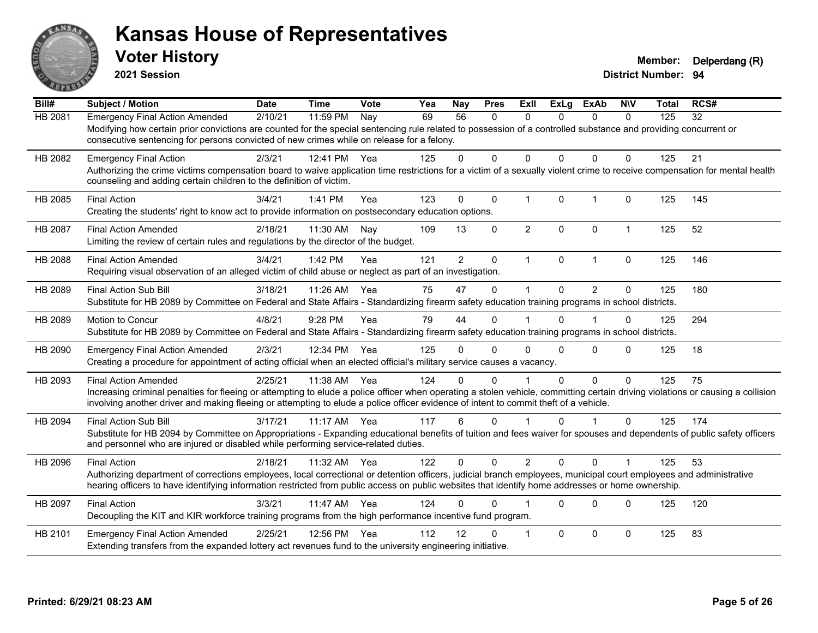

**2021 Session**

| Bill#          | Subject / Motion                                                                                                                                                                                                                                                                                                                                       | <b>Date</b> | <b>Time</b> | <b>Vote</b> | Yea | Nay            | <b>Pres</b>  | ExII           | <b>ExLg</b>  | <b>ExAb</b>    | <b>NIV</b>     | <b>Total</b> | RCS# |
|----------------|--------------------------------------------------------------------------------------------------------------------------------------------------------------------------------------------------------------------------------------------------------------------------------------------------------------------------------------------------------|-------------|-------------|-------------|-----|----------------|--------------|----------------|--------------|----------------|----------------|--------------|------|
| <b>HB 2081</b> | <b>Emergency Final Action Amended</b><br>Modifying how certain prior convictions are counted for the special sentencing rule related to possession of a controlled substance and providing concurrent or<br>consecutive sentencing for persons convicted of new crimes while on release for a felony.                                                  | 2/10/21     | 11:59 PM    | Nay         | 69  | 56             | $\mathbf{0}$ | $\Omega$       | 0            | $\mathbf{0}$   | $\mathbf{0}$   | 125          | 32   |
| HB 2082        | <b>Emergency Final Action</b><br>Authorizing the crime victims compensation board to waive application time restrictions for a victim of a sexually violent crime to receive compensation for mental health<br>counseling and adding certain children to the definition of victim.                                                                     | 2/3/21      | 12:41 PM    | Yea         | 125 | $\Omega$       | $\Omega$     | $\Omega$       | $\Omega$     | $\Omega$       | $\Omega$       | 125          | 21   |
| HB 2085        | <b>Final Action</b><br>Creating the students' right to know act to provide information on postsecondary education options.                                                                                                                                                                                                                             | 3/4/21      | 1:41 PM     | Yea         | 123 | $\mathbf{0}$   | $\mathbf 0$  | $\mathbf{1}$   | $\mathbf{0}$ | $\overline{1}$ | $\mathbf{0}$   | 125          | 145  |
| HB 2087        | <b>Final Action Amended</b><br>Limiting the review of certain rules and regulations by the director of the budget.                                                                                                                                                                                                                                     | 2/18/21     | 11:30 AM    | Nay         | 109 | 13             | $\Omega$     | $\overline{2}$ | $\Omega$     | $\Omega$       | $\mathbf{1}$   | 125          | 52   |
| HB 2088        | <b>Final Action Amended</b><br>Requiring visual observation of an alleged victim of child abuse or neglect as part of an investigation.                                                                                                                                                                                                                | 3/4/21      | 1:42 PM     | Yea         | 121 | $\overline{2}$ | 0            | $\mathbf{1}$   | 0            | $\overline{1}$ | $\mathbf 0$    | 125          | 146  |
| HB 2089        | Final Action Sub Bill<br>Substitute for HB 2089 by Committee on Federal and State Affairs - Standardizing firearm safety education training programs in school districts.                                                                                                                                                                              | 3/18/21     | 11:26 AM    | Yea         | 75  | 47             | $\mathbf{0}$ | 1              | $\Omega$     | $\overline{2}$ | $\Omega$       | 125          | 180  |
| HB 2089        | Motion to Concur<br>Substitute for HB 2089 by Committee on Federal and State Affairs - Standardizing firearm safety education training programs in school districts.                                                                                                                                                                                   | 4/8/21      | 9:28 PM     | Yea         | 79  | 44             | $\Omega$     |                | $\Omega$     |                | $\Omega$       | 125          | 294  |
| HB 2090        | <b>Emergency Final Action Amended</b><br>Creating a procedure for appointment of acting official when an elected official's military service causes a vacancy.                                                                                                                                                                                         | 2/3/21      | 12:34 PM    | Yea         | 125 | 0              | $\Omega$     | $\Omega$       | $\Omega$     | $\Omega$       | $\Omega$       | 125          | 18   |
| HB 2093        | <b>Final Action Amended</b><br>Increasing criminal penalties for fleeing or attempting to elude a police officer when operating a stolen vehicle, committing certain driving violations or causing a collision<br>involving another driver and making fleeing or attempting to elude a police officer evidence of intent to commit theft of a vehicle. | 2/25/21     | 11:38 AM    | Yea         | 124 | 0              | $\Omega$     |                | $\Omega$     | $\mathbf 0$    | $\Omega$       | 125          | 75   |
| HB 2094        | <b>Final Action Sub Bill</b><br>Substitute for HB 2094 by Committee on Appropriations - Expanding educational benefits of tuition and fees waiver for spouses and dependents of public safety officers<br>and personnel who are injured or disabled while performing service-related duties.                                                           | 3/17/21     | 11:17 AM    | Yea         | 117 | 6              | $\Omega$     |                | $\Omega$     |                | $\mathbf{0}$   | 125          | 174  |
| HB 2096        | <b>Final Action</b><br>Authorizing department of corrections employees, local correctional or detention officers, judicial branch employees, municipal court employees and administrative<br>hearing officers to have identifying information restricted from public access on public websites that identify home addresses or home ownership.         | 2/18/21     | 11:32 AM    | Yea         | 122 | $\Omega$       | $\Omega$     | $\overline{2}$ | $\Omega$     | $\Omega$       | $\overline{1}$ | 125          | 53   |
| HB 2097        | <b>Final Action</b><br>Decoupling the KIT and KIR workforce training programs from the high performance incentive fund program.                                                                                                                                                                                                                        | 3/3/21      | 11:47 AM    | Yea         | 124 | 0              | $\Omega$     |                | $\Omega$     | $\Omega$       | $\Omega$       | 125          | 120  |
| HB 2101        | <b>Emergency Final Action Amended</b><br>Extending transfers from the expanded lottery act revenues fund to the university engineering initiative.                                                                                                                                                                                                     | 2/25/21     | 12:56 PM    | Yea         | 112 | 12             | 0            | 1              | $\Omega$     | $\Omega$       | $\Omega$       | 125          | 83   |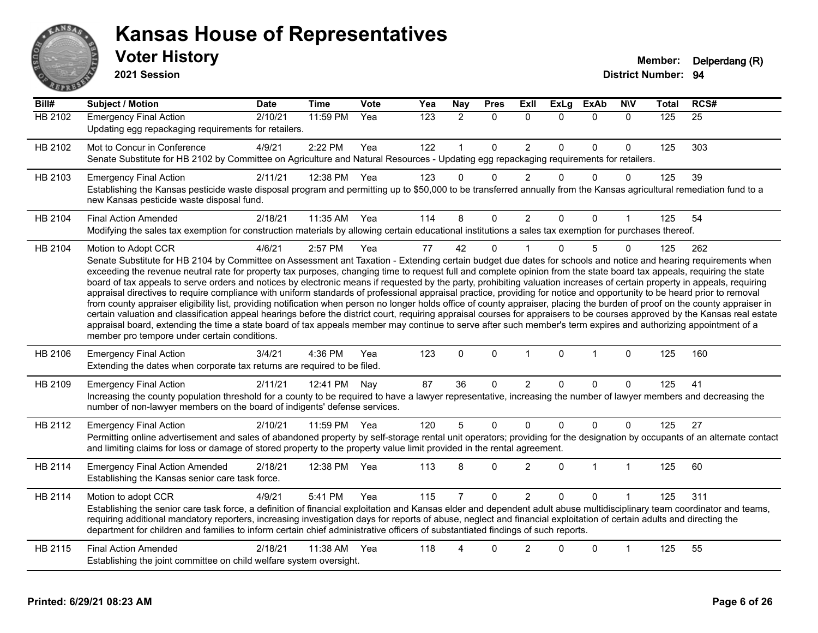

**2021 Session**

| Bill#          | <b>Subject / Motion</b>                                                                                                                                                                                                                                                                                                                                                                                                                                                                                                                                                                                                                                                                                                                                                                                                                                                                                                                                                                                                                                                                                                                                                                                                                                                                                     | <b>Date</b> | <b>Time</b> | Vote | Yea              | Nay            | <b>Pres</b>  | ExIl           | <b>ExLg</b> | <b>ExAb</b>  | <b>N\V</b>   | <b>Total</b> | RCS#            |
|----------------|-------------------------------------------------------------------------------------------------------------------------------------------------------------------------------------------------------------------------------------------------------------------------------------------------------------------------------------------------------------------------------------------------------------------------------------------------------------------------------------------------------------------------------------------------------------------------------------------------------------------------------------------------------------------------------------------------------------------------------------------------------------------------------------------------------------------------------------------------------------------------------------------------------------------------------------------------------------------------------------------------------------------------------------------------------------------------------------------------------------------------------------------------------------------------------------------------------------------------------------------------------------------------------------------------------------|-------------|-------------|------|------------------|----------------|--------------|----------------|-------------|--------------|--------------|--------------|-----------------|
| <b>HB 2102</b> | <b>Emergency Final Action</b><br>Updating egg repackaging requirements for retailers.                                                                                                                                                                                                                                                                                                                                                                                                                                                                                                                                                                                                                                                                                                                                                                                                                                                                                                                                                                                                                                                                                                                                                                                                                       | 2/10/21     | $11:59$ PM  | Yea  | $\overline{123}$ | $\overline{2}$ | $\Omega$     | $\Omega$       | 0           | $\mathbf{0}$ | $\mathbf{0}$ | 125          | $\overline{25}$ |
| HB 2102        | Mot to Concur in Conference<br>Senate Substitute for HB 2102 by Committee on Agriculture and Natural Resources - Updating egg repackaging requirements for retailers.                                                                                                                                                                                                                                                                                                                                                                                                                                                                                                                                                                                                                                                                                                                                                                                                                                                                                                                                                                                                                                                                                                                                       | 4/9/21      | 2:22 PM     | Yea  | 122              | $\mathbf{1}$   | $\mathbf 0$  | $\overline{2}$ | 0           | $\mathbf 0$  | 0            | 125          | 303             |
| HB 2103        | <b>Emergency Final Action</b><br>Establishing the Kansas pesticide waste disposal program and permitting up to \$50,000 to be transferred annually from the Kansas agricultural remediation fund to a<br>new Kansas pesticide waste disposal fund.                                                                                                                                                                                                                                                                                                                                                                                                                                                                                                                                                                                                                                                                                                                                                                                                                                                                                                                                                                                                                                                          | 2/11/21     | 12:38 PM    | Yea  | 123              | $\Omega$       | $\Omega$     | $\mathcal{P}$  | $\Omega$    | $\mathbf{0}$ | $\Omega$     | 125          | 39              |
| HB 2104        | <b>Final Action Amended</b><br>Modifying the sales tax exemption for construction materials by allowing certain educational institutions a sales tax exemption for purchases thereof.                                                                                                                                                                                                                                                                                                                                                                                                                                                                                                                                                                                                                                                                                                                                                                                                                                                                                                                                                                                                                                                                                                                       | 2/18/21     | 11:35 AM    | Yea  | 114              | 8              | $\mathbf 0$  | $\overline{2}$ | $\Omega$    | $\mathbf 0$  | $\mathbf{1}$ | 125          | 54              |
| HB 2104        | Motion to Adopt CCR<br>Senate Substitute for HB 2104 by Committee on Assessment ant Taxation - Extending certain budget due dates for schools and notice and hearing requirements when<br>exceeding the revenue neutral rate for property tax purposes, changing time to request full and complete opinion from the state board tax appeals, requiring the state<br>board of tax appeals to serve orders and notices by electronic means if requested by the party, prohibiting valuation increases of certain property in appeals, requiring<br>appraisal directives to require compliance with uniform standards of professional appraisal practice, providing for notice and opportunity to be heard prior to removal<br>from county appraiser eligibility list, providing notification when person no longer holds office of county appraiser, placing the burden of proof on the county appraiser in<br>certain valuation and classification appeal hearings before the district court, requiring appraisal courses for appraisers to be courses approved by the Kansas real estate<br>appraisal board, extending the time a state board of tax appeals member may continue to serve after such member's term expires and authorizing appointment of a<br>member pro tempore under certain conditions. | 4/6/21      | 2:57 PM     | Yea  | 77               | 42             | $\Omega$     |                | $\Omega$    | 5            | 0            | 125          | 262             |
| HB 2106        | <b>Emergency Final Action</b><br>Extending the dates when corporate tax returns are required to be filed.                                                                                                                                                                                                                                                                                                                                                                                                                                                                                                                                                                                                                                                                                                                                                                                                                                                                                                                                                                                                                                                                                                                                                                                                   | 3/4/21      | 4:36 PM     | Yea  | 123              | $\mathbf 0$    | $\mathbf{0}$ | $\mathbf{1}$   | $\mathbf 0$ | $\mathbf{1}$ | $\mathbf{0}$ | 125          | 160             |
| HB 2109        | <b>Emergency Final Action</b><br>Increasing the county population threshold for a county to be required to have a lawyer representative, increasing the number of lawyer members and decreasing the<br>number of non-lawyer members on the board of indigents' defense services.                                                                                                                                                                                                                                                                                                                                                                                                                                                                                                                                                                                                                                                                                                                                                                                                                                                                                                                                                                                                                            | 2/11/21     | 12:41 PM    | Nay  | 87               | 36             | $\mathbf{0}$ | $\overline{2}$ | $\Omega$    | $\Omega$     | $\Omega$     | 125          | 41              |
| HB 2112        | <b>Emergency Final Action</b><br>Permitting online advertisement and sales of abandoned property by self-storage rental unit operators; providing for the designation by occupants of an alternate contact<br>and limiting claims for loss or damage of stored property to the property value limit provided in the rental agreement.                                                                                                                                                                                                                                                                                                                                                                                                                                                                                                                                                                                                                                                                                                                                                                                                                                                                                                                                                                       | 2/10/21     | 11:59 PM    | Yea  | 120              | 5              | $\mathbf 0$  | $\Omega$       | $\Omega$    | $\mathbf 0$  | $\Omega$     | 125          | 27              |
| HB 2114        | <b>Emergency Final Action Amended</b><br>Establishing the Kansas senior care task force.                                                                                                                                                                                                                                                                                                                                                                                                                                                                                                                                                                                                                                                                                                                                                                                                                                                                                                                                                                                                                                                                                                                                                                                                                    | 2/18/21     | 12:38 PM    | Yea  | 113              | 8              | $\mathbf{0}$ | $\overline{2}$ | 0           | $\mathbf{1}$ | $\mathbf{1}$ | 125          | 60              |
| HB 2114        | Motion to adopt CCR<br>Establishing the senior care task force, a definition of financial exploitation and Kansas elder and dependent adult abuse multidisciplinary team coordinator and teams,<br>requiring additional mandatory reporters, increasing investigation days for reports of abuse, neglect and financial exploitation of certain adults and directing the<br>department for children and families to inform certain chief administrative officers of substantiated findings of such reports.                                                                                                                                                                                                                                                                                                                                                                                                                                                                                                                                                                                                                                                                                                                                                                                                  | 4/9/21      | 5:41 PM     | Yea  | 115              | $\overline{7}$ | $\mathbf{0}$ | $\overline{2}$ | $\Omega$    | $\Omega$     |              | 125          | 311             |
| HB 2115        | <b>Final Action Amended</b><br>Establishing the joint committee on child welfare system oversight.                                                                                                                                                                                                                                                                                                                                                                                                                                                                                                                                                                                                                                                                                                                                                                                                                                                                                                                                                                                                                                                                                                                                                                                                          | 2/18/21     | 11:38 AM    | Yea  | 118              | $\Delta$       | $\Omega$     | $\overline{2}$ | $\Omega$    | $\Omega$     | 1            | 125          | 55              |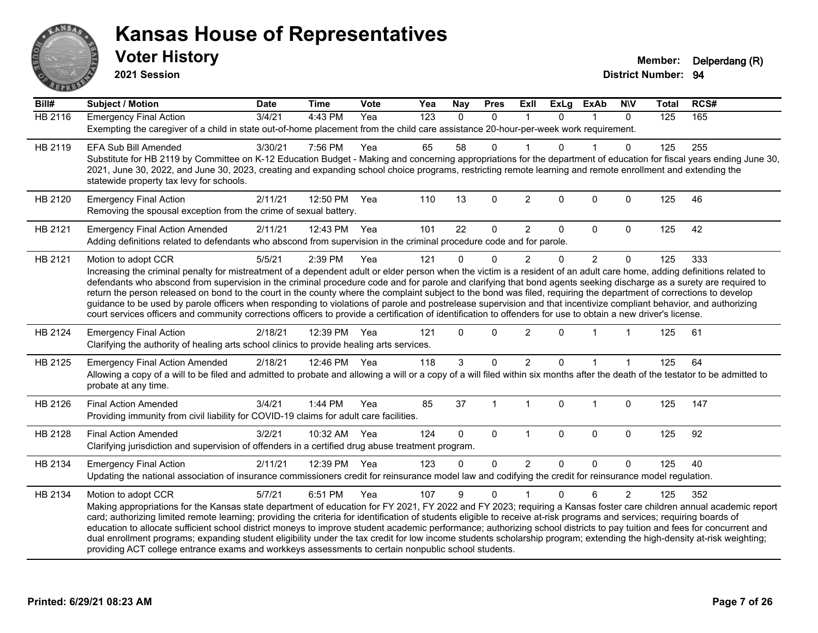

**2021 Session**

| Bill#          | <b>Subject / Motion</b>                                                                                                                                                                                                                                                                                                                                                                                                                                                                                                                                                                                                                                                                                                                                                                                                                                                                | <b>Date</b> | <b>Time</b>  | Vote | Yea              | Nay          | <b>Pres</b>  | ExII           | <b>ExLg</b>  | <b>ExAb</b>    | <b>NIV</b>     | <b>Total</b> | RCS# |
|----------------|----------------------------------------------------------------------------------------------------------------------------------------------------------------------------------------------------------------------------------------------------------------------------------------------------------------------------------------------------------------------------------------------------------------------------------------------------------------------------------------------------------------------------------------------------------------------------------------------------------------------------------------------------------------------------------------------------------------------------------------------------------------------------------------------------------------------------------------------------------------------------------------|-------------|--------------|------|------------------|--------------|--------------|----------------|--------------|----------------|----------------|--------------|------|
| <b>HB 2116</b> | <b>Emergency Final Action</b><br>Exempting the caregiver of a child in state out-of-home placement from the child care assistance 20-hour-per-week work requirement.                                                                                                                                                                                                                                                                                                                                                                                                                                                                                                                                                                                                                                                                                                                   | 3/4/21      | 4:43 PM      | Yea  | $\overline{123}$ | $\mathbf{0}$ | $\Omega$     |                | $\Omega$     | 1              | $\mathbf{0}$   | 125          | 165  |
| HB 2119        | <b>EFA Sub Bill Amended</b><br>Substitute for HB 2119 by Committee on K-12 Education Budget - Making and concerning appropriations for the department of education for fiscal years ending June 30,<br>2021, June 30, 2022, and June 30, 2023, creating and expanding school choice programs, restricting remote learning and remote enrollment and extending the<br>statewide property tax levy for schools.                                                                                                                                                                                                                                                                                                                                                                                                                                                                          | 3/30/21     | 7:56 PM      | Yea  | 65               | 58           | $\Omega$     |                | $\Omega$     |                | $\Omega$       | 125          | 255  |
| HB 2120        | <b>Emergency Final Action</b><br>Removing the spousal exception from the crime of sexual battery.                                                                                                                                                                                                                                                                                                                                                                                                                                                                                                                                                                                                                                                                                                                                                                                      | 2/11/21     | 12:50 PM     | Yea  | 110              | 13           | 0            | $\overline{2}$ | $\mathbf{0}$ | 0              | $\mathbf 0$    | 125          | 46   |
| HB 2121        | <b>Emergency Final Action Amended</b><br>Adding definitions related to defendants who abscond from supervision in the criminal procedure code and for parole.                                                                                                                                                                                                                                                                                                                                                                                                                                                                                                                                                                                                                                                                                                                          | 2/11/21     | 12:43 PM Yea |      | 101              | 22           | 0            | $\overline{2}$ | 0            | 0              | $\mathbf 0$    | 125          | 42   |
| HB 2121        | Motion to adopt CCR<br>Increasing the criminal penalty for mistreatment of a dependent adult or elder person when the victim is a resident of an adult care home, adding definitions related to<br>defendants who abscond from supervision in the criminal procedure code and for parole and clarifying that bond agents seeking discharge as a surety are required to<br>return the person released on bond to the court in the county where the complaint subject to the bond was filed, requiring the department of corrections to develop<br>guidance to be used by parole officers when responding to violations of parole and postrelease supervision and that incentivize compliant behavior, and authorizing<br>court services officers and community corrections officers to provide a certification of identification to offenders for use to obtain a new driver's license. | 5/5/21      | 2:39 PM      | Yea  | 121              | $\Omega$     | $\Omega$     | $\overline{2}$ | $\mathbf{0}$ | $\overline{2}$ | $\mathbf 0$    | 125          | 333  |
| HB 2124        | <b>Emergency Final Action</b><br>Clarifying the authority of healing arts school clinics to provide healing arts services.                                                                                                                                                                                                                                                                                                                                                                                                                                                                                                                                                                                                                                                                                                                                                             | 2/18/21     | 12:39 PM     | Yea  | 121              | $\Omega$     | $\Omega$     | $\overline{2}$ | $\Omega$     |                |                | 125          | 61   |
| HB 2125        | <b>Emergency Final Action Amended</b><br>Allowing a copy of a will to be filed and admitted to probate and allowing a will or a copy of a will filed within six months after the death of the testator to be admitted to<br>probate at any time.                                                                                                                                                                                                                                                                                                                                                                                                                                                                                                                                                                                                                                       | 2/18/21     | 12:46 PM Yea |      | 118              | 3            | $\Omega$     | $\overline{2}$ | $\Omega$     |                |                | 125          | 64   |
| HB 2126        | <b>Final Action Amended</b><br>Providing immunity from civil liability for COVID-19 claims for adult care facilities.                                                                                                                                                                                                                                                                                                                                                                                                                                                                                                                                                                                                                                                                                                                                                                  | 3/4/21      | 1:44 PM      | Yea  | 85               | 37           | $\mathbf{1}$ | $\overline{1}$ | $\mathbf 0$  | $\mathbf{1}$   | 0              | 125          | 147  |
| HB 2128        | <b>Final Action Amended</b><br>Clarifying jurisdiction and supervision of offenders in a certified drug abuse treatment program.                                                                                                                                                                                                                                                                                                                                                                                                                                                                                                                                                                                                                                                                                                                                                       | 3/2/21      | 10:32 AM     | Yea  | 124              | $\Omega$     | $\mathbf 0$  | $\overline{1}$ | $\mathbf 0$  | 0              | $\mathbf 0$    | 125          | 92   |
| HB 2134        | <b>Emergency Final Action</b><br>Updating the national association of insurance commissioners credit for reinsurance model law and codifying the credit for reinsurance model regulation.                                                                                                                                                                                                                                                                                                                                                                                                                                                                                                                                                                                                                                                                                              | 2/11/21     | 12:39 PM     | Yea  | 123              | $\Omega$     | $\Omega$     | 2              | $\Omega$     | $\Omega$       | $\Omega$       | 125          | 40   |
| HB 2134        | Motion to adopt CCR<br>Making appropriations for the Kansas state department of education for FY 2021, FY 2022 and FY 2023; requiring a Kansas foster care children annual academic report<br>card; authorizing limited remote learning; providing the criteria for identification of students eligible to receive at-risk programs and services; requiring boards of<br>education to allocate sufficient school district moneys to improve student academic performance; authorizing school districts to pay tuition and fees for concurrent and<br>dual enrollment programs; expanding student eligibility under the tax credit for low income students scholarship program; extending the high-density at-risk weighting;<br>providing ACT college entrance exams and workkeys assessments to certain nonpublic school students.                                                    | 5/7/21      | 6:51 PM      | Yea  | 107              | 9            | $\Omega$     |                | $\mathbf{0}$ | 6              | $\overline{2}$ | 125          | 352  |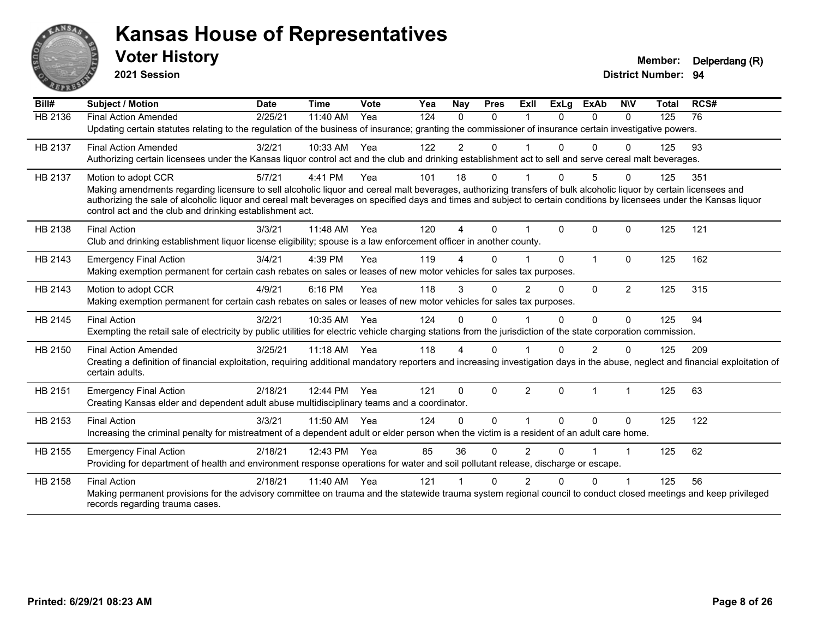

**2021 Session**

| Bill#   | <b>Subject / Motion</b>                                                                                                                                                                                                                                                                                                                                                                                | <b>Date</b> | <b>Time</b> | Vote | Yea | <b>Nay</b>   | <b>Pres</b>  | ExII           | ExLg         | <b>ExAb</b>    | <b>NIV</b>     | <b>Total</b> | RCS# |  |
|---------|--------------------------------------------------------------------------------------------------------------------------------------------------------------------------------------------------------------------------------------------------------------------------------------------------------------------------------------------------------------------------------------------------------|-------------|-------------|------|-----|--------------|--------------|----------------|--------------|----------------|----------------|--------------|------|--|
| HB 2136 | <b>Final Action Amended</b>                                                                                                                                                                                                                                                                                                                                                                            | 2/25/21     | 11:40 AM    | Yea  | 124 | $\Omega$     | $\mathbf{0}$ |                | $\Omega$     | $\Omega$       | $\Omega$       | 125          | 76   |  |
|         | Updating certain statutes relating to the regulation of the business of insurance; granting the commissioner of insurance certain investigative powers.                                                                                                                                                                                                                                                |             |             |      |     |              |              |                |              |                |                |              |      |  |
| HB 2137 | <b>Final Action Amended</b>                                                                                                                                                                                                                                                                                                                                                                            | 3/2/21      | 10:33 AM    | Yea  | 122 | 2            | $\mathbf{0}$ |                | $\Omega$     | $\Omega$       | $\Omega$       | 125          | 93   |  |
|         | Authorizing certain licensees under the Kansas liquor control act and the club and drinking establishment act to sell and serve cereal malt beverages.                                                                                                                                                                                                                                                 |             |             |      |     |              |              |                |              |                |                |              |      |  |
| HB 2137 | Motion to adopt CCR                                                                                                                                                                                                                                                                                                                                                                                    | 5/7/21      | 4:41 PM     | Yea  | 101 | 18           | $\Omega$     |                | $\Omega$     | 5              | $\Omega$       | 125          | 351  |  |
|         | Making amendments regarding licensure to sell alcoholic liquor and cereal malt beverages, authorizing transfers of bulk alcoholic liquor by certain licensees and<br>authorizing the sale of alcoholic liquor and cereal malt beverages on specified days and times and subject to certain conditions by licensees under the Kansas liquor<br>control act and the club and drinking establishment act. |             |             |      |     |              |              |                |              |                |                |              |      |  |
| HB 2138 | <b>Final Action</b>                                                                                                                                                                                                                                                                                                                                                                                    | 3/3/21      | 11:48 AM    | Yea  | 120 | $\Delta$     | $\Omega$     |                | $\Omega$     | $\mathbf{0}$   | $\Omega$       | 125          | 121  |  |
|         | Club and drinking establishment liquor license eligibility; spouse is a law enforcement officer in another county.                                                                                                                                                                                                                                                                                     |             |             |      |     |              |              |                |              |                |                |              |      |  |
| HB 2143 | <b>Emergency Final Action</b>                                                                                                                                                                                                                                                                                                                                                                          | 3/4/21      | 4:39 PM     | Yea  | 119 | 4            | $\Omega$     |                | $\Omega$     | 1              | $\Omega$       | 125          | 162  |  |
|         | Making exemption permanent for certain cash rebates on sales or leases of new motor vehicles for sales tax purposes.                                                                                                                                                                                                                                                                                   |             |             |      |     |              |              |                |              |                |                |              |      |  |
| HB 2143 | Motion to adopt CCR                                                                                                                                                                                                                                                                                                                                                                                    | 4/9/21      | 6:16 PM     | Yea  | 118 | 3            | $\Omega$     | $\mathcal{P}$  | $\Omega$     | $\Omega$       | $\overline{2}$ | 125          | 315  |  |
|         | Making exemption permanent for certain cash rebates on sales or leases of new motor vehicles for sales tax purposes.                                                                                                                                                                                                                                                                                   |             |             |      |     |              |              |                |              |                |                |              |      |  |
| HB 2145 | <b>Final Action</b>                                                                                                                                                                                                                                                                                                                                                                                    | 3/2/21      | 10:35 AM    | Yea  | 124 | 0            | $\Omega$     |                | $\mathbf{0}$ | $\mathbf{0}$   | $\Omega$       | 125          | 94   |  |
|         | Exempting the retail sale of electricity by public utilities for electric vehicle charging stations from the jurisdiction of the state corporation commission.                                                                                                                                                                                                                                         |             |             |      |     |              |              |                |              |                |                |              |      |  |
| HB 2150 | <b>Final Action Amended</b>                                                                                                                                                                                                                                                                                                                                                                            | 3/25/21     | 11:18 AM    | Yea  | 118 | Δ            | 0            |                | $\Omega$     | $\overline{2}$ | $\Omega$       | 125          | 209  |  |
|         | Creating a definition of financial exploitation, requiring additional mandatory reporters and increasing investigation days in the abuse, neglect and financial exploitation of<br>certain adults.                                                                                                                                                                                                     |             |             |      |     |              |              |                |              |                |                |              |      |  |
| HB 2151 | <b>Emergency Final Action</b>                                                                                                                                                                                                                                                                                                                                                                          | 2/18/21     | 12:44 PM    | Yea  | 121 | $\Omega$     | $\Omega$     | $\overline{2}$ | $\Omega$     | 1              |                | 125          | 63   |  |
|         | Creating Kansas elder and dependent adult abuse multidisciplinary teams and a coordinator.                                                                                                                                                                                                                                                                                                             |             |             |      |     |              |              |                |              |                |                |              |      |  |
| HB 2153 | <b>Final Action</b>                                                                                                                                                                                                                                                                                                                                                                                    | 3/3/21      | 11:50 AM    | Yea  | 124 | $\mathbf{0}$ | $\Omega$     |                | $\Omega$     | $\mathbf{0}$   | $\Omega$       | 125          | 122  |  |
|         | Increasing the criminal penalty for mistreatment of a dependent adult or elder person when the victim is a resident of an adult care home.                                                                                                                                                                                                                                                             |             |             |      |     |              |              |                |              |                |                |              |      |  |
| HB 2155 | <b>Emergency Final Action</b>                                                                                                                                                                                                                                                                                                                                                                          | 2/18/21     | 12:43 PM    | Yea  | 85  | 36           | $\Omega$     | $\overline{2}$ | $\Omega$     |                |                | 125          | 62   |  |
|         | Providing for department of health and environment response operations for water and soil pollutant release, discharge or escape.                                                                                                                                                                                                                                                                      |             |             |      |     |              |              |                |              |                |                |              |      |  |
| HB 2158 | <b>Final Action</b>                                                                                                                                                                                                                                                                                                                                                                                    | 2/18/21     | 11:40 AM    | Yea  | 121 |              | $\Omega$     | $\mathcal{P}$  | $\Omega$     | $\Omega$       |                | 125          | 56   |  |
|         | Making permanent provisions for the advisory committee on trauma and the statewide trauma system regional council to conduct closed meetings and keep privileged<br>records regarding trauma cases.                                                                                                                                                                                                    |             |             |      |     |              |              |                |              |                |                |              |      |  |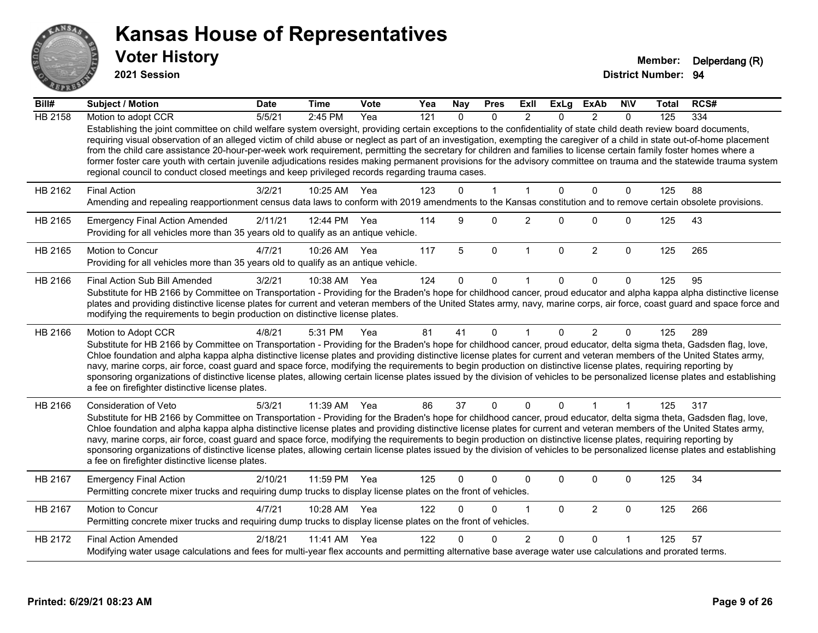

**2021 Session**

| Bill#          | <b>Subject / Motion</b>                                                                                                                                                                                                                                                                                                                                                                                                                                                                                                                                                                                                                                                                                                                                                                               | <b>Date</b> | <b>Time</b>  | Vote | Yea | Nay      | <b>Pres</b>  | ExII           | <b>ExLg</b> | <b>ExAb</b>    | <b>NIV</b>   | Total | RCS# |
|----------------|-------------------------------------------------------------------------------------------------------------------------------------------------------------------------------------------------------------------------------------------------------------------------------------------------------------------------------------------------------------------------------------------------------------------------------------------------------------------------------------------------------------------------------------------------------------------------------------------------------------------------------------------------------------------------------------------------------------------------------------------------------------------------------------------------------|-------------|--------------|------|-----|----------|--------------|----------------|-------------|----------------|--------------|-------|------|
| <b>HB 2158</b> | Motion to adopt CCR                                                                                                                                                                                                                                                                                                                                                                                                                                                                                                                                                                                                                                                                                                                                                                                   | 5/5/21      | 2:45 PM      | Yea  | 121 | $\Omega$ | $\Omega$     | $\mathfrak{p}$ | $\Omega$    | $\mathcal{P}$  | $\Omega$     | 125   | 334  |
|                | Establishing the joint committee on child welfare system oversight, providing certain exceptions to the confidentiality of state child death review board documents,<br>requiring visual observation of an alleged victim of child abuse or neglect as part of an investigation, exempting the caregiver of a child in state out-of-home placement<br>from the child care assistance 20-hour-per-week work requirement, permitting the secretary for children and families to license certain family foster homes where a<br>former foster care youth with certain juvenile adjudications resides making permanent provisions for the advisory committee on trauma and the statewide trauma system<br>regional council to conduct closed meetings and keep privileged records regarding trauma cases. |             |              |      |     |          |              |                |             |                |              |       |      |
| HB 2162        | <b>Final Action</b>                                                                                                                                                                                                                                                                                                                                                                                                                                                                                                                                                                                                                                                                                                                                                                                   | 3/2/21      | 10:25 AM     | Yea  | 123 | $\Omega$ | $\mathbf 1$  | 1              | 0           | $\Omega$       | $\Omega$     | 125   | 88   |
|                | Amending and repealing reapportionment census data laws to conform with 2019 amendments to the Kansas constitution and to remove certain obsolete provisions.                                                                                                                                                                                                                                                                                                                                                                                                                                                                                                                                                                                                                                         |             |              |      |     |          |              |                |             |                |              |       |      |
| HB 2165        | <b>Emergency Final Action Amended</b><br>Providing for all vehicles more than 35 years old to qualify as an antique vehicle.                                                                                                                                                                                                                                                                                                                                                                                                                                                                                                                                                                                                                                                                          | 2/11/21     | 12:44 PM     | Yea  | 114 | 9        | $\Omega$     | $\overline{2}$ | $\Omega$    | $\Omega$       | $\mathbf 0$  | 125   | 43   |
| HB 2165        | <b>Motion to Concur</b><br>Providing for all vehicles more than 35 years old to qualify as an antique vehicle.                                                                                                                                                                                                                                                                                                                                                                                                                                                                                                                                                                                                                                                                                        | 4/7/21      | 10:26 AM     | Yea  | 117 | 5        | 0            | $\mathbf 1$    | $\mathbf 0$ | $\overline{c}$ | $\mathbf 0$  | 125   | 265  |
| HB 2166        | Final Action Sub Bill Amended                                                                                                                                                                                                                                                                                                                                                                                                                                                                                                                                                                                                                                                                                                                                                                         | 3/2/21      | 10:38 AM Yea |      | 124 |          | 0            |                | 0           | 0              | 0            | 125   | 95   |
|                | Substitute for HB 2166 by Committee on Transportation - Providing for the Braden's hope for childhood cancer, proud educator and alpha kappa alpha distinctive license<br>plates and providing distinctive license plates for current and veteran members of the United States army, navy, marine corps, air force, coast guard and space force and<br>modifying the requirements to begin production on distinctive license plates.                                                                                                                                                                                                                                                                                                                                                                  |             |              |      |     |          |              |                |             |                |              |       |      |
| HB 2166        | Motion to Adopt CCR                                                                                                                                                                                                                                                                                                                                                                                                                                                                                                                                                                                                                                                                                                                                                                                   | 4/8/21      | 5:31 PM      | Yea  | 81  | 41       | $\Omega$     | 1              | $\Omega$    | $\overline{2}$ | $\Omega$     | 125   | 289  |
|                | Substitute for HB 2166 by Committee on Transportation - Providing for the Braden's hope for childhood cancer, proud educator, delta sigma theta, Gadsden flag, love,<br>Chloe foundation and alpha kappa alpha distinctive license plates and providing distinctive license plates for current and veteran members of the United States army,<br>navy, marine corps, air force, coast guard and space force, modifying the requirements to begin production on distinctive license plates, requiring reporting by<br>sponsoring organizations of distinctive license plates, allowing certain license plates issued by the division of vehicles to be personalized license plates and establishing<br>a fee on firefighter distinctive license plates.                                                |             |              |      |     |          |              |                |             |                |              |       |      |
| HB 2166        | Consideration of Veto                                                                                                                                                                                                                                                                                                                                                                                                                                                                                                                                                                                                                                                                                                                                                                                 | 5/3/21      | 11:39 AM Yea |      | 86  | 37       | $\mathbf 0$  | $\Omega$       | 0           | $\mathbf 1$    | $\mathbf{1}$ | 125   | 317  |
|                | Substitute for HB 2166 by Committee on Transportation - Providing for the Braden's hope for childhood cancer, proud educator, delta sigma theta, Gadsden flag, love,<br>Chloe foundation and alpha kappa alpha distinctive license plates and providing distinctive license plates for current and veteran members of the United States army,<br>navy, marine corps, air force, coast guard and space force, modifying the requirements to begin production on distinctive license plates, requiring reporting by<br>sponsoring organizations of distinctive license plates, allowing certain license plates issued by the division of vehicles to be personalized license plates and establishing<br>a fee on firefighter distinctive license plates.                                                |             |              |      |     |          |              |                |             |                |              |       |      |
| HB 2167        | <b>Emergency Final Action</b><br>Permitting concrete mixer trucks and requiring dump trucks to display license plates on the front of vehicles.                                                                                                                                                                                                                                                                                                                                                                                                                                                                                                                                                                                                                                                       | 2/10/21     | 11:59 PM     | Yea  | 125 | 0        | $\Omega$     | $\Omega$       | 0           | 0              | $\mathbf 0$  | 125   | 34   |
| HB 2167        | Motion to Concur<br>Permitting concrete mixer trucks and requiring dump trucks to display license plates on the front of vehicles.                                                                                                                                                                                                                                                                                                                                                                                                                                                                                                                                                                                                                                                                    | 4/7/21      | 10:28 AM     | Yea  | 122 | 0        | $\mathbf{0}$ |                | $\Omega$    | $\overline{2}$ | $\mathbf 0$  | 125   | 266  |
| HB 2172        | <b>Final Action Amended</b>                                                                                                                                                                                                                                                                                                                                                                                                                                                                                                                                                                                                                                                                                                                                                                           | 2/18/21     | 11:41 AM     | Yea  | 122 |          | n            | 2              | 0           | $\Omega$       |              | 125   | 57   |
|                | Modifying water usage calculations and fees for multi-year flex accounts and permitting alternative base average water use calculations and prorated terms.                                                                                                                                                                                                                                                                                                                                                                                                                                                                                                                                                                                                                                           |             |              |      |     |          |              |                |             |                |              |       |      |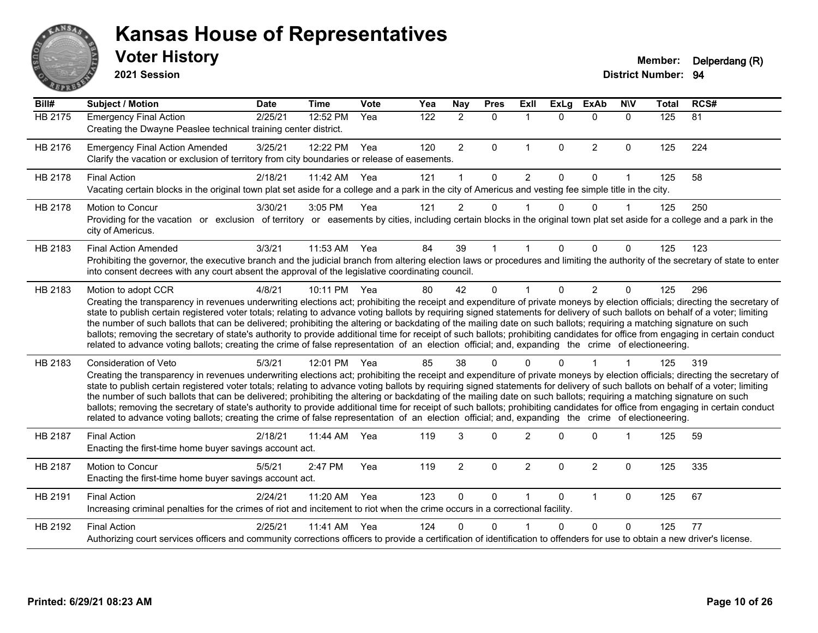

**2021 Session**

| Bill#   | <b>Subject / Motion</b>                                                                                                                                                                                                                                                                                                                                                                                                                                                                                                                                                                                                                                                                                                                                                                                                                                                                                    | <b>Date</b> | <b>Time</b>  | Vote  | Yea | Nay            | <b>Pres</b>  | <b>ExII</b>    | <b>ExLg</b>  | <b>ExAb</b>    | <b>NIV</b>   | <b>Total</b> | RCS# |
|---------|------------------------------------------------------------------------------------------------------------------------------------------------------------------------------------------------------------------------------------------------------------------------------------------------------------------------------------------------------------------------------------------------------------------------------------------------------------------------------------------------------------------------------------------------------------------------------------------------------------------------------------------------------------------------------------------------------------------------------------------------------------------------------------------------------------------------------------------------------------------------------------------------------------|-------------|--------------|-------|-----|----------------|--------------|----------------|--------------|----------------|--------------|--------------|------|
| HB 2175 | <b>Emergency Final Action</b><br>Creating the Dwayne Peaslee technical training center district.                                                                                                                                                                                                                                                                                                                                                                                                                                                                                                                                                                                                                                                                                                                                                                                                           | 2/25/21     | 12:52 PM     | Yea   | 122 | $\overline{2}$ | $\mathbf{0}$ | $\overline{1}$ | $\Omega$     | $\Omega$       | $\mathbf{0}$ | 125          | 81   |
| HB 2176 | <b>Emergency Final Action Amended</b><br>Clarify the vacation or exclusion of territory from city boundaries or release of easements.                                                                                                                                                                                                                                                                                                                                                                                                                                                                                                                                                                                                                                                                                                                                                                      | 3/25/21     | 12:22 PM     | Yea   | 120 | $\overline{2}$ | 0            | $\mathbf{1}$   | $\mathbf{0}$ | $\overline{2}$ | $\mathbf 0$  | 125          | 224  |
| HB 2178 | <b>Final Action</b><br>Vacating certain blocks in the original town plat set aside for a college and a park in the city of Americus and vesting fee simple title in the city.                                                                                                                                                                                                                                                                                                                                                                                                                                                                                                                                                                                                                                                                                                                              | 2/18/21     | 11:42 AM     | Yea   | 121 |                | $\Omega$     | 2              | $\Omega$     | $\Omega$       | 1            | 125          | 58   |
| HB 2178 | Motion to Concur<br>Providing for the vacation or exclusion of territory or easements by cities, including certain blocks in the original town plat set aside for a college and a park in the<br>city of Americus.                                                                                                                                                                                                                                                                                                                                                                                                                                                                                                                                                                                                                                                                                         | 3/30/21     | 3:05 PM      | Yea   | 121 | $\overline{2}$ | 0            |                | 0            | $\mathbf 0$    | 1            | 125          | 250  |
| HB 2183 | <b>Final Action Amended</b><br>Prohibiting the governor, the executive branch and the judicial branch from altering election laws or procedures and limiting the authority of the secretary of state to enter<br>into consent decrees with any court absent the approval of the legislative coordinating council.                                                                                                                                                                                                                                                                                                                                                                                                                                                                                                                                                                                          | 3/3/21      | 11:53 AM     | Yea   | 84  | 39             |              |                | 0            | $\Omega$       | $\Omega$     | 125          | 123  |
| HB 2183 | Motion to adopt CCR<br>Creating the transparency in revenues underwriting elections act; prohibiting the receipt and expenditure of private moneys by election officials; directing the secretary of<br>state to publish certain registered voter totals; relating to advance voting ballots by requiring signed statements for delivery of such ballots on behalf of a voter; limiting<br>the number of such ballots that can be delivered; prohibiting the altering or backdating of the mailing date on such ballots; requiring a matching signature on such<br>ballots; removing the secretary of state's authority to provide additional time for receipt of such ballots; prohibiting candidates for office from engaging in certain conduct<br>related to advance voting ballots; creating the crime of false representation of an election official; and, expanding the crime of electioneering.   | 4/8/21      | 10:11 PM Yea |       | 80  | 42             | $\Omega$     |                | $\Omega$     | $\overline{2}$ | $\Omega$     | 125          | 296  |
| HB 2183 | Consideration of Veto<br>Creating the transparency in revenues underwriting elections act; prohibiting the receipt and expenditure of private moneys by election officials; directing the secretary of<br>state to publish certain registered voter totals; relating to advance voting ballots by requiring signed statements for delivery of such ballots on behalf of a voter; limiting<br>the number of such ballots that can be delivered; prohibiting the altering or backdating of the mailing date on such ballots; requiring a matching signature on such<br>ballots; removing the secretary of state's authority to provide additional time for receipt of such ballots; prohibiting candidates for office from engaging in certain conduct<br>related to advance voting ballots; creating the crime of false representation of an election official; and, expanding the crime of electioneering. | 5/3/21      | 12:01 PM     | - Yea | 85  | 38             | U            |                |              |                |              | 125          | 319  |
| HB 2187 | <b>Final Action</b><br>Enacting the first-time home buyer savings account act.                                                                                                                                                                                                                                                                                                                                                                                                                                                                                                                                                                                                                                                                                                                                                                                                                             | 2/18/21     | 11:44 AM     | Yea   | 119 | 3              | $\Omega$     | $\overline{2}$ | U            | $\Omega$       |              | 125          | 59   |
| HB 2187 | <b>Motion to Concur</b><br>Enacting the first-time home buyer savings account act.                                                                                                                                                                                                                                                                                                                                                                                                                                                                                                                                                                                                                                                                                                                                                                                                                         | 5/5/21      | 2:47 PM      | Yea   | 119 | $\overline{2}$ | $\Omega$     | 2              | $\Omega$     | $\overline{2}$ | $\Omega$     | 125          | 335  |
| HB 2191 | <b>Final Action</b><br>Increasing criminal penalties for the crimes of riot and incitement to riot when the crime occurs in a correctional facility.                                                                                                                                                                                                                                                                                                                                                                                                                                                                                                                                                                                                                                                                                                                                                       | 2/24/21     | 11:20 AM     | Yea   | 123 | $\mathbf{0}$   | 0            |                | $\Omega$     | 1              | $\mathbf 0$  | 125          | 67   |
| HB 2192 | <b>Final Action</b><br>Authorizing court services officers and community corrections officers to provide a certification of identification to offenders for use to obtain a new driver's license.                                                                                                                                                                                                                                                                                                                                                                                                                                                                                                                                                                                                                                                                                                          | 2/25/21     | 11:41 AM     | Yea   | 124 | U              | 0            |                | 0            | $\Omega$       | $\Omega$     | 125          | 77   |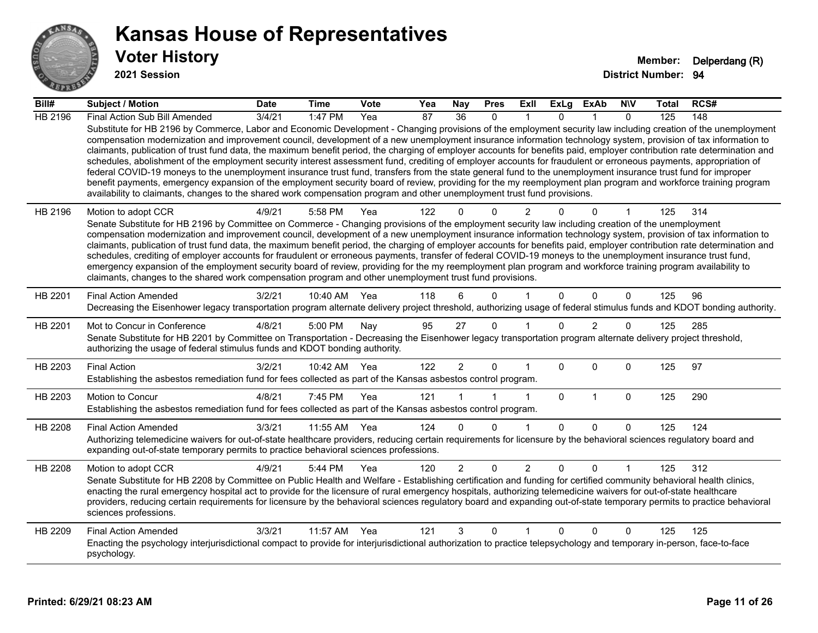

**2021 Session**

| Bill#   | Subject / Motion                                                                                                                                                                                                                                                                                                                                                                                                                                                                                                                                                                                                                                                                                                                                                                                                                                                                                                                                                                                                                                                                                                                                  | <b>Date</b> | <b>Time</b>  | <b>Vote</b> | Yea | Nay            | <b>Pres</b> | ExII           | <b>ExLg</b>  | ExAb           | <b>N\V</b>   | Total | RCS# |
|---------|---------------------------------------------------------------------------------------------------------------------------------------------------------------------------------------------------------------------------------------------------------------------------------------------------------------------------------------------------------------------------------------------------------------------------------------------------------------------------------------------------------------------------------------------------------------------------------------------------------------------------------------------------------------------------------------------------------------------------------------------------------------------------------------------------------------------------------------------------------------------------------------------------------------------------------------------------------------------------------------------------------------------------------------------------------------------------------------------------------------------------------------------------|-------------|--------------|-------------|-----|----------------|-------------|----------------|--------------|----------------|--------------|-------|------|
| HB 2196 | Final Action Sub Bill Amended                                                                                                                                                                                                                                                                                                                                                                                                                                                                                                                                                                                                                                                                                                                                                                                                                                                                                                                                                                                                                                                                                                                     | 3/4/21      | 1:47 PM      | Yea         | 87  | 36             | $\Omega$    |                | <sup>n</sup> |                | $\Omega$     | 125   | 148  |
|         | Substitute for HB 2196 by Commerce, Labor and Economic Development - Changing provisions of the employment security law including creation of the unemployment<br>compensation modernization and improvement council, development of a new unemployment insurance information technology system, provision of tax information to<br>claimants, publication of trust fund data, the maximum benefit period, the charging of employer accounts for benefits paid, employer contribution rate determination and<br>schedules, abolishment of the employment security interest assessment fund, crediting of employer accounts for fraudulent or erroneous payments, appropriation of<br>federal COVID-19 moneys to the unemployment insurance trust fund, transfers from the state general fund to the unemployment insurance trust fund for improper<br>benefit payments, emergency expansion of the employment security board of review, providing for the my reemployment plan program and workforce training program<br>availability to claimants, changes to the shared work compensation program and other unemployment trust fund provisions. |             |              |             |     |                |             |                |              |                |              |       |      |
| HB 2196 | Motion to adopt CCR                                                                                                                                                                                                                                                                                                                                                                                                                                                                                                                                                                                                                                                                                                                                                                                                                                                                                                                                                                                                                                                                                                                               | 4/9/21      | 5:58 PM      | Yea         | 122 | 0              | $\Omega$    | $\overline{2}$ |              | $\Omega$       |              | 125   | 314  |
|         | Senate Substitute for HB 2196 by Committee on Commerce - Changing provisions of the employment security law including creation of the unemployment<br>compensation modernization and improvement council, development of a new unemployment insurance information technology system, provision of tax information to                                                                                                                                                                                                                                                                                                                                                                                                                                                                                                                                                                                                                                                                                                                                                                                                                              |             |              |             |     |                |             |                |              |                |              |       |      |
|         | claimants, publication of trust fund data, the maximum benefit period, the charging of employer accounts for benefits paid, employer contribution rate determination and                                                                                                                                                                                                                                                                                                                                                                                                                                                                                                                                                                                                                                                                                                                                                                                                                                                                                                                                                                          |             |              |             |     |                |             |                |              |                |              |       |      |
|         | schedules, crediting of employer accounts for fraudulent or erroneous payments, transfer of federal COVID-19 moneys to the unemployment insurance trust fund,                                                                                                                                                                                                                                                                                                                                                                                                                                                                                                                                                                                                                                                                                                                                                                                                                                                                                                                                                                                     |             |              |             |     |                |             |                |              |                |              |       |      |
|         | emergency expansion of the employment security board of review, providing for the my reemployment plan program and workforce training program availability to<br>claimants, changes to the shared work compensation program and other unemployment trust fund provisions.                                                                                                                                                                                                                                                                                                                                                                                                                                                                                                                                                                                                                                                                                                                                                                                                                                                                         |             |              |             |     |                |             |                |              |                |              |       |      |
| HB 2201 | <b>Final Action Amended</b>                                                                                                                                                                                                                                                                                                                                                                                                                                                                                                                                                                                                                                                                                                                                                                                                                                                                                                                                                                                                                                                                                                                       | 3/2/21      | 10:40 AM     | Yea         | 118 | 6              | $\Omega$    |                | $\Omega$     | $\Omega$       | $\Omega$     | 125   | 96   |
|         | Decreasing the Eisenhower legacy transportation program alternate delivery project threshold, authorizing usage of federal stimulus funds and KDOT bonding authority.                                                                                                                                                                                                                                                                                                                                                                                                                                                                                                                                                                                                                                                                                                                                                                                                                                                                                                                                                                             |             |              |             |     |                |             |                |              |                |              |       |      |
| HB 2201 | Mot to Concur in Conference                                                                                                                                                                                                                                                                                                                                                                                                                                                                                                                                                                                                                                                                                                                                                                                                                                                                                                                                                                                                                                                                                                                       | 4/8/21      | 5:00 PM      | Nay         | 95  | 27             | $\Omega$    |                | $\Omega$     | $\overline{2}$ | 0            | 125   | 285  |
|         | Senate Substitute for HB 2201 by Committee on Transportation - Decreasing the Eisenhower legacy transportation program alternate delivery project threshold,<br>authorizing the usage of federal stimulus funds and KDOT bonding authority.                                                                                                                                                                                                                                                                                                                                                                                                                                                                                                                                                                                                                                                                                                                                                                                                                                                                                                       |             |              |             |     |                |             |                |              |                |              |       |      |
| HB 2203 | <b>Final Action</b>                                                                                                                                                                                                                                                                                                                                                                                                                                                                                                                                                                                                                                                                                                                                                                                                                                                                                                                                                                                                                                                                                                                               | 3/2/21      | 10:42 AM Yea |             | 122 | $\overline{2}$ | 0           | 1              | 0            | $\Omega$       | $\mathbf 0$  | 125   | 97   |
|         | Establishing the asbestos remediation fund for fees collected as part of the Kansas asbestos control program.                                                                                                                                                                                                                                                                                                                                                                                                                                                                                                                                                                                                                                                                                                                                                                                                                                                                                                                                                                                                                                     |             |              |             |     |                |             |                |              |                |              |       |      |
| HB 2203 | Motion to Concur                                                                                                                                                                                                                                                                                                                                                                                                                                                                                                                                                                                                                                                                                                                                                                                                                                                                                                                                                                                                                                                                                                                                  | 4/8/21      | 7:45 PM      | Yea         | 121 |                |             | 1              | $\mathbf 0$  | 1              | 0            | 125   | 290  |
|         | Establishing the asbestos remediation fund for fees collected as part of the Kansas asbestos control program.                                                                                                                                                                                                                                                                                                                                                                                                                                                                                                                                                                                                                                                                                                                                                                                                                                                                                                                                                                                                                                     |             |              |             |     |                |             |                |              |                |              |       |      |
| HB 2208 | <b>Final Action Amended</b>                                                                                                                                                                                                                                                                                                                                                                                                                                                                                                                                                                                                                                                                                                                                                                                                                                                                                                                                                                                                                                                                                                                       | 3/3/21      | 11:55 AM     | Yea         | 124 | $\Omega$       | $\Omega$    | 1              | $\Omega$     | $\Omega$       | $\Omega$     | 125   | 124  |
|         | Authorizing telemedicine waivers for out-of-state healthcare providers, reducing certain requirements for licensure by the behavioral sciences regulatory board and<br>expanding out-of-state temporary permits to practice behavioral sciences professions.                                                                                                                                                                                                                                                                                                                                                                                                                                                                                                                                                                                                                                                                                                                                                                                                                                                                                      |             |              |             |     |                |             |                |              |                |              |       |      |
| HB 2208 | Motion to adopt CCR                                                                                                                                                                                                                                                                                                                                                                                                                                                                                                                                                                                                                                                                                                                                                                                                                                                                                                                                                                                                                                                                                                                               | 4/9/21      | 5:44 PM      | Yea         | 120 | $\overline{2}$ | $\Omega$    | $\overline{2}$ | $\mathbf{0}$ | $\Omega$       |              | 125   | 312  |
|         | Senate Substitute for HB 2208 by Committee on Public Health and Welfare - Establishing certification and funding for certified community behavioral health clinics,<br>enacting the rural emergency hospital act to provide for the licensure of rural emergency hospitals, authorizing telemedicine waivers for out-of-state healthcare                                                                                                                                                                                                                                                                                                                                                                                                                                                                                                                                                                                                                                                                                                                                                                                                          |             |              |             |     |                |             |                |              |                |              |       |      |
|         | providers, reducing certain requirements for licensure by the behavioral sciences regulatory board and expanding out-of-state temporary permits to practice behavioral<br>sciences professions.                                                                                                                                                                                                                                                                                                                                                                                                                                                                                                                                                                                                                                                                                                                                                                                                                                                                                                                                                   |             |              |             |     |                |             |                |              |                |              |       |      |
| HB 2209 | <b>Final Action Amended</b>                                                                                                                                                                                                                                                                                                                                                                                                                                                                                                                                                                                                                                                                                                                                                                                                                                                                                                                                                                                                                                                                                                                       | 3/3/21      | 11:57 AM     | Yea         | 121 | 3              | $\Omega$    | 1              | 0            | $\Omega$       | $\mathbf{0}$ | 125   | 125  |
|         | Enacting the psychology interjurisdictional compact to provide for interjurisdictional authorization to practice telepsychology and temporary in-person, face-to-face<br>psychology.                                                                                                                                                                                                                                                                                                                                                                                                                                                                                                                                                                                                                                                                                                                                                                                                                                                                                                                                                              |             |              |             |     |                |             |                |              |                |              |       |      |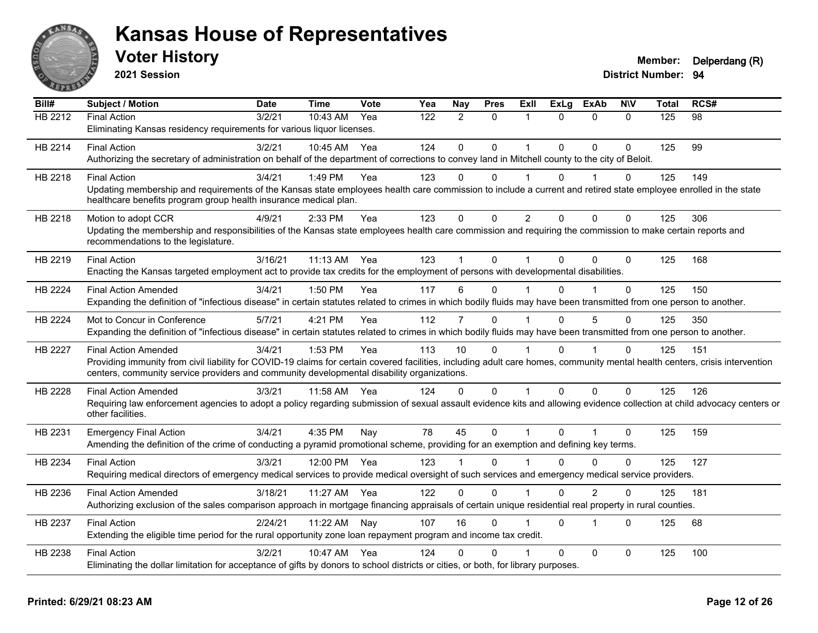

**2021 Session**

| Bill#          | <b>Subject / Motion</b>                                                                                                                                                                                                                                                    | <b>Date</b> | <b>Time</b>  | <b>Vote</b> | Yea              | Nay            | <b>Pres</b>  | Exll           | ExLg         | <b>ExAb</b>    | <b>NIV</b>   | <b>Total</b> | RCS#            |
|----------------|----------------------------------------------------------------------------------------------------------------------------------------------------------------------------------------------------------------------------------------------------------------------------|-------------|--------------|-------------|------------------|----------------|--------------|----------------|--------------|----------------|--------------|--------------|-----------------|
| <b>HB 2212</b> | <b>Final Action</b>                                                                                                                                                                                                                                                        | 3/2/21      | 10:43 AM     | Yea         | $\overline{122}$ | 2              | $\Omega$     |                | 0            | $\Omega$       | $\Omega$     | 125          | $\overline{98}$ |
|                | Eliminating Kansas residency requirements for various liquor licenses.                                                                                                                                                                                                     |             |              |             |                  |                |              |                |              |                |              |              |                 |
| HB 2214        | <b>Final Action</b>                                                                                                                                                                                                                                                        | 3/2/21      | 10:45 AM     | Yea         | 124              | $\mathbf{0}$   | $\mathbf{0}$ | 1              | $\Omega$     | $\mathbf{0}$   | $\Omega$     | 125          | 99              |
|                | Authorizing the secretary of administration on behalf of the department of corrections to convey land in Mitchell county to the city of Beloit.                                                                                                                            |             |              |             |                  |                |              |                |              |                |              |              |                 |
| HB 2218        | <b>Final Action</b>                                                                                                                                                                                                                                                        | 3/4/21      | 1:49 PM      | Yea         | 123              | $\Omega$       | $\Omega$     |                | 0            |                | $\Omega$     | 125          | 149             |
|                | Updating membership and requirements of the Kansas state employees health care commission to include a current and retired state employee enrolled in the state<br>healthcare benefits program group health insurance medical plan.                                        |             |              |             |                  |                |              |                |              |                |              |              |                 |
| HB 2218        | Motion to adopt CCR                                                                                                                                                                                                                                                        | 4/9/21      | 2:33 PM      | Yea         | 123              | $\mathbf{0}$   | $\Omega$     | $\overline{2}$ | $\Omega$     | $\Omega$       | $\mathbf{0}$ | 125          | 306             |
|                | Updating the membership and responsibilities of the Kansas state employees health care commission and requiring the commission to make certain reports and<br>recommendations to the legislature.                                                                          |             |              |             |                  |                |              |                |              |                |              |              |                 |
| HB 2219        | <b>Final Action</b>                                                                                                                                                                                                                                                        | 3/16/21     | 11:13 AM Yea |             | 123              |                | $\Omega$     |                | $\Omega$     | 0              | $\Omega$     | 125          | 168             |
|                | Enacting the Kansas targeted employment act to provide tax credits for the employment of persons with developmental disabilities.                                                                                                                                          |             |              |             |                  |                |              |                |              |                |              |              |                 |
| HB 2224        | <b>Final Action Amended</b>                                                                                                                                                                                                                                                | 3/4/21      | 1:50 PM      | Yea         | 117              | 6              | $\mathbf{0}$ |                | <sup>0</sup> |                | $\Omega$     | 125          | 150             |
|                | Expanding the definition of "infectious disease" in certain statutes related to crimes in which bodily fluids may have been transmitted from one person to another.                                                                                                        |             |              |             |                  |                |              |                |              |                |              |              |                 |
| HB 2224        | Mot to Concur in Conference                                                                                                                                                                                                                                                | 5/7/21      | 4:21 PM      | Yea         | 112              | $\overline{7}$ | $\Omega$     |                | $\Omega$     | 5              | $\Omega$     | 125          | 350             |
|                | Expanding the definition of "infectious disease" in certain statutes related to crimes in which bodily fluids may have been transmitted from one person to another.                                                                                                        |             |              |             |                  |                |              |                |              |                |              |              |                 |
| HB 2227        | <b>Final Action Amended</b>                                                                                                                                                                                                                                                | 3/4/21      | 1:53 PM      | Yea         | 113              | 10             | $\Omega$     |                | $\Omega$     |                | $\Omega$     | 125          | 151             |
|                | Providing immunity from civil liability for COVID-19 claims for certain covered facilities, including adult care homes, community mental health centers, crisis intervention<br>centers, community service providers and community developmental disability organizations. |             |              |             |                  |                |              |                |              |                |              |              |                 |
| HB 2228        | <b>Final Action Amended</b>                                                                                                                                                                                                                                                | 3/3/21      | 11:58 AM     | Yea         | 124              | $\Omega$       | $\Omega$     |                | $\Omega$     | $\mathbf{0}$   | $\Omega$     | 125          | 126             |
|                | Requiring law enforcement agencies to adopt a policy regarding submission of sexual assault evidence kits and allowing evidence collection at child advocacy centers or<br>other facilities.                                                                               |             |              |             |                  |                |              |                |              |                |              |              |                 |
| HB 2231        | <b>Emergency Final Action</b>                                                                                                                                                                                                                                              | 3/4/21      | 4:35 PM      | Nay         | 78               | 45             | $\pmb{0}$    | 1              | $\Omega$     |                | $\mathbf{0}$ | 125          | 159             |
|                | Amending the definition of the crime of conducting a pyramid promotional scheme, providing for an exemption and defining key terms.                                                                                                                                        |             |              |             |                  |                |              |                |              |                |              |              |                 |
| HB 2234        | <b>Final Action</b>                                                                                                                                                                                                                                                        | 3/3/21      | 12:00 PM Yea |             | 123              |                | $\Omega$     |                | <sup>n</sup> | $\Omega$       | $\mathbf{0}$ | 125          | 127             |
|                | Requiring medical directors of emergency medical services to provide medical oversight of such services and emergency medical service providers.                                                                                                                           |             |              |             |                  |                |              |                |              |                |              |              |                 |
| HB 2236        | <b>Final Action Amended</b>                                                                                                                                                                                                                                                | 3/18/21     | 11:27 AM     | Yea         | 122              | 0              | $\Omega$     |                | $\Omega$     | $\overline{2}$ | $\Omega$     | 125          | 181             |
|                | Authorizing exclusion of the sales comparison approach in mortgage financing appraisals of certain unique residential real property in rural counties.                                                                                                                     |             |              |             |                  |                |              |                |              |                |              |              |                 |
| HB 2237        | <b>Final Action</b>                                                                                                                                                                                                                                                        | 2/24/21     | 11:22 AM     | Nay         | 107              | 16             | $\Omega$     |                | 0            | $\overline{1}$ | $\Omega$     | 125          | 68              |
|                | Extending the eligible time period for the rural opportunity zone loan repayment program and income tax credit.                                                                                                                                                            |             |              |             |                  |                |              |                |              |                |              |              |                 |
| HB 2238        | <b>Final Action</b>                                                                                                                                                                                                                                                        | 3/2/21      | 10:47 AM     | Yea         | 124              | $\Omega$       | $\Omega$     |                | 0            | $\mathbf 0$    | $\mathbf{0}$ | 125          | 100             |
|                | Eliminating the dollar limitation for acceptance of gifts by donors to school districts or cities, or both, for library purposes.                                                                                                                                          |             |              |             |                  |                |              |                |              |                |              |              |                 |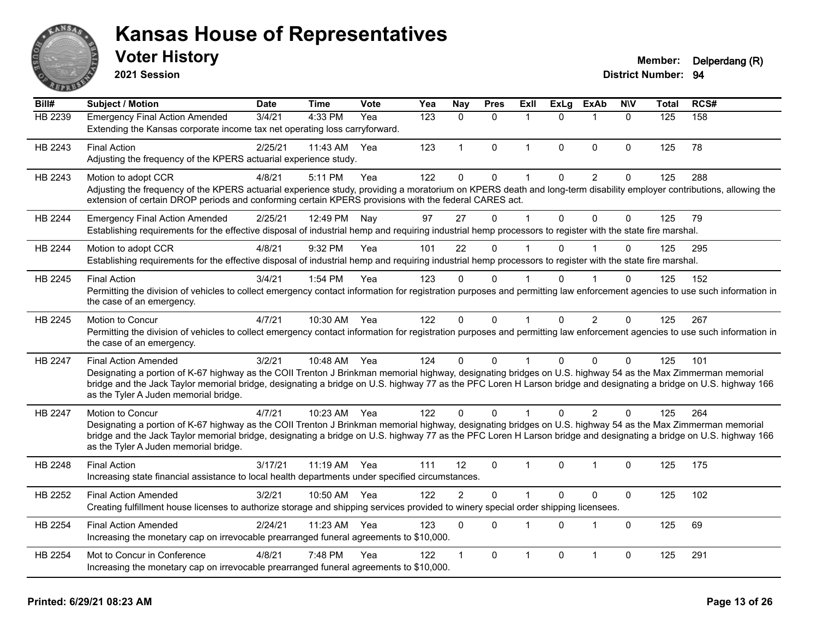

**2021 Session**

# **Voter History Member: Delperdang (R)**

| Bill#   | Subject / Motion                                                                                                                                                                                           | <b>Date</b> | <b>Time</b>  | <b>Vote</b> | Yea | <b>Nay</b>   | <b>Pres</b>  | Exll         | <b>ExLg</b> | <b>ExAb</b>    | <b>NIV</b>   | Total | RCS# |
|---------|------------------------------------------------------------------------------------------------------------------------------------------------------------------------------------------------------------|-------------|--------------|-------------|-----|--------------|--------------|--------------|-------------|----------------|--------------|-------|------|
| HB 2239 | <b>Emergency Final Action Amended</b>                                                                                                                                                                      | 3/4/21      | 4:33 PM      | Yea         | 123 | $\Omega$     | $\Omega$     | -1           | $\Omega$    |                | $\Omega$     | 125   | 158  |
|         | Extending the Kansas corporate income tax net operating loss carryforward.                                                                                                                                 |             |              |             |     |              |              |              |             |                |              |       |      |
| HB 2243 | <b>Final Action</b>                                                                                                                                                                                        | 2/25/21     | 11:43 AM     | Yea         | 123 | $\mathbf{1}$ | $\mathbf 0$  | $\mathbf 1$  | $\mathbf 0$ | $\mathbf 0$    | $\mathbf 0$  | 125   | 78   |
|         | Adjusting the frequency of the KPERS actuarial experience study.                                                                                                                                           |             |              |             |     |              |              |              |             |                |              |       |      |
| HB 2243 | Motion to adopt CCR                                                                                                                                                                                        | 4/8/21      | 5:11 PM      | Yea         | 122 | 0            | $\pmb{0}$    | 1            | $\mathbf 0$ | $\overline{c}$ | 0            | 125   | 288  |
|         | Adjusting the frequency of the KPERS actuarial experience study, providing a moratorium on KPERS death and long-term disability employer contributions, allowing the                                       |             |              |             |     |              |              |              |             |                |              |       |      |
|         | extension of certain DROP periods and conforming certain KPERS provisions with the federal CARES act.                                                                                                      |             |              |             |     |              |              |              |             |                |              |       |      |
| HB 2244 | <b>Emergency Final Action Amended</b>                                                                                                                                                                      | 2/25/21     | 12:49 PM     | Nay         | 97  | 27           | $\mathbf 0$  | 1            | $\Omega$    | $\mathbf 0$    | $\mathbf 0$  | 125   | 79   |
|         | Establishing requirements for the effective disposal of industrial hemp and requiring industrial hemp processors to register with the state fire marshal.                                                  |             |              |             |     |              |              |              |             |                |              |       |      |
| HB 2244 | Motion to adopt CCR                                                                                                                                                                                        | 4/8/21      | 9:32 PM      | Yea         | 101 | 22           | $\Omega$     |              | $\Omega$    |                | 0            | 125   | 295  |
|         | Establishing requirements for the effective disposal of industrial hemp and requiring industrial hemp processors to register with the state fire marshal.                                                  |             |              |             |     |              |              |              |             |                |              |       |      |
| HB 2245 | <b>Final Action</b>                                                                                                                                                                                        | 3/4/21      | 1:54 PM      | Yea         | 123 | $\Omega$     | $\Omega$     |              | U           |                | $\Omega$     | 125   | 152  |
|         | Permitting the division of vehicles to collect emergency contact information for registration purposes and permitting law enforcement agencies to use such information in                                  |             |              |             |     |              |              |              |             |                |              |       |      |
|         | the case of an emergency.                                                                                                                                                                                  |             |              |             |     |              |              |              |             |                |              |       |      |
| HB 2245 | Motion to Concur                                                                                                                                                                                           | 4/7/21      | 10:30 AM     | Yea         | 122 | $\mathbf 0$  | $\pmb{0}$    | $\mathbf{1}$ | $\Omega$    | $\overline{2}$ | $\Omega$     | 125   | 267  |
|         | Permitting the division of vehicles to collect emergency contact information for registration purposes and permitting law enforcement agencies to use such information in                                  |             |              |             |     |              |              |              |             |                |              |       |      |
|         | the case of an emergency.                                                                                                                                                                                  |             |              |             |     |              |              |              |             |                |              |       |      |
| HB 2247 | <b>Final Action Amended</b>                                                                                                                                                                                | 3/2/21      | 10:48 AM Yea |             | 124 | $\Omega$     | $\mathbf{0}$ | 1            | $\Omega$    | $\Omega$       | $\Omega$     | 125   | 101  |
|         | Designating a portion of K-67 highway as the COII Trenton J Brinkman memorial highway, designating bridges on U.S. highway 54 as the Max Zimmerman memorial                                                |             |              |             |     |              |              |              |             |                |              |       |      |
|         | bridge and the Jack Taylor memorial bridge, designating a bridge on U.S. highway 77 as the PFC Loren H Larson bridge and designating a bridge on U.S. highway 166                                          |             |              |             |     |              |              |              |             |                |              |       |      |
|         | as the Tyler A Juden memorial bridge.                                                                                                                                                                      |             |              |             |     |              |              |              |             |                |              |       |      |
| HB 2247 | Motion to Concur                                                                                                                                                                                           | 4/7/21      | 10:23 AM Yea |             | 122 | 0            | $\Omega$     |              | $\Omega$    | 2              | $\Omega$     | 125   | 264  |
|         | Designating a portion of K-67 highway as the COII Trenton J Brinkman memorial highway, designating bridges on U.S. highway 54 as the Max Zimmerman memorial                                                |             |              |             |     |              |              |              |             |                |              |       |      |
|         | bridge and the Jack Taylor memorial bridge, designating a bridge on U.S. highway 77 as the PFC Loren H Larson bridge and designating a bridge on U.S. highway 166<br>as the Tyler A Juden memorial bridge. |             |              |             |     |              |              |              |             |                |              |       |      |
|         |                                                                                                                                                                                                            |             |              |             |     |              |              |              |             |                |              |       |      |
| HB 2248 | <b>Final Action</b><br>Increasing state financial assistance to local health departments under specified circumstances.                                                                                    | 3/17/21     | 11:19 AM Yea |             | 111 | 12           | $\mathbf{0}$ | 1            | $\Omega$    |                | $\Omega$     | 125   | 175  |
|         |                                                                                                                                                                                                            |             |              |             |     |              |              |              |             |                |              |       |      |
| HB 2252 | <b>Final Action Amended</b>                                                                                                                                                                                | 3/2/21      | 10:50 AM     | Yea         | 122 | 2            | $\mathbf 0$  | 1            | $\Omega$    | $\mathbf{0}$   | $\mathbf{0}$ | 125   | 102  |
|         | Creating fulfillment house licenses to authorize storage and shipping services provided to winery special order shipping licensees.                                                                        |             |              |             |     |              |              |              |             |                |              |       |      |
| HB 2254 | <b>Final Action Amended</b>                                                                                                                                                                                | 2/24/21     | 11:23 AM     | Yea         | 123 | $\mathbf{0}$ | $\Omega$     | 1            | $\Omega$    | $\overline{1}$ | $\mathbf 0$  | 125   | 69   |
|         | Increasing the monetary cap on irrevocable prearranged funeral agreements to \$10,000.                                                                                                                     |             |              |             |     |              |              |              |             |                |              |       |      |
| HB 2254 | Mot to Concur in Conference                                                                                                                                                                                | 4/8/21      | 7:48 PM      | Yea         | 122 |              | $\mathbf 0$  | 1            | $\Omega$    | 1              | $\mathbf 0$  | 125   | 291  |
|         | Increasing the monetary cap on irrevocable prearranged funeral agreements to \$10,000.                                                                                                                     |             |              |             |     |              |              |              |             |                |              |       |      |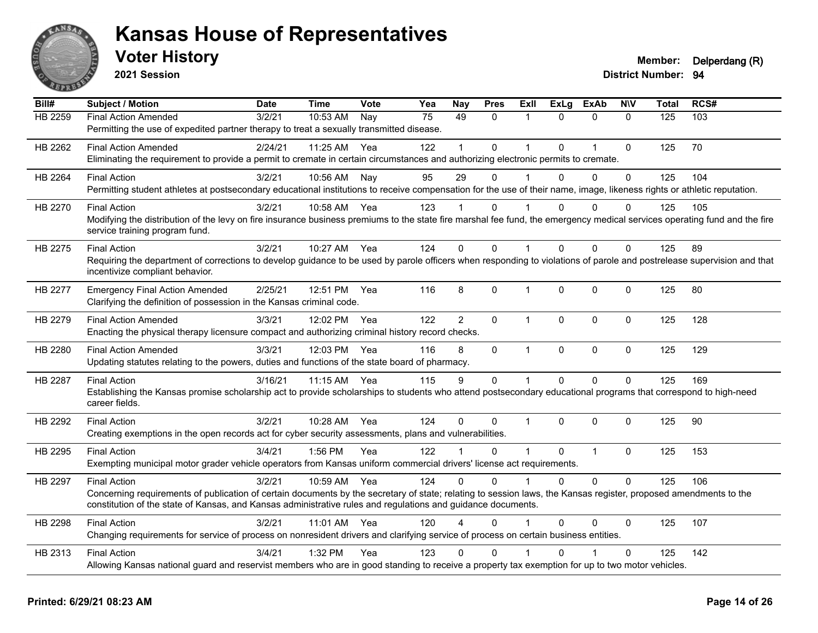

**2021 Session**

| Bill#   | Subject / Motion                                                                                                                                                          | <b>Date</b> | <b>Time</b>  | Vote | Yea | <b>Nay</b>     | <b>Pres</b>  | ExII           | <b>ExLg</b>  | <b>ExAb</b>    | <b>NIV</b>   | <b>Total</b> | RCS# |
|---------|---------------------------------------------------------------------------------------------------------------------------------------------------------------------------|-------------|--------------|------|-----|----------------|--------------|----------------|--------------|----------------|--------------|--------------|------|
| HB 2259 | <b>Final Action Amended</b>                                                                                                                                               | 3/2/21      | 10:53 AM     | Nay  | 75  | 49             | $\mathbf{0}$ | 1              | $\Omega$     | $\mathbf{0}$   | $\mathbf{0}$ | 125          | 103  |
|         | Permitting the use of expedited partner therapy to treat a sexually transmitted disease.                                                                                  |             |              |      |     |                |              |                |              |                |              |              |      |
| HB 2262 | <b>Final Action Amended</b>                                                                                                                                               | 2/24/21     | 11:25 AM Yea |      | 122 |                | $\Omega$     | 1              | $\Omega$     | $\overline{1}$ | $\mathbf{0}$ | 125          | 70   |
|         | Eliminating the requirement to provide a permit to cremate in certain circumstances and authorizing electronic permits to cremate.                                        |             |              |      |     |                |              |                |              |                |              |              |      |
| HB 2264 | <b>Final Action</b>                                                                                                                                                       | 3/2/21      | 10:56 AM     | Nay  | 95  | 29             | $\Omega$     | 1              | $\Omega$     | 0              | $\pmb{0}$    | 125          | 104  |
|         | Permitting student athletes at postsecondary educational institutions to receive compensation for the use of their name, image, likeness rights or athletic reputation.   |             |              |      |     |                |              |                |              |                |              |              |      |
| HB 2270 | <b>Final Action</b>                                                                                                                                                       | 3/2/21      | 10:58 AM Yea |      | 123 |                | 0            |                | 0            | $\Omega$       | 0            | 125          | 105  |
|         | Modifying the distribution of the levy on fire insurance business premiums to the state fire marshal fee fund, the emergency medical services operating fund and the fire |             |              |      |     |                |              |                |              |                |              |              |      |
|         | service training program fund.                                                                                                                                            |             |              |      |     |                |              |                |              |                |              |              |      |
| HB 2275 | <b>Final Action</b>                                                                                                                                                       | 3/2/21      | 10:27 AM Yea |      | 124 | $\Omega$       | $\Omega$     | 1              | $\Omega$     | $\Omega$       | $\Omega$     | 125          | 89   |
|         | Requiring the department of corrections to develop guidance to be used by parole officers when responding to violations of parole and postrelease supervision and that    |             |              |      |     |                |              |                |              |                |              |              |      |
|         | incentivize compliant behavior.                                                                                                                                           |             |              |      |     |                |              |                |              |                |              |              |      |
| HB 2277 | <b>Emergency Final Action Amended</b>                                                                                                                                     | 2/25/21     | 12:51 PM     | Yea  | 116 | 8              | $\Omega$     | 1              | $\mathbf{0}$ | $\Omega$       | $\mathbf{0}$ | 125          | 80   |
|         | Clarifying the definition of possession in the Kansas criminal code.                                                                                                      |             |              |      |     |                |              |                |              |                |              |              |      |
| HB 2279 | <b>Final Action Amended</b>                                                                                                                                               | 3/3/21      | 12:02 PM     | Yea  | 122 | $\overline{2}$ | 0            | $\mathbf 1$    | $\Omega$     | $\mathbf{0}$   | $\mathbf{0}$ | 125          | 128  |
|         | Enacting the physical therapy licensure compact and authorizing criminal history record checks.                                                                           |             |              |      |     |                |              |                |              |                |              |              |      |
| HB 2280 | <b>Final Action Amended</b>                                                                                                                                               | 3/3/21      | 12:03 PM     | Yea  | 116 | 8              | 0            | $\mathbf{1}$   | 0            | $\mathbf{0}$   | $\mathbf 0$  | 125          | 129  |
|         | Updating statutes relating to the powers, duties and functions of the state board of pharmacy.                                                                            |             |              |      |     |                |              |                |              |                |              |              |      |
| HB 2287 | <b>Final Action</b>                                                                                                                                                       | 3/16/21     | 11:15 AM     | Yea  | 115 | 9              | $\Omega$     | $\mathbf{1}$   | $\mathbf{0}$ | $\mathbf{0}$   | $\Omega$     | 125          | 169  |
|         | Establishing the Kansas promise scholarship act to provide scholarships to students who attend postsecondary educational programs that correspond to high-need            |             |              |      |     |                |              |                |              |                |              |              |      |
|         | career fields.                                                                                                                                                            |             |              |      |     |                |              |                |              |                |              |              |      |
| HB 2292 | <b>Final Action</b>                                                                                                                                                       | 3/2/21      | 10:28 AM     | Yea  | 124 | $\Omega$       | $\Omega$     | $\overline{1}$ | $\Omega$     | $\Omega$       | $\Omega$     | 125          | 90   |
|         | Creating exemptions in the open records act for cyber security assessments, plans and vulnerabilities.                                                                    |             |              |      |     |                |              |                |              |                |              |              |      |
| HB 2295 | <b>Final Action</b>                                                                                                                                                       | 3/4/21      | 1:56 PM      | Yea  | 122 | $\mathbf 1$    | 0            | $\overline{1}$ | 0            | $\mathbf{1}$   | $\mathbf 0$  | 125          | 153  |
|         | Exempting municipal motor grader vehicle operators from Kansas uniform commercial drivers' license act requirements.                                                      |             |              |      |     |                |              |                |              |                |              |              |      |
| HB 2297 | <b>Final Action</b>                                                                                                                                                       | 3/2/21      | 10:59 AM     | Yea  | 124 | $\Omega$       | $\Omega$     | 1              | $\Omega$     | $\Omega$       | $\Omega$     | 125          | 106  |
|         | Concerning requirements of publication of certain documents by the secretary of state; relating to session laws, the Kansas register, proposed amendments to the          |             |              |      |     |                |              |                |              |                |              |              |      |
|         | constitution of the state of Kansas, and Kansas administrative rules and regulations and guidance documents.                                                              |             |              |      |     |                |              |                |              |                |              |              |      |
| HB 2298 | <b>Final Action</b>                                                                                                                                                       | 3/2/21      | 11:01 AM Yea |      | 120 |                | $\Omega$     |                | $\Omega$     | $\Omega$       | $\mathbf{0}$ | 125          | 107  |
|         | Changing requirements for service of process on nonresident drivers and clarifying service of process on certain business entities.                                       |             |              |      |     |                |              |                |              |                |              |              |      |
| HB 2313 | <b>Final Action</b>                                                                                                                                                       | 3/4/21      | 1:32 PM      | Yea  | 123 | $\Omega$       | $\mathbf{0}$ |                | O            |                | $\mathbf 0$  | 125          | 142  |
|         | Allowing Kansas national guard and reservist members who are in good standing to receive a property tax exemption for up to two motor vehicles.                           |             |              |      |     |                |              |                |              |                |              |              |      |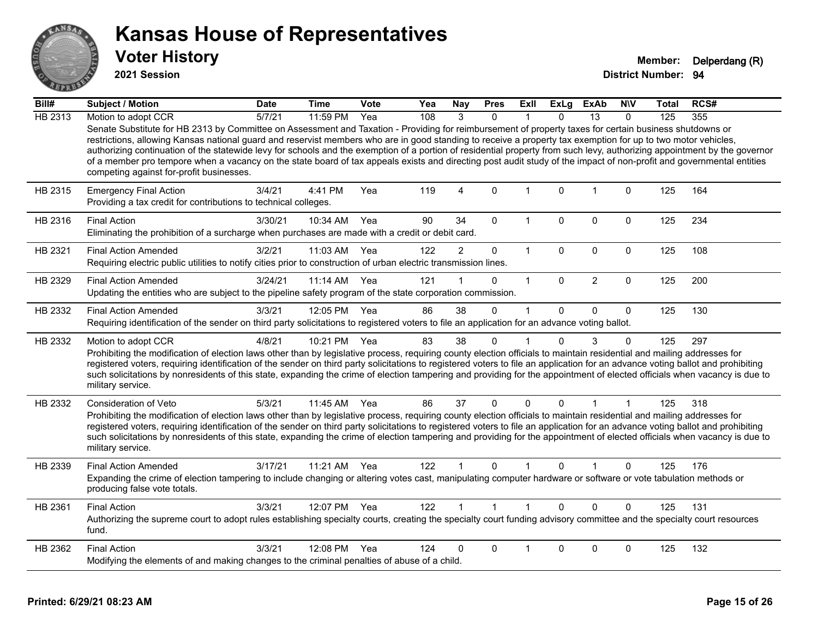

**2021 Session**

| Bill#   | Subject / Motion                                                                                                                                                                                                                                                                                                                                                                                                                                                                                                                                                                                                                                                                                                          | <b>Date</b> | Time       | Vote | Yea | <b>Nay</b>     | <b>Pres</b>  | ExII         | <b>ExLg</b>  | ExAb           | <b>NIV</b>   | Total | RCS# |
|---------|---------------------------------------------------------------------------------------------------------------------------------------------------------------------------------------------------------------------------------------------------------------------------------------------------------------------------------------------------------------------------------------------------------------------------------------------------------------------------------------------------------------------------------------------------------------------------------------------------------------------------------------------------------------------------------------------------------------------------|-------------|------------|------|-----|----------------|--------------|--------------|--------------|----------------|--------------|-------|------|
| HB 2313 | Motion to adopt CCR                                                                                                                                                                                                                                                                                                                                                                                                                                                                                                                                                                                                                                                                                                       | 5/7/21      | $11:59$ PM | Yea  | 108 | $\mathcal{R}$  | $\Omega$     |              | $\Omega$     | 13             | $\Omega$     | 125   | 355  |
|         | Senate Substitute for HB 2313 by Committee on Assessment and Taxation - Providing for reimbursement of property taxes for certain business shutdowns or<br>restrictions, allowing Kansas national guard and reservist members who are in good standing to receive a property tax exemption for up to two motor vehicles,<br>authorizing continuation of the statewide levy for schools and the exemption of a portion of residential property from such levy, authorizing appointment by the governor<br>of a member pro tempore when a vacancy on the state board of tax appeals exists and directing post audit study of the impact of non-profit and governmental entities<br>competing against for-profit businesses. |             |            |      |     |                |              |              |              |                |              |       |      |
| HB 2315 | <b>Emergency Final Action</b><br>Providing a tax credit for contributions to technical colleges.                                                                                                                                                                                                                                                                                                                                                                                                                                                                                                                                                                                                                          | 3/4/21      | 4:41 PM    | Yea  | 119 | $\overline{4}$ | $\mathbf{0}$ | 1            | $\Omega$     | $\overline{1}$ | $\mathbf{0}$ | 125   | 164  |
| HB 2316 | <b>Final Action</b><br>Eliminating the prohibition of a surcharge when purchases are made with a credit or debit card.                                                                                                                                                                                                                                                                                                                                                                                                                                                                                                                                                                                                    | 3/30/21     | 10:34 AM   | Yea  | 90  | 34             | $\mathbf{0}$ | 1            | $\Omega$     | $\mathbf{0}$   | $\mathbf{0}$ | 125   | 234  |
| HB 2321 | <b>Final Action Amended</b><br>Requiring electric public utilities to notify cities prior to construction of urban electric transmission lines.                                                                                                                                                                                                                                                                                                                                                                                                                                                                                                                                                                           | 3/2/21      | 11:03 AM   | Yea  | 122 | $\overline{2}$ | $\mathbf 0$  | $\mathbf{1}$ | $\mathbf 0$  | $\mathbf 0$    | $\mathbf 0$  | 125   | 108  |
| HB 2329 | <b>Final Action Amended</b><br>Updating the entities who are subject to the pipeline safety program of the state corporation commission.                                                                                                                                                                                                                                                                                                                                                                                                                                                                                                                                                                                  | 3/24/21     | 11:14 AM   | Yea  | 121 |                | $\Omega$     | $\mathbf{1}$ | $\mathbf{0}$ | $\overline{2}$ | $\pmb{0}$    | 125   | 200  |
| HB 2332 | <b>Final Action Amended</b><br>Requiring identification of the sender on third party solicitations to registered voters to file an application for an advance voting ballot.                                                                                                                                                                                                                                                                                                                                                                                                                                                                                                                                              | 3/3/21      | 12:05 PM   | Yea  | 86  | 38             | $\mathbf 0$  | 1            | $\Omega$     | $\mathbf 0$    | $\mathbf 0$  | 125   | 130  |
| HB 2332 | Motion to adopt CCR<br>Prohibiting the modification of election laws other than by legislative process, requiring county election officials to maintain residential and mailing addresses for<br>registered voters, requiring identification of the sender on third party solicitations to registered voters to file an application for an advance voting ballot and prohibiting<br>such solicitations by nonresidents of this state, expanding the crime of election tampering and providing for the appointment of elected officials when vacancy is due to<br>military service.                                                                                                                                        | 4/8/21      | 10:21 PM   | Yea  | 83  | 38             | 0            |              | $\Omega$     | 3              | 0            | 125   | 297  |
| HB 2332 | Consideration of Veto<br>Prohibiting the modification of election laws other than by legislative process, requiring county election officials to maintain residential and mailing addresses for<br>registered voters, requiring identification of the sender on third party solicitations to registered voters to file an application for an advance voting ballot and prohibiting<br>such solicitations by nonresidents of this state, expanding the crime of election tampering and providing for the appointment of elected officials when vacancy is due to<br>military service.                                                                                                                                      | 5/3/21      | 11:45 AM   | Yea  | 86  | 37             | $\Omega$     | $\Omega$     | $\Omega$     |                | 1            | 125   | 318  |
| HB 2339 | <b>Final Action Amended</b><br>Expanding the crime of election tampering to include changing or altering votes cast, manipulating computer hardware or software or vote tabulation methods or<br>producing false vote totals.                                                                                                                                                                                                                                                                                                                                                                                                                                                                                             | 3/17/21     | 11:21 AM   | Yea  | 122 |                | $\mathbf{0}$ |              | $\Omega$     |                | 0            | 125   | 176  |
| HB 2361 | <b>Final Action</b><br>Authorizing the supreme court to adopt rules establishing specialty courts, creating the specialty court funding advisory committee and the specialty court resources<br>fund.                                                                                                                                                                                                                                                                                                                                                                                                                                                                                                                     | 3/3/21      | 12:07 PM   | Yea  | 122 |                | $\mathbf{1}$ |              | $\Omega$     | $\Omega$       | $\Omega$     | 125   | 131  |
| HB 2362 | <b>Final Action</b><br>Modifying the elements of and making changes to the criminal penalties of abuse of a child.                                                                                                                                                                                                                                                                                                                                                                                                                                                                                                                                                                                                        | 3/3/21      | 12:08 PM   | Yea  | 124 | 0              | 0            |              | 0            | 0              | 0            | 125   | 132  |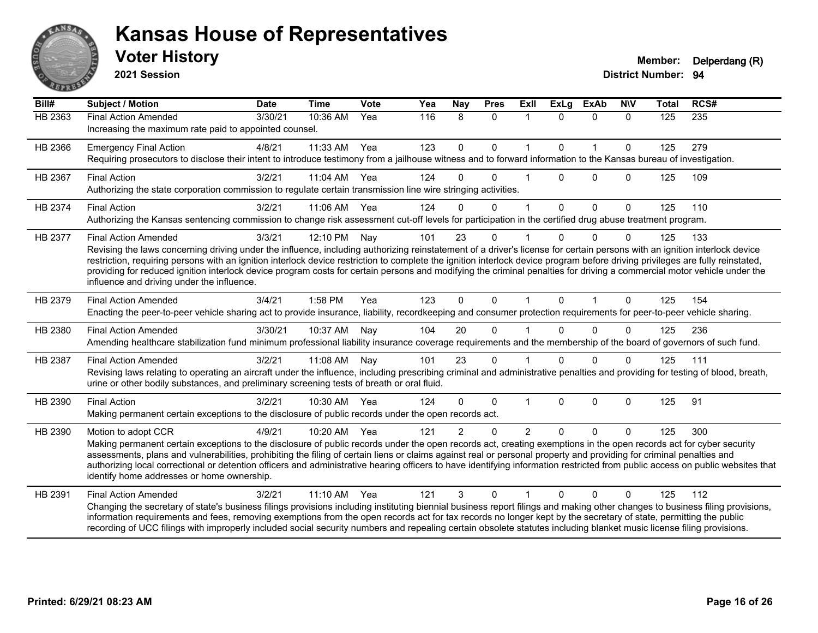

**2021 Session**

| Bill#   | <b>Subject / Motion</b>                                                                                                                                                                                                                                                                                                                                                                                                                                                                                                                                                                                             | <b>Date</b> | <b>Time</b> | Vote | Yea | Nay           | <b>Pres</b> | <b>Exll</b>    | <b>ExLg</b> | <b>ExAb</b>  | <b>NIV</b>   | <b>Total</b> | RCS#             |
|---------|---------------------------------------------------------------------------------------------------------------------------------------------------------------------------------------------------------------------------------------------------------------------------------------------------------------------------------------------------------------------------------------------------------------------------------------------------------------------------------------------------------------------------------------------------------------------------------------------------------------------|-------------|-------------|------|-----|---------------|-------------|----------------|-------------|--------------|--------------|--------------|------------------|
| HB 2363 | <b>Final Action Amended</b><br>Increasing the maximum rate paid to appointed counsel.                                                                                                                                                                                                                                                                                                                                                                                                                                                                                                                               | 3/30/21     | 10:36 AM    | Yea  | 116 | 8             | $\Omega$    | -1             | $\Omega$    | $\mathbf{0}$ | $\mathbf{0}$ | 125          | $\overline{235}$ |
| HB 2366 | <b>Emergency Final Action</b><br>Requiring prosecutors to disclose their intent to introduce testimony from a jailhouse witness and to forward information to the Kansas bureau of investigation.                                                                                                                                                                                                                                                                                                                                                                                                                   | 4/8/21      | 11:33 AM    | Yea  | 123 | $\mathbf 0$   | 0           | $\overline{1}$ | $\Omega$    | $\mathbf{1}$ | $\mathbf 0$  | 125          | 279              |
| HB 2367 | <b>Final Action</b><br>Authorizing the state corporation commission to regulate certain transmission line wire stringing activities.                                                                                                                                                                                                                                                                                                                                                                                                                                                                                | 3/2/21      | 11:04 AM    | Yea  | 124 | $\Omega$      | $\Omega$    |                | $\Omega$    | $\mathbf{0}$ | $\Omega$     | 125          | 109              |
| HB 2374 | <b>Final Action</b><br>Authorizing the Kansas sentencing commission to change risk assessment cut-off levels for participation in the certified drug abuse treatment program.                                                                                                                                                                                                                                                                                                                                                                                                                                       | 3/2/21      | 11:06 AM    | Yea  | 124 | $\Omega$      | $\Omega$    | 1              | $\Omega$    | $\mathbf{0}$ | $\Omega$     | 125          | 110              |
| HB 2377 | <b>Final Action Amended</b><br>Revising the laws concerning driving under the influence, including authorizing reinstatement of a driver's license for certain persons with an ignition interlock device<br>restriction, requiring persons with an ignition interlock device restriction to complete the ignition interlock device program before driving privileges are fully reinstated,<br>providing for reduced ignition interlock device program costs for certain persons and modifying the criminal penalties for driving a commercial motor vehicle under the<br>influence and driving under the influence. | 3/3/21      | 12:10 PM    | Nay  | 101 | 23            | 0           |                | U           | $\Omega$     | 0            | 125          | 133              |
| HB 2379 | <b>Final Action Amended</b><br>Enacting the peer-to-peer vehicle sharing act to provide insurance, liability, recordkeeping and consumer protection requirements for peer-to-peer vehicle sharing.                                                                                                                                                                                                                                                                                                                                                                                                                  | 3/4/21      | 1:58 PM     | Yea  | 123 | $\Omega$      | $\Omega$    | 1              | $\Omega$    | $\mathbf{1}$ | $\Omega$     | 125          | 154              |
| HB 2380 | <b>Final Action Amended</b><br>Amending healthcare stabilization fund minimum professional liability insurance coverage requirements and the membership of the board of governors of such fund.                                                                                                                                                                                                                                                                                                                                                                                                                     | 3/30/21     | 10:37 AM    | Nay  | 104 | 20            | $\Omega$    |                |             | $\Omega$     | $\Omega$     | 125          | 236              |
| HB 2387 | <b>Final Action Amended</b><br>Revising laws relating to operating an aircraft under the influence, including prescribing criminal and administrative penalties and providing for testing of blood, breath,<br>urine or other bodily substances, and preliminary screening tests of breath or oral fluid.                                                                                                                                                                                                                                                                                                           | 3/2/21      | 11:08 AM    | Nay  | 101 | 23            | $\Omega$    |                | $\Omega$    | $\Omega$     | $\Omega$     | 125          | 111              |
| HB 2390 | <b>Final Action</b><br>Making permanent certain exceptions to the disclosure of public records under the open records act.                                                                                                                                                                                                                                                                                                                                                                                                                                                                                          | 3/2/21      | 10:30 AM    | Yea  | 124 | $\Omega$      | $\Omega$    |                | $\Omega$    | $\mathbf 0$  | 0            | 125          | 91               |
| HB 2390 | Motion to adopt CCR<br>Making permanent certain exceptions to the disclosure of public records under the open records act, creating exemptions in the open records act for cyber security<br>assessments, plans and vulnerabilities, prohibiting the filing of certain liens or claims against real or personal property and providing for criminal penalties and<br>authorizing local correctional or detention officers and administrative hearing officers to have identifying information restricted from public access on public websites that<br>identify home addresses or home ownership.                   | 4/9/21      | 10:20 AM    | Yea  | 121 | $\mathcal{P}$ | $\Omega$    | $\mathfrak{p}$ | $\Omega$    | $\Omega$     | $\Omega$     | 125          | 300              |
| HB 2391 | <b>Final Action Amended</b><br>Changing the secretary of state's business filings provisions including instituting biennial business report filings and making other changes to business filing provisions,<br>information requirements and fees, removing exemptions from the open records act for tax records no longer kept by the secretary of state, permitting the public<br>recording of UCC filings with improperly included social security numbers and repealing certain obsolete statutes including blanket music license filing provisions.                                                             | 3/2/21      | $11:10$ AM  | Yea  | 121 | 3             | $\Omega$    |                | $\Omega$    | $\Omega$     | $\Omega$     | 125          | 112              |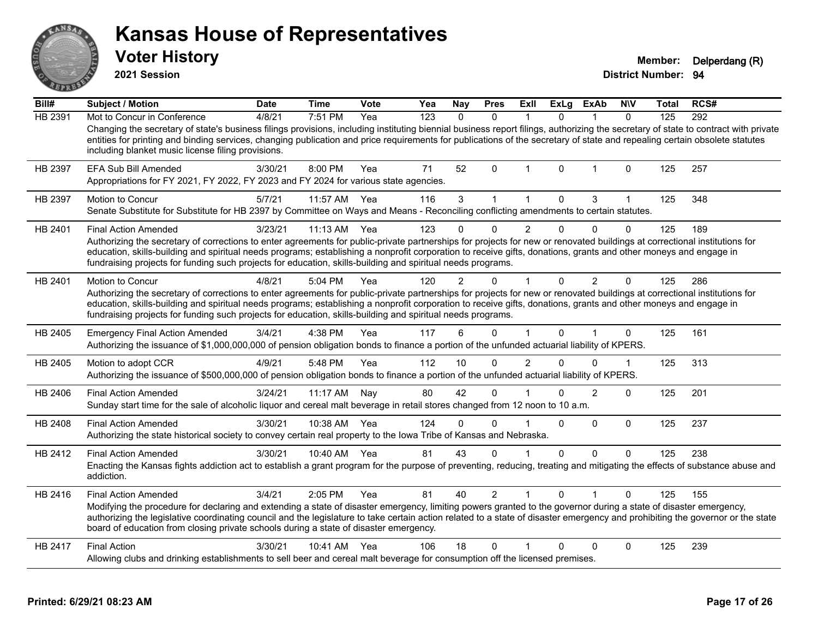**2021 Session**

**Voter History Member: Delperdang (R)** 

| Bill#   | Subject / Motion                                                                                                                                                                                                                                                                                                                                                                                                                                                           | <b>Date</b> | <b>Time</b>  | Vote | Yea | <b>Nay</b>   | <b>Pres</b>    | ExII           | ExLg         | <b>ExAb</b>    | <b>NIV</b>   | <b>Total</b> | RCS# |
|---------|----------------------------------------------------------------------------------------------------------------------------------------------------------------------------------------------------------------------------------------------------------------------------------------------------------------------------------------------------------------------------------------------------------------------------------------------------------------------------|-------------|--------------|------|-----|--------------|----------------|----------------|--------------|----------------|--------------|--------------|------|
| HB 2391 | Mot to Concur in Conference                                                                                                                                                                                                                                                                                                                                                                                                                                                | 4/8/21      | 7:51 PM      | Yea  | 123 | $\mathbf{0}$ | $\mathbf{0}$   |                | 0            |                | $\Omega$     | 125          | 292  |
|         | Changing the secretary of state's business filings provisions, including instituting biennial business report filings, authorizing the secretary of state to contract with private<br>entities for printing and binding services, changing publication and price requirements for publications of the secretary of state and repealing certain obsolete statutes<br>including blanket music license filing provisions.                                                     |             |              |      |     |              |                |                |              |                |              |              |      |
| HB 2397 | EFA Sub Bill Amended<br>Appropriations for FY 2021, FY 2022, FY 2023 and FY 2024 for various state agencies.                                                                                                                                                                                                                                                                                                                                                               | 3/30/21     | 8:00 PM      | Yea  | 71  | 52           | $\Omega$       |                | $\Omega$     |                | $\Omega$     | 125          | 257  |
| HB 2397 | <b>Motion to Concur</b>                                                                                                                                                                                                                                                                                                                                                                                                                                                    | 5/7/21      | 11:57 AM     | Yea  | 116 | 3            | $\mathbf 1$    | $\mathbf{1}$   | $\mathbf{0}$ | 3              | $\mathbf 1$  | 125          | 348  |
|         | Senate Substitute for Substitute for HB 2397 by Committee on Ways and Means - Reconciling conflicting amendments to certain statutes.                                                                                                                                                                                                                                                                                                                                      |             |              |      |     |              |                |                |              |                |              |              |      |
| HB 2401 | <b>Final Action Amended</b>                                                                                                                                                                                                                                                                                                                                                                                                                                                | 3/23/21     | 11:13 AM     | Yea  | 123 |              | $\Omega$       | $\overline{2}$ | $\Omega$     | $\Omega$       | $\Omega$     | 125          | 189  |
|         | Authorizing the secretary of corrections to enter agreements for public-private partnerships for projects for new or renovated buildings at correctional institutions for<br>education, skills-building and spiritual needs programs; establishing a nonprofit corporation to receive gifts, donations, grants and other moneys and engage in<br>fundraising projects for funding such projects for education, skills-building and spiritual needs programs.               |             |              |      |     |              |                |                |              |                |              |              |      |
| HB 2401 | <b>Motion to Concur</b>                                                                                                                                                                                                                                                                                                                                                                                                                                                    | 4/8/21      | 5:04 PM      | Yea  | 120 |              | 0              |                |              | $\overline{2}$ | $\Omega$     | 125          | 286  |
|         | Authorizing the secretary of corrections to enter agreements for public-private partnerships for projects for new or renovated buildings at correctional institutions for<br>education, skills-building and spiritual needs programs; establishing a nonprofit corporation to receive gifts, donations, grants and other moneys and engage in<br>fundraising projects for funding such projects for education, skills-building and spiritual needs programs.               |             |              |      |     |              |                |                |              |                |              |              |      |
| HB 2405 | <b>Emergency Final Action Amended</b><br>Authorizing the issuance of \$1,000,000,000 of pension obligation bonds to finance a portion of the unfunded actuarial liability of KPERS.                                                                                                                                                                                                                                                                                        | 3/4/21      | 4:38 PM      | Yea  | 117 | 6            | $\Omega$       |                | $\mathbf{0}$ |                | $\Omega$     | 125          | 161  |
| HB 2405 | Motion to adopt CCR<br>Authorizing the issuance of \$500,000,000 of pension obligation bonds to finance a portion of the unfunded actuarial liability of KPERS.                                                                                                                                                                                                                                                                                                            | 4/9/21      | 5:48 PM      | Yea  | 112 | 10           | $\Omega$       | 2              | 0            | 0              | $\mathbf{1}$ | 125          | 313  |
| HB 2406 | <b>Final Action Amended</b><br>Sunday start time for the sale of alcoholic liquor and cereal malt beverage in retail stores changed from 12 noon to 10 a.m.                                                                                                                                                                                                                                                                                                                | 3/24/21     | 11:17 AM     | Nay  | 80  | 42           | 0              |                |              | $\overline{2}$ | $\Omega$     | 125          | 201  |
| HB 2408 | <b>Final Action Amended</b><br>Authorizing the state historical society to convey certain real property to the Iowa Tribe of Kansas and Nebraska.                                                                                                                                                                                                                                                                                                                          | 3/30/21     | 10:38 AM     | Yea  | 124 | $\Omega$     | $\Omega$       |                | $\Omega$     | $\mathbf 0$    | $\mathbf{0}$ | 125          | 237  |
| HB 2412 | <b>Final Action Amended</b><br>Enacting the Kansas fights addiction act to establish a grant program for the purpose of preventing, reducing, treating and mitigating the effects of substance abuse and<br>addiction.                                                                                                                                                                                                                                                     | 3/30/21     | 10:40 AM Yea |      | 81  | 43           | $\Omega$       |                | $\Omega$     | $\Omega$       | $\Omega$     | 125          | 238  |
| HB 2416 | <b>Final Action Amended</b><br>Modifying the procedure for declaring and extending a state of disaster emergency, limiting powers granted to the governor during a state of disaster emergency,<br>authorizing the legislative coordinating council and the legislature to take certain action related to a state of disaster emergency and prohibiting the governor or the state<br>board of education from closing private schools during a state of disaster emergency. | 3/4/21      | 2:05 PM      | Yea  | 81  | 40           | $\overline{2}$ |                | $\Omega$     |                | $\Omega$     | 125          | 155  |
| HB 2417 | <b>Final Action</b>                                                                                                                                                                                                                                                                                                                                                                                                                                                        | 3/30/21     | 10:41 AM     | Yea  | 106 | 18           | $\Omega$       |                | $\Omega$     | $\Omega$       | $\Omega$     | 125          | 239  |
|         | Allowing clubs and drinking establishments to sell beer and cereal malt beverage for consumption off the licensed premises.                                                                                                                                                                                                                                                                                                                                                |             |              |      |     |              |                |                |              |                |              |              |      |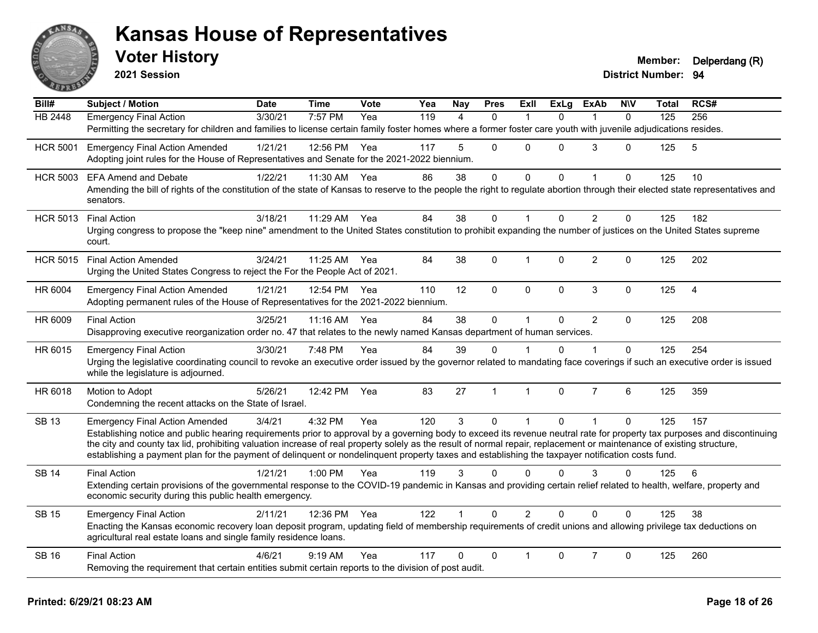

**2021 Session**

| Bill#           | <b>Subject / Motion</b>                                                                                                                                                                                                                                                                                                   | <b>Date</b> | <b>Time</b>  | Vote | Yea | Nay            | <b>Pres</b>  | ExIl           | <b>ExLg</b> | <b>ExAb</b>    | <b>NIV</b>   | Total | RCS# |
|-----------------|---------------------------------------------------------------------------------------------------------------------------------------------------------------------------------------------------------------------------------------------------------------------------------------------------------------------------|-------------|--------------|------|-----|----------------|--------------|----------------|-------------|----------------|--------------|-------|------|
| <b>HB 2448</b>  | <b>Emergency Final Action</b>                                                                                                                                                                                                                                                                                             | 3/30/21     | 7:57 PM      | Yea  | 119 | $\overline{4}$ | $\Omega$     |                | $\Omega$    | 1              | $\mathbf{0}$ | 125   | 256  |
|                 | Permitting the secretary for children and families to license certain family foster homes where a former foster care youth with juvenile adjudications resides.                                                                                                                                                           |             |              |      |     |                |              |                |             |                |              |       |      |
| <b>HCR 5001</b> | <b>Emergency Final Action Amended</b>                                                                                                                                                                                                                                                                                     | 1/21/21     | 12:56 PM Yea |      | 117 | 5              | $\Omega$     | 0              | $\Omega$    | 3              | $\Omega$     | 125   | 5    |
|                 | Adopting joint rules for the House of Representatives and Senate for the 2021-2022 biennium.                                                                                                                                                                                                                              |             |              |      |     |                |              |                |             |                |              |       |      |
| <b>HCR 5003</b> | <b>EFA Amend and Debate</b>                                                                                                                                                                                                                                                                                               | 1/22/21     | 11:30 AM     | Yea  | 86  | 38             | $\mathbf 0$  | $\mathbf 0$    | $\Omega$    | $\mathbf{1}$   | $\mathbf 0$  | 125   | 10   |
|                 | Amending the bill of rights of the constitution of the state of Kansas to reserve to the people the right to regulate abortion through their elected state representatives and                                                                                                                                            |             |              |      |     |                |              |                |             |                |              |       |      |
|                 | senators.                                                                                                                                                                                                                                                                                                                 |             |              |      |     |                |              |                |             |                |              |       |      |
|                 | HCR 5013 Final Action                                                                                                                                                                                                                                                                                                     | 3/18/21     | 11:29 AM     | Yea  | 84  | 38             | 0            |                | $\Omega$    | $\overline{2}$ | $\Omega$     | 125   | 182  |
|                 | Urging congress to propose the "keep nine" amendment to the United States constitution to prohibit expanding the number of justices on the United States supreme<br>court.                                                                                                                                                |             |              |      |     |                |              |                |             |                |              |       |      |
| <b>HCR 5015</b> | <b>Final Action Amended</b>                                                                                                                                                                                                                                                                                               | 3/24/21     | 11:25 AM     | Yea  | 84  | 38             | 0            | $\mathbf{1}$   | $\Omega$    | $\overline{c}$ | $\mathbf 0$  | 125   | 202  |
|                 | Urging the United States Congress to reject the For the People Act of 2021.                                                                                                                                                                                                                                               |             |              |      |     |                |              |                |             |                |              |       |      |
| HR 6004         | <b>Emergency Final Action Amended</b>                                                                                                                                                                                                                                                                                     | 1/21/21     | 12:54 PM Yea |      | 110 | 12             | $\mathbf 0$  | $\mathbf 0$    | $\Omega$    | 3              | $\mathbf 0$  | 125   | 4    |
|                 | Adopting permanent rules of the House of Representatives for the 2021-2022 biennium.                                                                                                                                                                                                                                      |             |              |      |     |                |              |                |             |                |              |       |      |
| HR 6009         | <b>Final Action</b>                                                                                                                                                                                                                                                                                                       | 3/25/21     | 11:16 AM     | Yea  | 84  | 38             | $\Omega$     | $\mathbf{1}$   | $\Omega$    | $\overline{2}$ | $\Omega$     | 125   | 208  |
|                 | Disapproving executive reorganization order no. 47 that relates to the newly named Kansas department of human services.                                                                                                                                                                                                   |             |              |      |     |                |              |                |             |                |              |       |      |
| HR 6015         | <b>Emergency Final Action</b>                                                                                                                                                                                                                                                                                             | 3/30/21     | 7:48 PM      | Yea  | 84  | 39             | $\Omega$     |                | $\Omega$    | 1              | $\Omega$     | 125   | 254  |
|                 | Urging the legislative coordinating council to revoke an executive order issued by the governor related to mandating face coverings if such an executive order is issued                                                                                                                                                  |             |              |      |     |                |              |                |             |                |              |       |      |
|                 | while the legislature is adjourned.                                                                                                                                                                                                                                                                                       |             |              |      |     |                |              |                |             |                |              |       |      |
| HR 6018         | Motion to Adopt                                                                                                                                                                                                                                                                                                           | 5/26/21     | 12:42 PM     | Yea  | 83  | 27             | $\mathbf{1}$ | $\mathbf{1}$   | $\Omega$    | $\overline{7}$ | 6            | 125   | 359  |
|                 | Condemning the recent attacks on the State of Israel.                                                                                                                                                                                                                                                                     |             |              |      |     |                |              |                |             |                |              |       |      |
| <b>SB 13</b>    | <b>Emergency Final Action Amended</b>                                                                                                                                                                                                                                                                                     | 3/4/21      | 4:32 PM      | Yea  | 120 | 3              | $\Omega$     | $\mathbf{1}$   | $\Omega$    | $\mathbf{1}$   | $\mathbf{0}$ | 125   | 157  |
|                 | Establishing notice and public hearing requirements prior to approval by a governing body to exceed its revenue neutral rate for property tax purposes and discontinuing                                                                                                                                                  |             |              |      |     |                |              |                |             |                |              |       |      |
|                 | the city and county tax lid, prohibiting valuation increase of real property solely as the result of normal repair, replacement or maintenance of existing structure,<br>establishing a payment plan for the payment of delinquent or nondelinquent property taxes and establishing the taxpayer notification costs fund. |             |              |      |     |                |              |                |             |                |              |       |      |
| <b>SB 14</b>    | <b>Final Action</b>                                                                                                                                                                                                                                                                                                       | 1/21/21     | 1:00 PM      | Yea  | 119 | 3              | $\Omega$     | 0              | 0           | 3              | $\Omega$     | 125   | 6    |
|                 | Extending certain provisions of the governmental response to the COVID-19 pandemic in Kansas and providing certain relief related to health, welfare, property and                                                                                                                                                        |             |              |      |     |                |              |                |             |                |              |       |      |
|                 | economic security during this public health emergency.                                                                                                                                                                                                                                                                    |             |              |      |     |                |              |                |             |                |              |       |      |
| <b>SB 15</b>    | <b>Emergency Final Action</b>                                                                                                                                                                                                                                                                                             | 2/11/21     | 12:36 PM Yea |      | 122 | $\mathbf{1}$   | $\Omega$     | $\overline{2}$ | $\Omega$    | $\Omega$       | $\Omega$     | 125   | 38   |
|                 | Enacting the Kansas economic recovery loan deposit program, updating field of membership requirements of credit unions and allowing privilege tax deductions on                                                                                                                                                           |             |              |      |     |                |              |                |             |                |              |       |      |
|                 | agricultural real estate loans and single family residence loans.                                                                                                                                                                                                                                                         |             |              |      |     |                |              |                |             |                |              |       |      |
| <b>SB 16</b>    | <b>Final Action</b>                                                                                                                                                                                                                                                                                                       | 4/6/21      | $9:19$ AM    | Yea  | 117 | $\Omega$       | $\Omega$     |                | $\Omega$    | $\overline{7}$ | $\Omega$     | 125   | 260  |
|                 | Removing the requirement that certain entities submit certain reports to the division of post audit.                                                                                                                                                                                                                      |             |              |      |     |                |              |                |             |                |              |       |      |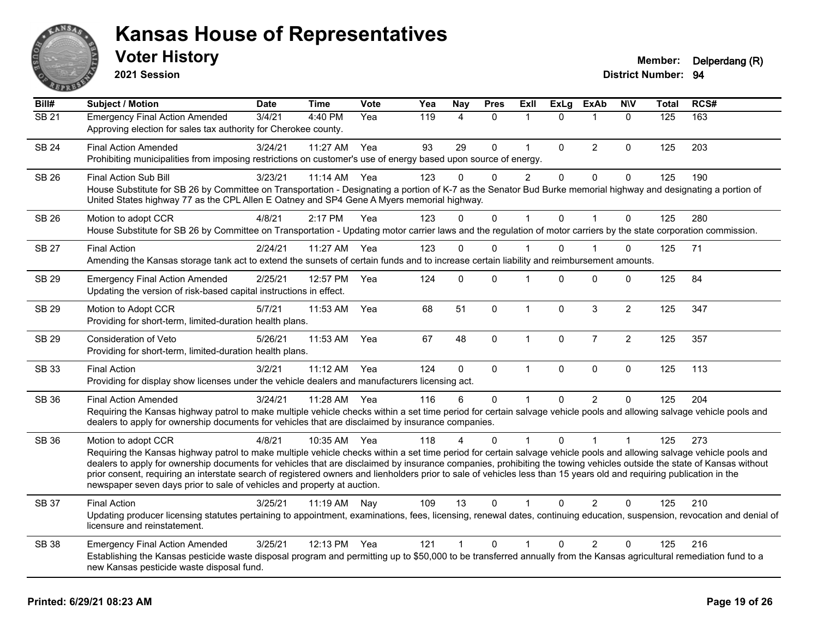

**2021 Session**

**Bill# Subject / Motion Date Time Vote Yea Nay Pres Exll ExLg ExAb N\V Total RCS#** SB 21 Emergency Final Action Amended 3/4/21 4:40 PM Yea 119 4 0 1 0 1 0 125 163 Approving election for sales tax authority for Cherokee county. SB 24 Final Action Amended 3/24/21 11:27 AM Yea 93 29 0 1 0 2 0 125 203 Prohibiting municipalities from imposing restrictions on customer's use of energy based upon source of energy. SB 26 Final Action Sub Bill 3/23/21 11:14 AM Yea 123 0 0 2 0 0 0 125 190 House Substitute for SB 26 by Committee on Transportation - Designating a portion of K-7 as the Senator Bud Burke memorial highway and designating a portion of United States highway 77 as the CPL Allen E Oatney and SP4 Gene A Myers memorial highway. SB 26 Motion to adopt CCR 4/8/21 2:17 PM Yea 123 0 0 1 0 1 0 125 280 House Substitute for SB 26 by Committee on Transportation - Updating motor carrier laws and the regulation of motor carriers by the state corporation commission. SB 27 Final Action 2/24/21 11:27 AM Yea 123 0 0 1 0 1 0 125 71 Amending the Kansas storage tank act to extend the sunsets of certain funds and to increase certain liability and reimbursement amounts. SB 29 Emergency Final Action Amended 2/25/21 12:57 PM Yea 124 0 0 1 0 0 0 0 125 84 Updating the version of risk-based capital instructions in effect. SB 29 Motion to Adopt CCR 5/7/21 11:53 AM Yea 68 51 0 1 0 3 2 125 347 Providing for short-term, limited-duration health plans. SB 29 Consideration of Veto 5/26/21 11:53 AM Yea 67 48 0 1 0 7 2 125 357 Providing for short-term, limited-duration health plans. SB 33 Final Action 3/2/21 11:12 AM Yea 124 0 0 1 0 0 0 125 113 Providing for display show licenses under the vehicle dealers and manufacturers licensing act. SB 36 Final Action Amended 3/24/21 11:28 AM Yea 116 6 0 1 0 2 0 125 204 Requiring the Kansas highway patrol to make multiple vehicle checks within a set time period for certain salvage vehicle pools and allowing salvage vehicle pools and dealers to apply for ownership documents for vehicles that are disclaimed by insurance companies. SB 36 Motion to adopt CCR 4/8/21 10:35 AM Yea 118 4 0 1 0 1 1 1 125 273 Requiring the Kansas highway patrol to make multiple vehicle checks within a set time period for certain salvage vehicle pools and allowing salvage vehicle pools and dealers to apply for ownership documents for vehicles that are disclaimed by insurance companies, prohibiting the towing vehicles outside the state of Kansas without prior consent, requiring an interstate search of registered owners and lienholders prior to sale of vehicles less than 15 years old and requiring publication in the newspaper seven days prior to sale of vehicles and property at auction. SB 37 Final Action 3/25/21 11:19 AM Nay 109 13 0 1 0 2 0 125 210 Updating producer licensing statutes pertaining to appointment, examinations, fees, licensing, renewal dates, continuing education, suspension, revocation and denial of licensure and reinstatement. SB 38 Emergency Final Action Amended 3/25/21 12:13 PM Yea 121 1 0 1 0 2 0 125 216 Establishing the Kansas pesticide waste disposal program and permitting up to \$50,000 to be transferred annually from the Kansas agricultural remediation fund to a new Kansas pesticide waste disposal fund.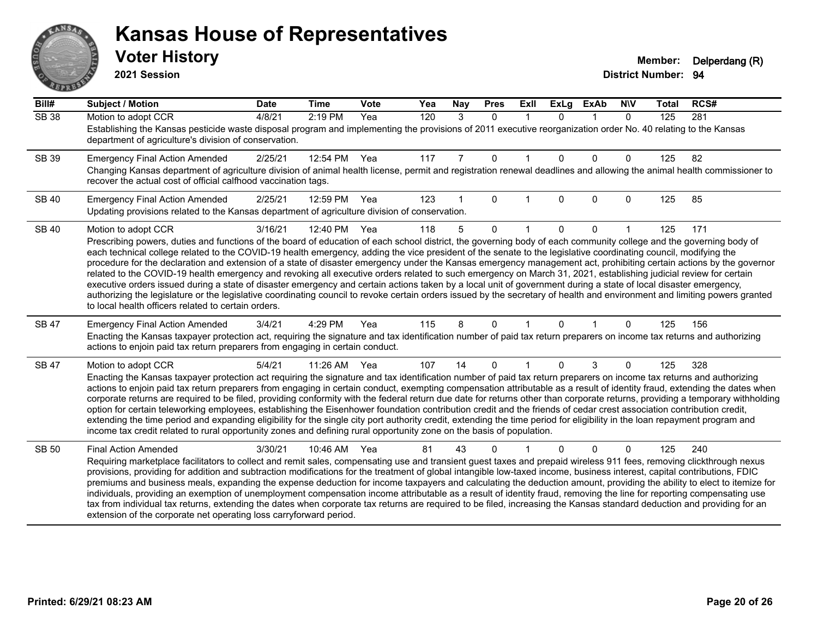# ANS **PARTIE**

#### **Kansas House of Representatives**

**2021 Session**

| Bill#        | <b>Subject / Motion</b>                                                                                                                                                                                                                                                                                                                                    | <b>Date</b> | <b>Time</b> | <b>Vote</b> | Yea | Nay | <b>Pres</b>  | <b>Exll</b> | <b>ExLg</b> | <b>ExAb</b> | <b>NIV</b>   | <b>Total</b> | RCS# |
|--------------|------------------------------------------------------------------------------------------------------------------------------------------------------------------------------------------------------------------------------------------------------------------------------------------------------------------------------------------------------------|-------------|-------------|-------------|-----|-----|--------------|-------------|-------------|-------------|--------------|--------------|------|
| <b>SB 38</b> | Motion to adopt CCR                                                                                                                                                                                                                                                                                                                                        | 4/8/21      | 2:19 PM     | Yea         | 120 | 3   | $\Omega$     | $\mathbf 1$ | $\Omega$    | 1           | $\mathbf{0}$ | 125          | 281  |
|              | Establishing the Kansas pesticide waste disposal program and implementing the provisions of 2011 executive reorganization order No. 40 relating to the Kansas<br>department of agriculture's division of conservation.                                                                                                                                     |             |             |             |     |     |              |             |             |             |              |              |      |
| SB 39        | <b>Emergency Final Action Amended</b>                                                                                                                                                                                                                                                                                                                      | 2/25/21     | 12:54 PM    | Yea         | 117 | 7   | $\mathbf{0}$ |             | $\Omega$    | $\Omega$    | $\mathbf 0$  | 125          | 82   |
|              | Changing Kansas department of agriculture division of animal health license, permit and registration renewal deadlines and allowing the animal health commissioner to<br>recover the actual cost of official calfhood vaccination tags.                                                                                                                    |             |             |             |     |     |              |             |             |             |              |              |      |
| <b>SB 40</b> | <b>Emergency Final Action Amended</b>                                                                                                                                                                                                                                                                                                                      | 2/25/21     | 12:59 PM    | Yea         | 123 |     | $\Omega$     |             | 0           | $\Omega$    | $\mathbf{0}$ | 125          | 85   |
|              | Updating provisions related to the Kansas department of agriculture division of conservation.                                                                                                                                                                                                                                                              |             |             |             |     |     |              |             |             |             |              |              |      |
| <b>SB 40</b> | Motion to adopt CCR                                                                                                                                                                                                                                                                                                                                        | 3/16/21     | 12:40 PM    | Yea         | 118 | 5   | $\Omega$     |             | 0           | 0           |              | 125          | 171  |
|              | Prescribing powers, duties and functions of the board of education of each school district, the governing body of each community college and the governing body of                                                                                                                                                                                         |             |             |             |     |     |              |             |             |             |              |              |      |
|              | each technical college related to the COVID-19 health emergency, adding the vice president of the senate to the legislative coordinating council, modifying the<br>procedure for the declaration and extension of a state of disaster emergency under the Kansas emergency management act, prohibiting certain actions by the governor                     |             |             |             |     |     |              |             |             |             |              |              |      |
|              | related to the COVID-19 health emergency and revoking all executive orders related to such emergency on March 31, 2021, establishing judicial review for certain                                                                                                                                                                                           |             |             |             |     |     |              |             |             |             |              |              |      |
|              | executive orders issued during a state of disaster emergency and certain actions taken by a local unit of government during a state of local disaster emergency,                                                                                                                                                                                           |             |             |             |     |     |              |             |             |             |              |              |      |
|              | authorizing the legislature or the legislative coordinating council to revoke certain orders issued by the secretary of health and environment and limiting powers granted<br>to local health officers related to certain orders.                                                                                                                          |             |             |             |     |     |              |             |             |             |              |              |      |
| SB 47        | <b>Emergency Final Action Amended</b>                                                                                                                                                                                                                                                                                                                      | 3/4/21      | 4:29 PM     | Yea         | 115 | 8   | $\mathbf{0}$ |             | 0           |             | 0            | 125          | 156  |
|              | Enacting the Kansas taxpayer protection act, requiring the signature and tax identification number of paid tax return preparers on income tax returns and authorizing<br>actions to enjoin paid tax return preparers from engaging in certain conduct.                                                                                                     |             |             |             |     |     |              |             |             |             |              |              |      |
| SB 47        | Motion to adopt CCR                                                                                                                                                                                                                                                                                                                                        | 5/4/21      | 11:26 AM    | Yea         | 107 | 14  | $\Omega$     |             | 0           | 3           | 0            | 125          | 328  |
|              | Enacting the Kansas taxpayer protection act requiring the signature and tax identification number of paid tax return preparers on income tax returns and authorizing                                                                                                                                                                                       |             |             |             |     |     |              |             |             |             |              |              |      |
|              | actions to enjoin paid tax return preparers from engaging in certain conduct, exempting compensation attributable as a result of identity fraud, extending the dates when<br>corporate returns are required to be filed, providing conformity with the federal return due date for returns other than corporate returns, providing a temporary withholding |             |             |             |     |     |              |             |             |             |              |              |      |
|              | option for certain teleworking employees, establishing the Eisenhower foundation contribution credit and the friends of cedar crest association contribution credit,                                                                                                                                                                                       |             |             |             |     |     |              |             |             |             |              |              |      |
|              | extending the time period and expanding eligibility for the single city port authority credit, extending the time period for eligibility in the loan repayment program and                                                                                                                                                                                 |             |             |             |     |     |              |             |             |             |              |              |      |
|              | income tax credit related to rural opportunity zones and defining rural opportunity zone on the basis of population.                                                                                                                                                                                                                                       |             |             |             |     |     |              |             |             |             |              |              |      |
| <b>SB 50</b> | <b>Final Action Amended</b>                                                                                                                                                                                                                                                                                                                                | 3/30/21     | 10:46 AM    | Yea         | 81  | 43  | 0            |             |             | $\Omega$    | 0            | 125          | 240  |
|              | Requiring marketplace facilitators to collect and remit sales, compensating use and transient guest taxes and prepaid wireless 911 fees, removing clickthrough nexus<br>provisions, providing for addition and subtraction modifications for the treatment of global intangible low-taxed income, business interest, capital contributions, FDIC           |             |             |             |     |     |              |             |             |             |              |              |      |
|              | premiums and business meals, expanding the expense deduction for income taxpayers and calculating the deduction amount, providing the ability to elect to itemize for                                                                                                                                                                                      |             |             |             |     |     |              |             |             |             |              |              |      |
|              | individuals, providing an exemption of unemployment compensation income attributable as a result of identity fraud, removing the line for reporting compensating use                                                                                                                                                                                       |             |             |             |     |     |              |             |             |             |              |              |      |
|              | tax from individual tax returns, extending the dates when corporate tax returns are required to be filed, increasing the Kansas standard deduction and providing for an<br>extension of the corporate net operating loss carryforward period.                                                                                                              |             |             |             |     |     |              |             |             |             |              |              |      |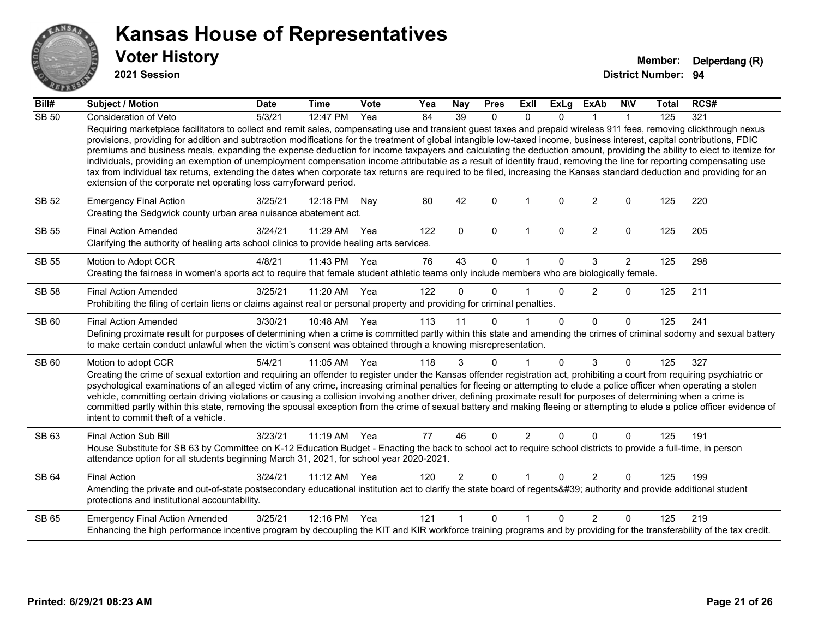

**2021 Session**

| Bill#        | <b>Subject / Motion</b>                                                                                                                                                                                                                                                                                                                                                                                                                                                                                                                                                                                                                                                                                                                                                                                                                                                                                                                            | <b>Date</b> | <b>Time</b>  | <b>Vote</b> | Yea | Nay            | <b>Pres</b>  | Exll           | <b>ExLg</b>  | <b>ExAb</b>    | <b>NIV</b>     | <b>Total</b> | RCS# |
|--------------|----------------------------------------------------------------------------------------------------------------------------------------------------------------------------------------------------------------------------------------------------------------------------------------------------------------------------------------------------------------------------------------------------------------------------------------------------------------------------------------------------------------------------------------------------------------------------------------------------------------------------------------------------------------------------------------------------------------------------------------------------------------------------------------------------------------------------------------------------------------------------------------------------------------------------------------------------|-------------|--------------|-------------|-----|----------------|--------------|----------------|--------------|----------------|----------------|--------------|------|
| <b>SB 50</b> | Consideration of Veto                                                                                                                                                                                                                                                                                                                                                                                                                                                                                                                                                                                                                                                                                                                                                                                                                                                                                                                              | 5/3/21      | 12:47 PM     | Yea         | 84  | 39             | $\Omega$     | $\Omega$       |              |                |                | 125          | 321  |
|              | Requiring marketplace facilitators to collect and remit sales, compensating use and transient guest taxes and prepaid wireless 911 fees, removing clickthrough nexus<br>provisions, providing for addition and subtraction modifications for the treatment of global intangible low-taxed income, business interest, capital contributions, FDIC<br>premiums and business meals, expanding the expense deduction for income taxpayers and calculating the deduction amount, providing the ability to elect to itemize for<br>individuals, providing an exemption of unemployment compensation income attributable as a result of identity fraud, removing the line for reporting compensating use<br>tax from individual tax returns, extending the dates when corporate tax returns are required to be filed, increasing the Kansas standard deduction and providing for an<br>extension of the corporate net operating loss carryforward period. |             |              |             |     |                |              |                |              |                |                |              |      |
| <b>SB 52</b> | <b>Emergency Final Action</b><br>Creating the Sedgwick county urban area nuisance abatement act.                                                                                                                                                                                                                                                                                                                                                                                                                                                                                                                                                                                                                                                                                                                                                                                                                                                   | 3/25/21     | 12:18 PM     | Nay         | 80  | 42             | $\Omega$     |                | $\Omega$     | $\overline{2}$ | $\Omega$       | 125          | 220  |
| <b>SB 55</b> | <b>Final Action Amended</b><br>Clarifying the authority of healing arts school clinics to provide healing arts services.                                                                                                                                                                                                                                                                                                                                                                                                                                                                                                                                                                                                                                                                                                                                                                                                                           | 3/24/21     | 11:29 AM     | Yea         | 122 | $\Omega$       | $\mathbf{0}$ | 1              | $\Omega$     | $\overline{2}$ | $\mathbf{0}$   | 125          | 205  |
| SB 55        | Motion to Adopt CCR                                                                                                                                                                                                                                                                                                                                                                                                                                                                                                                                                                                                                                                                                                                                                                                                                                                                                                                                | 4/8/21      | 11:43 PM     | Yea         | 76  | 43             | $\Omega$     |                | $\Omega$     | 3              | $\overline{2}$ | 125          | 298  |
|              | Creating the fairness in women's sports act to require that female student athletic teams only include members who are biologically female.                                                                                                                                                                                                                                                                                                                                                                                                                                                                                                                                                                                                                                                                                                                                                                                                        |             |              |             |     |                |              |                |              |                |                |              |      |
| <b>SB 58</b> | <b>Final Action Amended</b>                                                                                                                                                                                                                                                                                                                                                                                                                                                                                                                                                                                                                                                                                                                                                                                                                                                                                                                        | 3/25/21     | 11:20 AM     | Yea         | 122 | $\Omega$       | $\Omega$     |                | $\Omega$     | 2              | $\Omega$       | 125          | 211  |
|              | Prohibiting the filing of certain liens or claims against real or personal property and providing for criminal penalties.                                                                                                                                                                                                                                                                                                                                                                                                                                                                                                                                                                                                                                                                                                                                                                                                                          |             |              |             |     |                |              |                |              |                |                |              |      |
| SB 60        | <b>Final Action Amended</b>                                                                                                                                                                                                                                                                                                                                                                                                                                                                                                                                                                                                                                                                                                                                                                                                                                                                                                                        | 3/30/21     | 10:48 AM Yea |             | 113 | 11             | $\Omega$     |                | $\Omega$     | $\Omega$       | $\Omega$       | 125          | 241  |
|              | Defining proximate result for purposes of determining when a crime is committed partly within this state and amending the crimes of criminal sodomy and sexual battery<br>to make certain conduct unlawful when the victim's consent was obtained through a knowing misrepresentation.                                                                                                                                                                                                                                                                                                                                                                                                                                                                                                                                                                                                                                                             |             |              |             |     |                |              |                |              |                |                |              |      |
| SB 60        | Motion to adopt CCR                                                                                                                                                                                                                                                                                                                                                                                                                                                                                                                                                                                                                                                                                                                                                                                                                                                                                                                                | 5/4/21      | 11:05 AM Yea |             | 118 | 3              | $\mathbf{0}$ |                | $\Omega$     | 3              | $\Omega$       | 125          | 327  |
|              | Creating the crime of sexual extortion and requiring an offender to register under the Kansas offender registration act, prohibiting a court from requiring psychiatric or<br>psychological examinations of an alleged victim of any crime, increasing criminal penalties for fleeing or attempting to elude a police officer when operating a stolen<br>vehicle, committing certain driving violations or causing a collision involving another driver, defining proximate result for purposes of determining when a crime is<br>committed partly within this state, removing the spousal exception from the crime of sexual battery and making fleeing or attempting to elude a police officer evidence of<br>intent to commit theft of a vehicle.                                                                                                                                                                                               |             |              |             |     |                |              |                |              |                |                |              |      |
| SB 63        | <b>Final Action Sub Bill</b>                                                                                                                                                                                                                                                                                                                                                                                                                                                                                                                                                                                                                                                                                                                                                                                                                                                                                                                       | 3/23/21     | 11:19 AM Yea |             | 77  | 46             | $\Omega$     | $\overline{2}$ | $\Omega$     | $\Omega$       | $\Omega$       | 125          | 191  |
|              | House Substitute for SB 63 by Committee on K-12 Education Budget - Enacting the back to school act to require school districts to provide a full-time, in person<br>attendance option for all students beginning March 31, 2021, for school year 2020-2021.                                                                                                                                                                                                                                                                                                                                                                                                                                                                                                                                                                                                                                                                                        |             |              |             |     |                |              |                |              |                |                |              |      |
| <b>SB 64</b> | <b>Final Action</b>                                                                                                                                                                                                                                                                                                                                                                                                                                                                                                                                                                                                                                                                                                                                                                                                                                                                                                                                | 3/24/21     | 11:12 AM Yea |             | 120 | $\overline{2}$ | $\Omega$     |                | $\Omega$     | $\overline{2}$ | $\mathbf{0}$   | 125          | 199  |
|              | Amending the private and out-of-state postsecondary educational institution act to clarify the state board of regents' authority and provide additional student<br>protections and institutional accountability.                                                                                                                                                                                                                                                                                                                                                                                                                                                                                                                                                                                                                                                                                                                                   |             |              |             |     |                |              |                |              |                |                |              |      |
| SB 65        | <b>Emergency Final Action Amended</b>                                                                                                                                                                                                                                                                                                                                                                                                                                                                                                                                                                                                                                                                                                                                                                                                                                                                                                              | 3/25/21     | 12:16 PM     | Yea         | 121 |                | $\Omega$     |                | <sup>n</sup> | $\mathfrak{D}$ | $\Omega$       | 125          | 219  |
|              | Enhancing the high performance incentive program by decoupling the KIT and KIR workforce training programs and by providing for the transferability of the tax credit.                                                                                                                                                                                                                                                                                                                                                                                                                                                                                                                                                                                                                                                                                                                                                                             |             |              |             |     |                |              |                |              |                |                |              |      |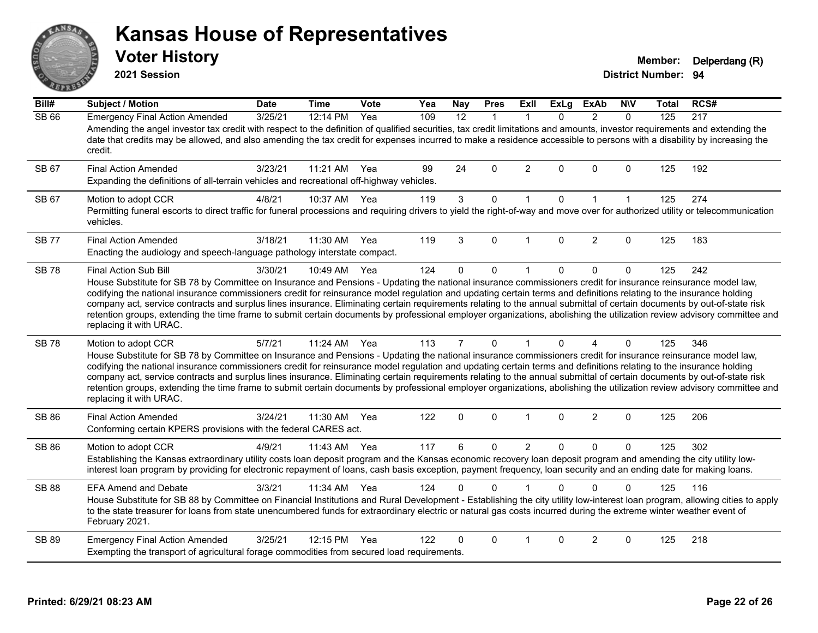# ANS PIVE

#### **Kansas House of Representatives**

**2021 Session**

**Voter History Member: Delperdang (R)** 

| Bill#        | Subject / Motion                                                                                                                                                                                                                                                                                                                                                                                                                                                                                                                                                                                                                                                                                                                               | <b>Date</b> | <b>Time</b> | <b>Vote</b> | Yea | <b>Nay</b>        | <b>Pres</b> | ExII           | <b>ExLg</b> | <b>ExAb</b>    | <b>NIV</b>   | <b>Total</b> | RCS# |
|--------------|------------------------------------------------------------------------------------------------------------------------------------------------------------------------------------------------------------------------------------------------------------------------------------------------------------------------------------------------------------------------------------------------------------------------------------------------------------------------------------------------------------------------------------------------------------------------------------------------------------------------------------------------------------------------------------------------------------------------------------------------|-------------|-------------|-------------|-----|-------------------|-------------|----------------|-------------|----------------|--------------|--------------|------|
| SB 66        | <b>Emergency Final Action Amended</b><br>Amending the angel investor tax credit with respect to the definition of qualified securities, tax credit limitations and amounts, investor requirements and extending the<br>date that credits may be allowed, and also amending the tax credit for expenses incurred to make a residence accessible to persons with a disability by increasing the                                                                                                                                                                                                                                                                                                                                                  | 3/25/21     | 12:14 PM    | Yea         | 109 | $12 \overline{ }$ | 1           | -1             | 0           | $\overline{2}$ | $\mathbf{0}$ | 125          | 217  |
|              | credit.                                                                                                                                                                                                                                                                                                                                                                                                                                                                                                                                                                                                                                                                                                                                        |             |             |             |     |                   |             |                |             |                |              |              |      |
| SB 67        | <b>Final Action Amended</b><br>Expanding the definitions of all-terrain vehicles and recreational off-highway vehicles.                                                                                                                                                                                                                                                                                                                                                                                                                                                                                                                                                                                                                        | 3/23/21     | 11:21 AM    | Yea         | 99  | 24                | 0           | $\overline{2}$ | 0           | 0              | $\mathbf 0$  | 125          | 192  |
| SB 67        | Motion to adopt CCR<br>Permitting funeral escorts to direct traffic for funeral processions and requiring drivers to yield the right-of-way and move over for authorized utility or telecommunication<br>vehicles.                                                                                                                                                                                                                                                                                                                                                                                                                                                                                                                             | 4/8/21      | 10:37 AM    | Yea         | 119 | 3                 | 0           | $\mathbf{1}$   | 0           | $\mathbf{1}$   | $\mathbf 1$  | 125          | 274  |
| <b>SB 77</b> | <b>Final Action Amended</b><br>Enacting the audiology and speech-language pathology interstate compact.                                                                                                                                                                                                                                                                                                                                                                                                                                                                                                                                                                                                                                        | 3/18/21     | 11:30 AM    | Yea         | 119 | 3                 | 0           | $\mathbf{1}$   | $\Omega$    | $\overline{2}$ | $\mathbf 0$  | 125          | 183  |
| <b>SB78</b>  | Final Action Sub Bill<br>House Substitute for SB 78 by Committee on Insurance and Pensions - Updating the national insurance commissioners credit for insurance reinsurance model law,<br>codifying the national insurance commissioners credit for reinsurance model regulation and updating certain terms and definitions relating to the insurance holding<br>company act, service contracts and surplus lines insurance. Eliminating certain requirements relating to the annual submittal of certain documents by out-of-state risk<br>retention groups, extending the time frame to submit certain documents by professional employer organizations, abolishing the utilization review advisory committee and<br>replacing it with URAC. | 3/30/21     | 10:49 AM    | Yea         | 124 | $\Omega$          | 0           | $\overline{1}$ | $\Omega$    | 0              | $\mathbf 0$  | 125          | 242  |
| <b>SB78</b>  | Motion to adopt CCR<br>House Substitute for SB 78 by Committee on Insurance and Pensions - Updating the national insurance commissioners credit for insurance reinsurance model law,<br>codifying the national insurance commissioners credit for reinsurance model regulation and updating certain terms and definitions relating to the insurance holding<br>company act, service contracts and surplus lines insurance. Eliminating certain requirements relating to the annual submittal of certain documents by out-of-state risk<br>retention groups, extending the time frame to submit certain documents by professional employer organizations, abolishing the utilization review advisory committee and<br>replacing it with URAC.   | 5/7/21      | 11:24 AM    | Yea         | 113 | $\overline{7}$    | $\Omega$    | $\mathbf 1$    | $\Omega$    | 4              | $\mathbf{0}$ | 125          | 346  |
| SB 86        | <b>Final Action Amended</b><br>Conforming certain KPERS provisions with the federal CARES act.                                                                                                                                                                                                                                                                                                                                                                                                                                                                                                                                                                                                                                                 | 3/24/21     | 11:30 AM    | Yea         | 122 | 0                 | 0           | $\mathbf 1$    | 0           | $\overline{c}$ | 0            | 125          | 206  |
| SB 86        | Motion to adopt CCR<br>Establishing the Kansas extraordinary utility costs loan deposit program and the Kansas economic recovery loan deposit program and amending the city utility low-<br>interest loan program by providing for electronic repayment of loans, cash basis exception, payment frequency, loan security and an ending date for making loans.                                                                                                                                                                                                                                                                                                                                                                                  | 4/9/21      | 11:43 AM    | Yea         | 117 | 6                 | $\mathbf 0$ | $\overline{2}$ | 0           | 0              | $\mathbf{0}$ | 125          | 302  |
| <b>SB 88</b> | <b>EFA Amend and Debate</b><br>House Substitute for SB 88 by Committee on Financial Institutions and Rural Development - Establishing the city utility low-interest loan program, allowing cities to apply<br>to the state treasurer for loans from state unencumbered funds for extraordinary electric or natural gas costs incurred during the extreme winter weather event of<br>February 2021.                                                                                                                                                                                                                                                                                                                                             | 3/3/21      | 11:34 AM    | Yea         | 124 | 0                 | $\Omega$    |                | 0           | $\Omega$       | 0            | 125          | 116  |
| SB 89        | <b>Emergency Final Action Amended</b><br>Exempting the transport of agricultural forage commodities from secured load requirements.                                                                                                                                                                                                                                                                                                                                                                                                                                                                                                                                                                                                            | 3/25/21     | 12:15 PM    | Yea         | 122 | 0                 | 0           | 1              | 0           | 2              | $\mathbf 0$  | 125          | 218  |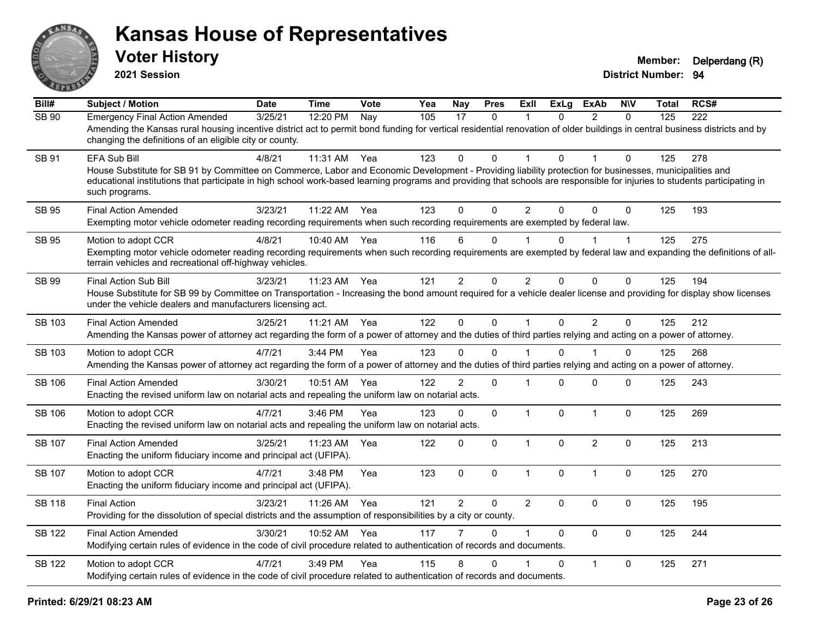

**2021 Session**

| Bill#         | <b>Subject / Motion</b>                                                                                                                                                                                                                                                                                                                                                        | <b>Date</b> | <b>Time</b> | Vote | Yea | Nay            | <b>Pres</b>  | ExIl           | <b>ExLg</b>  | <b>ExAb</b>    | <b>NIV</b> | Total | RCS# |
|---------------|--------------------------------------------------------------------------------------------------------------------------------------------------------------------------------------------------------------------------------------------------------------------------------------------------------------------------------------------------------------------------------|-------------|-------------|------|-----|----------------|--------------|----------------|--------------|----------------|------------|-------|------|
| <b>SB 90</b>  | <b>Emergency Final Action Amended</b><br>Amending the Kansas rural housing incentive district act to permit bond funding for vertical residential renovation of older buildings in central business districts and by<br>changing the definitions of an eligible city or county.                                                                                                | 3/25/21     | 12:20 PM    | Nay  | 105 | 17             | $\mathbf{0}$ | 1              | $\Omega$     | 2              | $\Omega$   | 125   | 222  |
| <b>SB 91</b>  | <b>EFA Sub Bill</b><br>House Substitute for SB 91 by Committee on Commerce, Labor and Economic Development - Providing liability protection for businesses, municipalities and<br>educational institutions that participate in high school work-based learning programs and providing that schools are responsible for injuries to students participating in<br>such programs. | 4/8/21      | 11:31 AM    | Yea  | 123 | $\mathbf{0}$   | $\Omega$     |                | $\Omega$     |                | $\Omega$   | 125   | 278  |
| <b>SB 95</b>  | <b>Final Action Amended</b><br>Exempting motor vehicle odometer reading recording requirements when such recording requirements are exempted by federal law.                                                                                                                                                                                                                   | 3/23/21     | 11:22 AM    | Yea  | 123 | $\Omega$       | $\Omega$     | $\overline{2}$ | $\Omega$     | $\Omega$       | $\Omega$   | 125   | 193  |
| <b>SB 95</b>  | Motion to adopt CCR<br>Exempting motor vehicle odometer reading recording requirements when such recording requirements are exempted by federal law and expanding the definitions of all-<br>terrain vehicles and recreational off-highway vehicles.                                                                                                                           | 4/8/21      | 10:40 AM    | Yea  | 116 | 6              | $\mathbf{0}$ | $\overline{1}$ | $\Omega$     |                | 1          | 125   | 275  |
| <b>SB 99</b>  | Final Action Sub Bill<br>House Substitute for SB 99 by Committee on Transportation - Increasing the bond amount required for a vehicle dealer license and providing for display show licenses<br>under the vehicle dealers and manufacturers licensing act.                                                                                                                    | 3/23/21     | 11:23 AM    | Yea  | 121 | $\overline{2}$ | $\mathbf 0$  | $\overline{2}$ | $\mathbf 0$  | $\mathbf 0$    | $\Omega$   | 125   | 194  |
| <b>SB 103</b> | <b>Final Action Amended</b><br>Amending the Kansas power of attorney act regarding the form of a power of attorney and the duties of third parties relying and acting on a power of attorney.                                                                                                                                                                                  | 3/25/21     | 11:21 AM    | Yea  | 122 | $\mathbf{0}$   | $\pmb{0}$    | $\mathbf{1}$   | $\Omega$     | $\overline{2}$ | $\Omega$   | 125   | 212  |
| SB 103        | Motion to adopt CCR<br>Amending the Kansas power of attorney act regarding the form of a power of attorney and the duties of third parties relying and acting on a power of attorney.                                                                                                                                                                                          | 4/7/21      | 3:44 PM     | Yea  | 123 | $\Omega$       | $\Omega$     |                | $\Omega$     |                | 0          | 125   | 268  |
| <b>SB 106</b> | <b>Final Action Amended</b><br>Enacting the revised uniform law on notarial acts and repealing the uniform law on notarial acts.                                                                                                                                                                                                                                               | 3/30/21     | 10:51 AM    | Yea  | 122 | $\overline{2}$ | $\mathbf 0$  | 1              | 0            | $\mathbf 0$    | $\Omega$   | 125   | 243  |
| <b>SB 106</b> | Motion to adopt CCR<br>Enacting the revised uniform law on notarial acts and repealing the uniform law on notarial acts.                                                                                                                                                                                                                                                       | 4/7/21      | 3:46 PM     | Yea  | 123 | $\Omega$       | $\mathbf 0$  | $\mathbf{1}$   | $\mathbf{0}$ | $\mathbf{1}$   | $\Omega$   | 125   | 269  |
| <b>SB 107</b> | <b>Final Action Amended</b><br>Enacting the uniform fiduciary income and principal act (UFIPA).                                                                                                                                                                                                                                                                                | 3/25/21     | 11:23 AM    | Yea  | 122 | $\Omega$       | $\mathbf{0}$ | $\mathbf{1}$   | 0            | $\overline{2}$ | $\Omega$   | 125   | 213  |
| SB 107        | Motion to adopt CCR<br>Enacting the uniform fiduciary income and principal act (UFIPA).                                                                                                                                                                                                                                                                                        | 4/7/21      | 3:48 PM     | Yea  | 123 | 0              | $\mathbf 0$  | $\mathbf{1}$   | 0            | $\mathbf{1}$   | 0          | 125   | 270  |
| <b>SB 118</b> | <b>Final Action</b><br>Providing for the dissolution of special districts and the assumption of responsibilities by a city or county.                                                                                                                                                                                                                                          | 3/23/21     | 11:26 AM    | Yea  | 121 | $\overline{2}$ | $\mathbf{0}$ | $\overline{2}$ | $\Omega$     | $\mathbf{0}$   | $\Omega$   | 125   | 195  |
| <b>SB 122</b> | <b>Final Action Amended</b><br>Modifying certain rules of evidence in the code of civil procedure related to authentication of records and documents.                                                                                                                                                                                                                          | 3/30/21     | 10:52 AM    | Yea  | 117 | 7              | $\Omega$     | 1              | $\Omega$     | $\Omega$       | $\Omega$   | 125   | 244  |
| <b>SB 122</b> | Motion to adopt CCR<br>Modifying certain rules of evidence in the code of civil procedure related to authentication of records and documents.                                                                                                                                                                                                                                  | 4/7/21      | 3:49 PM     | Yea  | 115 | 8              | 0            |                | 0            | $\mathbf{1}$   | 0          | 125   | 271  |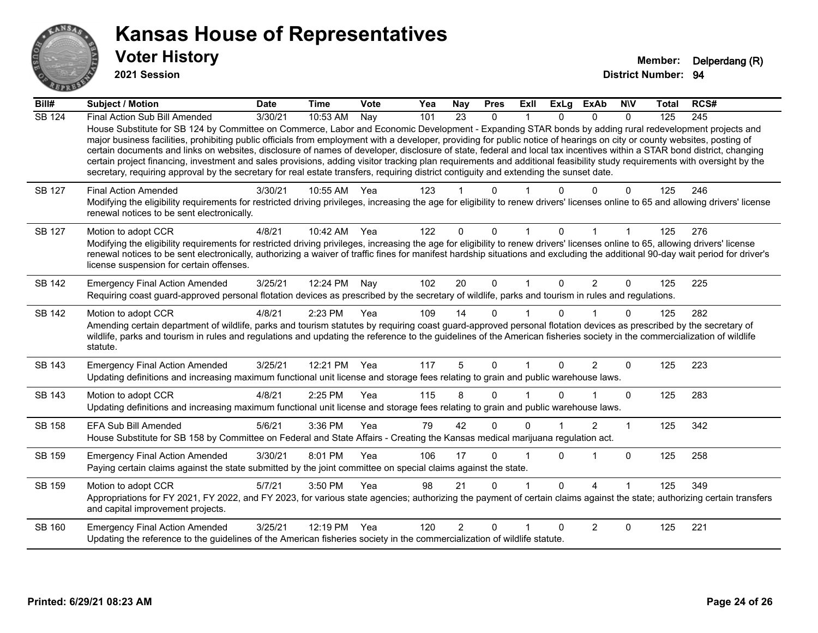

**2021 Session**

| Bill#         | <b>Subject / Motion</b>                                                                                                                                                                                                                                                                                                                                                                                                                                                                                                                                                                                                                                                                                                                                                                                                                                              | <b>Date</b> | <b>Time</b> | Vote | Yea | <b>Nay</b>     | <b>Pres</b>  | Exll         | <b>ExLg</b>  | <b>ExAb</b>    | <b>NIV</b>   | Total | RCS# |
|---------------|----------------------------------------------------------------------------------------------------------------------------------------------------------------------------------------------------------------------------------------------------------------------------------------------------------------------------------------------------------------------------------------------------------------------------------------------------------------------------------------------------------------------------------------------------------------------------------------------------------------------------------------------------------------------------------------------------------------------------------------------------------------------------------------------------------------------------------------------------------------------|-------------|-------------|------|-----|----------------|--------------|--------------|--------------|----------------|--------------|-------|------|
| <b>SB 124</b> | Final Action Sub Bill Amended<br>House Substitute for SB 124 by Committee on Commerce, Labor and Economic Development - Expanding STAR bonds by adding rural redevelopment projects and<br>major business facilities, prohibiting public officials from employment with a developer, providing for public notice of hearings on city or county websites, posting of<br>certain documents and links on websites, disclosure of names of developer, disclosure of state, federal and local tax incentives within a STAR bond district, changing<br>certain project financing, investment and sales provisions, adding visitor tracking plan requirements and additional feasibility study requirements with oversight by the<br>secretary, requiring approval by the secretary for real estate transfers, requiring district contiguity and extending the sunset date. | 3/30/21     | 10:53 AM    | Nay  | 101 | 23             | $\mathbf{0}$ |              | $\Omega$     | $\Omega$       | $\mathbf{0}$ | 125   | 245  |
| <b>SB 127</b> | <b>Final Action Amended</b><br>Modifying the eligibility requirements for restricted driving privileges, increasing the age for eligibility to renew drivers' licenses online to 65 and allowing drivers' license<br>renewal notices to be sent electronically.                                                                                                                                                                                                                                                                                                                                                                                                                                                                                                                                                                                                      | 3/30/21     | 10:55 AM    | Yea  | 123 |                | <sup>n</sup> |              |              |                | 0            | 125   | 246  |
| SB 127        | Motion to adopt CCR<br>Modifying the eligibility requirements for restricted driving privileges, increasing the age for eligibility to renew drivers' licenses online to 65, allowing drivers' license<br>renewal notices to be sent electronically, authorizing a waiver of traffic fines for manifest hardship situations and excluding the additional 90-day wait period for driver's<br>license suspension for certain offenses.                                                                                                                                                                                                                                                                                                                                                                                                                                 | 4/8/21      | 10:42 AM    | Yea  | 122 | $\Omega$       | $\Omega$     |              |              |                |              | 125   | 276  |
| <b>SB 142</b> | <b>Emergency Final Action Amended</b><br>Requiring coast guard-approved personal flotation devices as prescribed by the secretary of wildlife, parks and tourism in rules and regulations.                                                                                                                                                                                                                                                                                                                                                                                                                                                                                                                                                                                                                                                                           | 3/25/21     | 12:24 PM    | Nay  | 102 | 20             | $\mathbf 0$  | $\mathbf{1}$ | $\Omega$     | $\overline{2}$ | $\mathbf 0$  | 125   | 225  |
| <b>SB 142</b> | Motion to adopt CCR<br>Amending certain department of wildlife, parks and tourism statutes by requiring coast guard-approved personal flotation devices as prescribed by the secretary of<br>wildlife, parks and tourism in rules and regulations and updating the reference to the guidelines of the American fisheries society in the commercialization of wildlife<br>statute.                                                                                                                                                                                                                                                                                                                                                                                                                                                                                    | 4/8/21      | 2:23 PM     | Yea  | 109 | 14             | $\Omega$     |              | <sup>n</sup> |                | $\Omega$     | 125   | 282  |
| SB 143        | <b>Emergency Final Action Amended</b><br>Updating definitions and increasing maximum functional unit license and storage fees relating to grain and public warehouse laws.                                                                                                                                                                                                                                                                                                                                                                                                                                                                                                                                                                                                                                                                                           | 3/25/21     | 12:21 PM    | Yea  | 117 | 5              | $\Omega$     |              | 0            | 2              | $\Omega$     | 125   | 223  |
| SB 143        | Motion to adopt CCR<br>Updating definitions and increasing maximum functional unit license and storage fees relating to grain and public warehouse laws.                                                                                                                                                                                                                                                                                                                                                                                                                                                                                                                                                                                                                                                                                                             | 4/8/21      | 2:25 PM     | Yea  | 115 | 8              | $\Omega$     |              |              |                | $\mathbf{0}$ | 125   | 283  |
| SB 158        | <b>EFA Sub Bill Amended</b><br>House Substitute for SB 158 by Committee on Federal and State Affairs - Creating the Kansas medical marijuana regulation act.                                                                                                                                                                                                                                                                                                                                                                                                                                                                                                                                                                                                                                                                                                         | 5/6/21      | 3:36 PM     | Yea  | 79  | 42             | $\Omega$     | $\Omega$     |              | $\overline{2}$ | 1            | 125   | 342  |
| SB 159        | <b>Emergency Final Action Amended</b><br>Paying certain claims against the state submitted by the joint committee on special claims against the state.                                                                                                                                                                                                                                                                                                                                                                                                                                                                                                                                                                                                                                                                                                               | 3/30/21     | 8:01 PM     | Yea  | 106 | 17             | $\Omega$     |              | 0            |                | $\mathbf 0$  | 125   | 258  |
| SB 159        | Motion to adopt CCR<br>Appropriations for FY 2021, FY 2022, and FY 2023, for various state agencies; authorizing the payment of certain claims against the state; authorizing certain transfers<br>and capital improvement projects.                                                                                                                                                                                                                                                                                                                                                                                                                                                                                                                                                                                                                                 | 5/7/21      | 3:50 PM     | Yea  | 98  | 21             | $\Omega$     |              | 0            | 4              |              | 125   | 349  |
| <b>SB 160</b> | <b>Emergency Final Action Amended</b><br>Updating the reference to the guidelines of the American fisheries society in the commercialization of wildlife statute.                                                                                                                                                                                                                                                                                                                                                                                                                                                                                                                                                                                                                                                                                                    | 3/25/21     | 12:19 PM    | Yea  | 120 | $\overline{2}$ | $\Omega$     |              | $\Omega$     | 2              | $\Omega$     | 125   | 221  |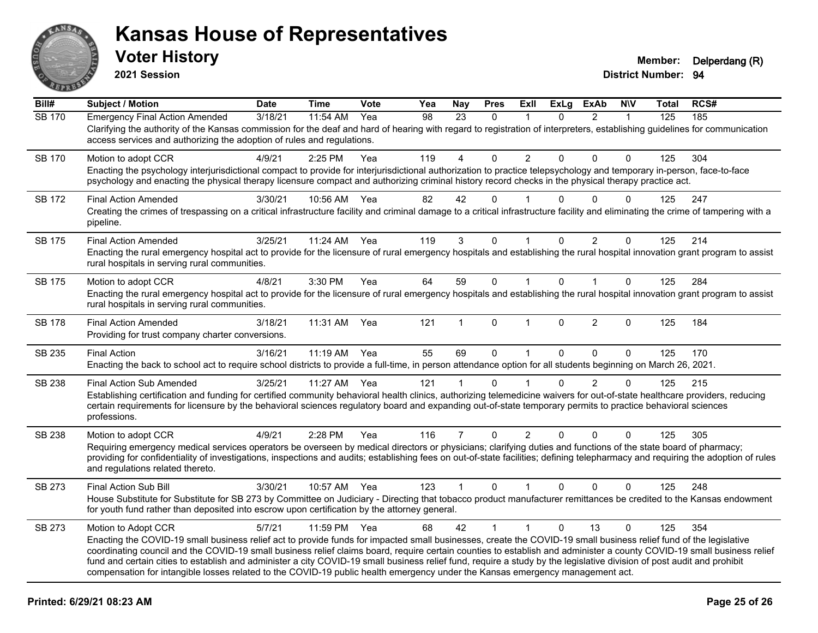

**2021 Session**

| Bill#         | <b>Subject / Motion</b>                                                                                                                                                                                                                                                                                                                                                                                                                                                                                                                                                                                                                                                       | <b>Date</b> | <b>Time</b> | <b>Vote</b> | Yea | <b>Nay</b>     | <b>Pres</b>  | ExII           | <b>ExLg</b>  | <b>ExAb</b>    | <b>N\V</b>   | <b>Total</b> | RCS# |
|---------------|-------------------------------------------------------------------------------------------------------------------------------------------------------------------------------------------------------------------------------------------------------------------------------------------------------------------------------------------------------------------------------------------------------------------------------------------------------------------------------------------------------------------------------------------------------------------------------------------------------------------------------------------------------------------------------|-------------|-------------|-------------|-----|----------------|--------------|----------------|--------------|----------------|--------------|--------------|------|
| <b>SB 170</b> | <b>Emergency Final Action Amended</b><br>Clarifying the authority of the Kansas commission for the deaf and hard of hearing with regard to registration of interpreters, establishing guidelines for communication<br>access services and authorizing the adoption of rules and regulations.                                                                                                                                                                                                                                                                                                                                                                                  | 3/18/21     | 11:54 AM    | Yea         | 98  | 23             | $\mathbf{0}$ | $\mathbf 1$    | $\Omega$     | $\overline{2}$ | 1            | 125          | 185  |
| <b>SB 170</b> | Motion to adopt CCR<br>Enacting the psychology interjurisdictional compact to provide for interjurisdictional authorization to practice telepsychology and temporary in-person, face-to-face<br>psychology and enacting the physical therapy licensure compact and authorizing criminal history record checks in the physical therapy practice act.                                                                                                                                                                                                                                                                                                                           | 4/9/21      | 2:25 PM     | Yea         | 119 | 4              | $\Omega$     | $\overline{2}$ | 0            | $\Omega$       | $\mathbf{0}$ | 125          | 304  |
| SB 172        | <b>Final Action Amended</b><br>Creating the crimes of trespassing on a critical infrastructure facility and criminal damage to a critical infrastructure facility and eliminating the crime of tampering with a<br>pipeline.                                                                                                                                                                                                                                                                                                                                                                                                                                                  | 3/30/21     | 10:56 AM    | Yea         | 82  | 42             | $\Omega$     |                | 0            | $\Omega$       | $\Omega$     | 125          | 247  |
| SB 175        | <b>Final Action Amended</b><br>Enacting the rural emergency hospital act to provide for the licensure of rural emergency hospitals and establishing the rural hospital innovation grant program to assist<br>rural hospitals in serving rural communities.                                                                                                                                                                                                                                                                                                                                                                                                                    | 3/25/21     | 11:24 AM    | Yea         | 119 | 3              | 0            |                | $\mathbf 0$  | 2              | 0            | 125          | 214  |
| SB 175        | Motion to adopt CCR<br>Enacting the rural emergency hospital act to provide for the licensure of rural emergency hospitals and establishing the rural hospital innovation grant program to assist<br>rural hospitals in serving rural communities.                                                                                                                                                                                                                                                                                                                                                                                                                            | 4/8/21      | 3:30 PM     | Yea         | 64  | 59             | $\mathbf 0$  | $\mathbf{1}$   | $\mathbf{0}$ | $\mathbf{1}$   | $\mathbf{0}$ | 125          | 284  |
| <b>SB 178</b> | <b>Final Action Amended</b><br>Providing for trust company charter conversions.                                                                                                                                                                                                                                                                                                                                                                                                                                                                                                                                                                                               | 3/18/21     | 11:31 AM    | Yea         | 121 | $\mathbf 1$    | $\Omega$     | 1              | $\Omega$     | $\overline{2}$ | $\mathbf{0}$ | 125          | 184  |
| SB 235        | <b>Final Action</b><br>Enacting the back to school act to require school districts to provide a full-time, in person attendance option for all students beginning on March 26, 2021.                                                                                                                                                                                                                                                                                                                                                                                                                                                                                          | 3/16/21     | 11:19 AM    | Yea         | 55  | 69             | $\Omega$     | $\mathbf{1}$   | $\mathbf{0}$ | $\Omega$       | $\mathbf{0}$ | 125          | 170  |
| <b>SB 238</b> | <b>Final Action Sub Amended</b><br>Establishing certification and funding for certified community behavioral health clinics, authorizing telemedicine waivers for out-of-state healthcare providers, reducing<br>certain requirements for licensure by the behavioral sciences regulatory board and expanding out-of-state temporary permits to practice behavioral sciences<br>professions.                                                                                                                                                                                                                                                                                  | 3/25/21     | 11:27 AM    | Yea         | 121 | 1              | $\Omega$     |                | 0            | $\overline{2}$ | $\mathbf{0}$ | 125          | 215  |
| <b>SB 238</b> | Motion to adopt CCR<br>Requiring emergency medical services operators be overseen by medical directors or physicians; clarifying duties and functions of the state board of pharmacy;<br>providing for confidentiality of investigations, inspections and audits; establishing fees on out-of-state facilities; defining telepharmacy and requiring the adoption of rules<br>and regulations related thereto.                                                                                                                                                                                                                                                                 | 4/9/21      | 2:28 PM     | Yea         | 116 | $\overline{7}$ | $\mathbf{0}$ | $\overline{2}$ | $\mathbf{0}$ | $\Omega$       | $\mathbf{0}$ | 125          | 305  |
| SB 273        | Final Action Sub Bill<br>House Substitute for Substitute for SB 273 by Committee on Judiciary - Directing that tobacco product manufacturer remittances be credited to the Kansas endowment<br>for youth fund rather than deposited into escrow upon certification by the attorney general.                                                                                                                                                                                                                                                                                                                                                                                   | 3/30/21     | 10:57 AM    | Yea         | 123 | $\mathbf{1}$   | $\Omega$     | $\mathbf 1$    | $\mathbf{0}$ | $\Omega$       | $\Omega$     | 125          | 248  |
| SB 273        | Motion to Adopt CCR<br>Enacting the COVID-19 small business relief act to provide funds for impacted small businesses, create the COVID-19 small business relief fund of the legislative<br>coordinating council and the COVID-19 small business relief claims board, require certain counties to establish and administer a county COVID-19 small business relief<br>fund and certain cities to establish and administer a city COVID-19 small business relief fund, require a study by the legislative division of post audit and prohibit<br>compensation for intangible losses related to the COVID-19 public health emergency under the Kansas emergency management act. | 5/7/21      | 11:59 PM    | Yea         | 68  | 42             | $\mathbf{1}$ | $\mathbf{1}$   | $\Omega$     | 13             | $\Omega$     | 125          | 354  |